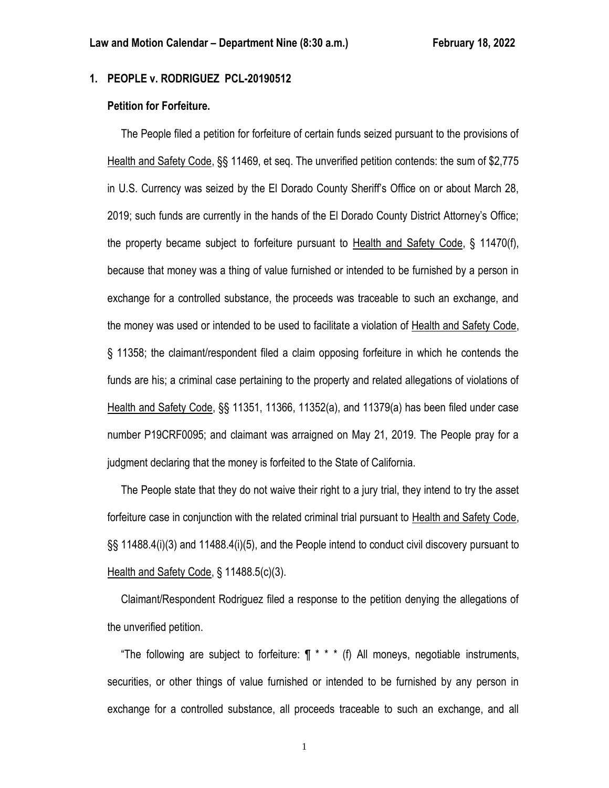## **1. PEOPLE v. RODRIGUEZ PCL-20190512**

### **Petition for Forfeiture.**

 The People filed a petition for forfeiture of certain funds seized pursuant to the provisions of Health and Safety Code, §§ 11469, et seq. The unverified petition contends: the sum of \$2,775 in U.S. Currency was seized by the El Dorado County Sheriff's Office on or about March 28, 2019; such funds are currently in the hands of the El Dorado County District Attorney's Office; the property became subject to forfeiture pursuant to Health and Safety Code, § 11470(f), because that money was a thing of value furnished or intended to be furnished by a person in exchange for a controlled substance, the proceeds was traceable to such an exchange, and the money was used or intended to be used to facilitate a violation of Health and Safety Code, § 11358; the claimant/respondent filed a claim opposing forfeiture in which he contends the funds are his; a criminal case pertaining to the property and related allegations of violations of Health and Safety Code, §§ 11351, 11366, 11352(a), and 11379(a) has been filed under case number P19CRF0095; and claimant was arraigned on May 21, 2019. The People pray for a judgment declaring that the money is forfeited to the State of California.

 The People state that they do not waive their right to a jury trial, they intend to try the asset forfeiture case in conjunction with the related criminal trial pursuant to Health and Safety Code, §§ 11488.4(i)(3) and 11488.4(i)(5), and the People intend to conduct civil discovery pursuant to Health and Safety Code, § 11488.5(c)(3).

 Claimant/Respondent Rodriguez filed a response to the petition denying the allegations of the unverified petition.

"The following are subject to forfeiture:  $\P$  \* \* \* (f) All moneys, negotiable instruments, securities, or other things of value furnished or intended to be furnished by any person in exchange for a controlled substance, all proceeds traceable to such an exchange, and all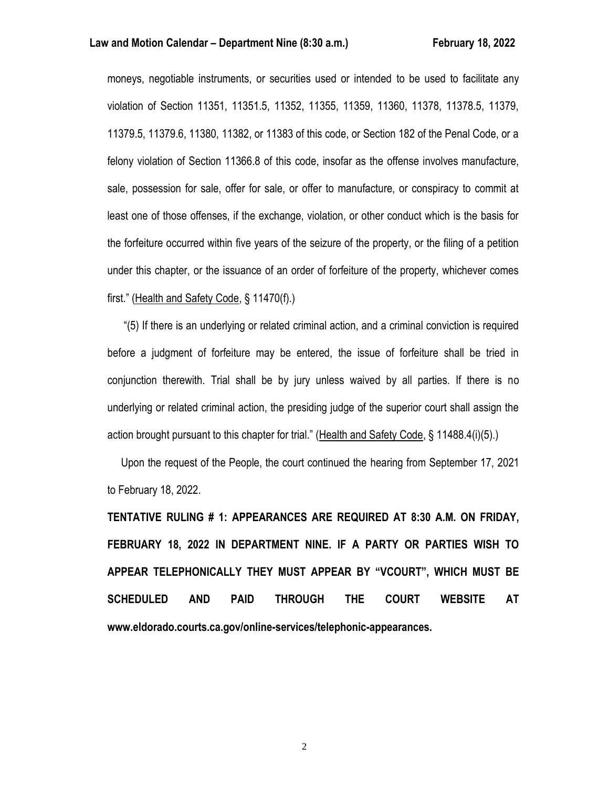### **Law and Motion Calendar – Department Nine (8:30 a.m.) February 18, 2022**

moneys, negotiable instruments, or securities used or intended to be used to facilitate any violation of Section 11351, 11351.5, 11352, 11355, 11359, 11360, 11378, 11378.5, 11379, 11379.5, 11379.6, 11380, 11382, or 11383 of this code, or Section 182 of the Penal Code, or a felony violation of Section 11366.8 of this code, insofar as the offense involves manufacture, sale, possession for sale, offer for sale, or offer to manufacture, or conspiracy to commit at least one of those offenses, if the exchange, violation, or other conduct which is the basis for the forfeiture occurred within five years of the seizure of the property, or the filing of a petition under this chapter, or the issuance of an order of forfeiture of the property, whichever comes first." (Health and Safety Code, § 11470(f).)

 "(5) If there is an underlying or related criminal action, and a criminal conviction is required before a judgment of forfeiture may be entered, the issue of forfeiture shall be tried in conjunction therewith. Trial shall be by jury unless waived by all parties. If there is no underlying or related criminal action, the presiding judge of the superior court shall assign the action brought pursuant to this chapter for trial." (Health and Safety Code, § 11488.4(i)(5).)

 Upon the request of the People, the court continued the hearing from September 17, 2021 to February 18, 2022.

**TENTATIVE RULING # 1: APPEARANCES ARE REQUIRED AT 8:30 A.M. ON FRIDAY, FEBRUARY 18, 2022 IN DEPARTMENT NINE. IF A PARTY OR PARTIES WISH TO APPEAR TELEPHONICALLY THEY MUST APPEAR BY "VCOURT", WHICH MUST BE SCHEDULED AND PAID THROUGH THE COURT WEBSITE AT www.eldorado.courts.ca.gov/online-services/telephonic-appearances.**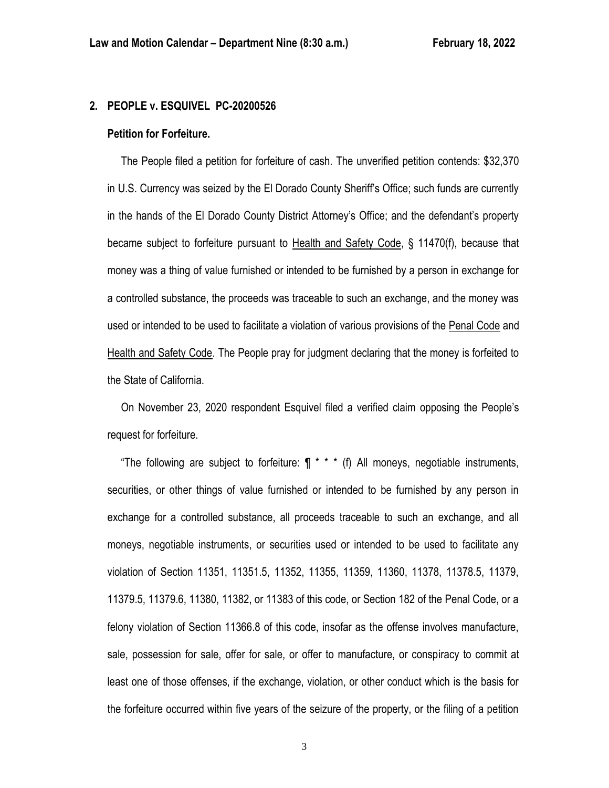## **2. PEOPLE v. ESQUIVEL PC-20200526**

#### **Petition for Forfeiture.**

 The People filed a petition for forfeiture of cash. The unverified petition contends: \$32,370 in U.S. Currency was seized by the El Dorado County Sheriff's Office; such funds are currently in the hands of the El Dorado County District Attorney's Office; and the defendant's property became subject to forfeiture pursuant to Health and Safety Code, § 11470(f), because that money was a thing of value furnished or intended to be furnished by a person in exchange for a controlled substance, the proceeds was traceable to such an exchange, and the money was used or intended to be used to facilitate a violation of various provisions of the Penal Code and Health and Safety Code. The People pray for judgment declaring that the money is forfeited to the State of California.

 On November 23, 2020 respondent Esquivel filed a verified claim opposing the People's request for forfeiture.

"The following are subject to forfeiture:  $\P$  \* \* \* (f) All moneys, negotiable instruments, securities, or other things of value furnished or intended to be furnished by any person in exchange for a controlled substance, all proceeds traceable to such an exchange, and all moneys, negotiable instruments, or securities used or intended to be used to facilitate any violation of Section 11351, 11351.5, 11352, 11355, 11359, 11360, 11378, 11378.5, 11379, 11379.5, 11379.6, 11380, 11382, or 11383 of this code, or Section 182 of the Penal Code, or a felony violation of Section 11366.8 of this code, insofar as the offense involves manufacture, sale, possession for sale, offer for sale, or offer to manufacture, or conspiracy to commit at least one of those offenses, if the exchange, violation, or other conduct which is the basis for the forfeiture occurred within five years of the seizure of the property, or the filing of a petition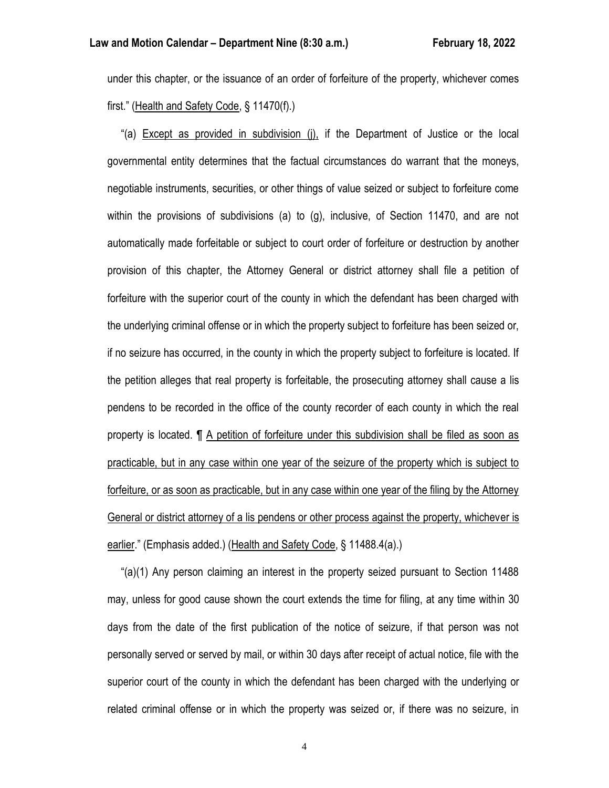under this chapter, or the issuance of an order of forfeiture of the property, whichever comes first." (Health and Safety Code, § 11470(f).)

 "(a) Except as provided in subdivision (j), if the Department of Justice or the local governmental entity determines that the factual circumstances do warrant that the moneys, negotiable instruments, securities, or other things of value seized or subject to forfeiture come within the provisions of subdivisions (a) to (g), inclusive, of Section 11470, and are not automatically made forfeitable or subject to court order of forfeiture or destruction by another provision of this chapter, the Attorney General or district attorney shall file a petition of forfeiture with the superior court of the county in which the defendant has been charged with the underlying criminal offense or in which the property subject to forfeiture has been seized or, if no seizure has occurred, in the county in which the property subject to forfeiture is located. If the petition alleges that real property is forfeitable, the prosecuting attorney shall cause a lis pendens to be recorded in the office of the county recorder of each county in which the real property is located. ¶ A petition of forfeiture under this subdivision shall be filed as soon as practicable, but in any case within one year of the seizure of the property which is subject to forfeiture, or as soon as practicable, but in any case within one year of the filing by the Attorney General or district attorney of a lis pendens or other process against the property, whichever is earlier." (Emphasis added.) (Health and Safety Code, § 11488.4(a).)

 "(a)(1) Any person claiming an interest in the property seized pursuant to Section 11488 may, unless for good cause shown the court extends the time for filing, at any time within 30 days from the date of the first publication of the notice of seizure, if that person was not personally served or served by mail, or within 30 days after receipt of actual notice, file with the superior court of the county in which the defendant has been charged with the underlying or related criminal offense or in which the property was seized or, if there was no seizure, in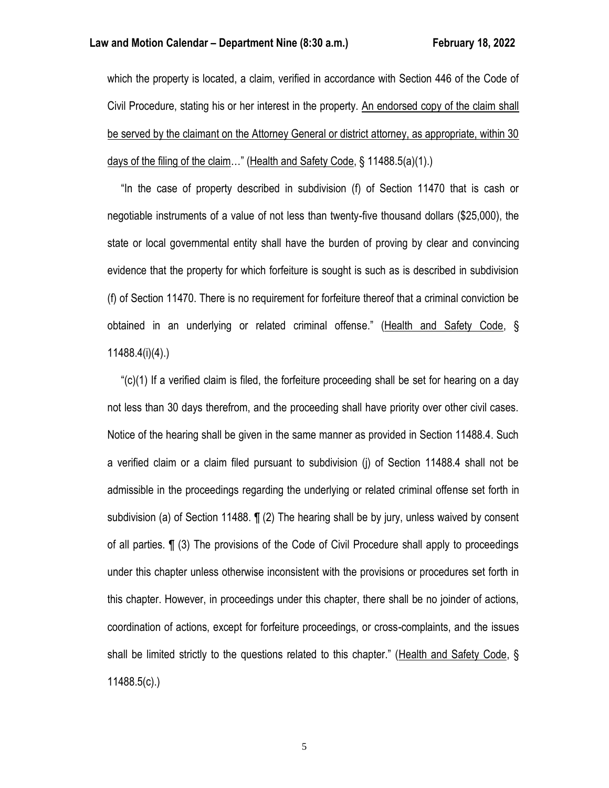which the property is located, a claim, verified in accordance with Section 446 of the Code of Civil Procedure, stating his or her interest in the property. An endorsed copy of the claim shall be served by the claimant on the Attorney General or district attorney, as appropriate, within 30 days of the filing of the claim…" (Health and Safety Code, § 11488.5(a)(1).)

 "In the case of property described in subdivision (f) of Section 11470 that is cash or negotiable instruments of a value of not less than twenty-five thousand dollars (\$25,000), the state or local governmental entity shall have the burden of proving by clear and convincing evidence that the property for which forfeiture is sought is such as is described in subdivision (f) of Section 11470. There is no requirement for forfeiture thereof that a criminal conviction be obtained in an underlying or related criminal offense." (Health and Safety Code, § 11488.4(i)(4).)

" $(c)(1)$  If a verified claim is filed, the forfeiture proceeding shall be set for hearing on a day not less than 30 days therefrom, and the proceeding shall have priority over other civil cases. Notice of the hearing shall be given in the same manner as provided in Section 11488.4. Such a verified claim or a claim filed pursuant to subdivision (j) of Section 11488.4 shall not be admissible in the proceedings regarding the underlying or related criminal offense set forth in subdivision (a) of Section 11488. ¶ (2) The hearing shall be by jury, unless waived by consent of all parties. ¶ (3) The provisions of the Code of Civil Procedure shall apply to proceedings under this chapter unless otherwise inconsistent with the provisions or procedures set forth in this chapter. However, in proceedings under this chapter, there shall be no joinder of actions, coordination of actions, except for forfeiture proceedings, or cross-complaints, and the issues shall be limited strictly to the questions related to this chapter." (Health and Safety Code, § 11488.5(c).)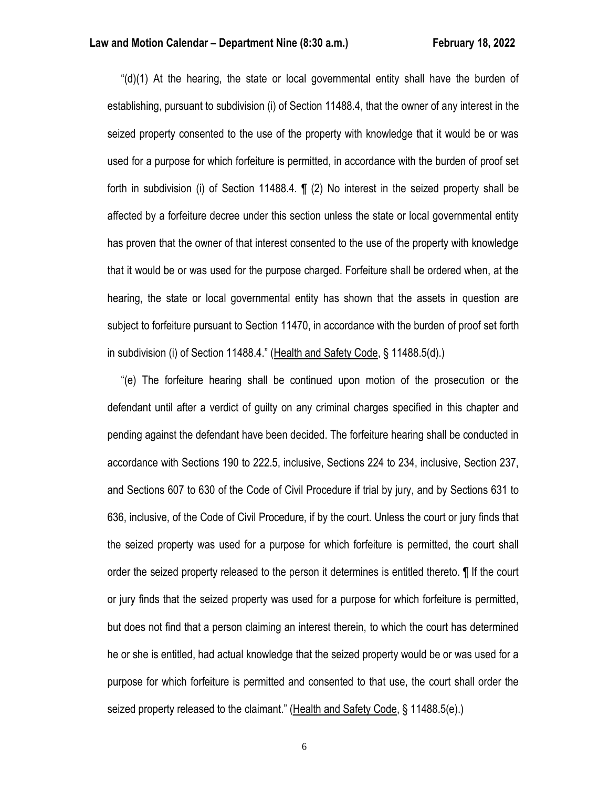" $(d)(1)$  At the hearing, the state or local governmental entity shall have the burden of establishing, pursuant to subdivision (i) of Section 11488.4, that the owner of any interest in the seized property consented to the use of the property with knowledge that it would be or was used for a purpose for which forfeiture is permitted, in accordance with the burden of proof set forth in subdivision (i) of Section 11488.4. ¶ (2) No interest in the seized property shall be affected by a forfeiture decree under this section unless the state or local governmental entity has proven that the owner of that interest consented to the use of the property with knowledge that it would be or was used for the purpose charged. Forfeiture shall be ordered when, at the hearing, the state or local governmental entity has shown that the assets in question are subject to forfeiture pursuant to Section 11470, in accordance with the burden of proof set forth in subdivision (i) of Section 11488.4." (Health and Safety Code, § 11488.5(d).)

 "(e) The forfeiture hearing shall be continued upon motion of the prosecution or the defendant until after a verdict of guilty on any criminal charges specified in this chapter and pending against the defendant have been decided. The forfeiture hearing shall be conducted in accordance with Sections 190 to 222.5, inclusive, Sections 224 to 234, inclusive, Section 237, and Sections 607 to 630 of the Code of Civil Procedure if trial by jury, and by Sections 631 to 636, inclusive, of the Code of Civil Procedure, if by the court. Unless the court or jury finds that the seized property was used for a purpose for which forfeiture is permitted, the court shall order the seized property released to the person it determines is entitled thereto. ¶ If the court or jury finds that the seized property was used for a purpose for which forfeiture is permitted, but does not find that a person claiming an interest therein, to which the court has determined he or she is entitled, had actual knowledge that the seized property would be or was used for a purpose for which forfeiture is permitted and consented to that use, the court shall order the seized property released to the claimant." (Health and Safety Code, § 11488.5(e).)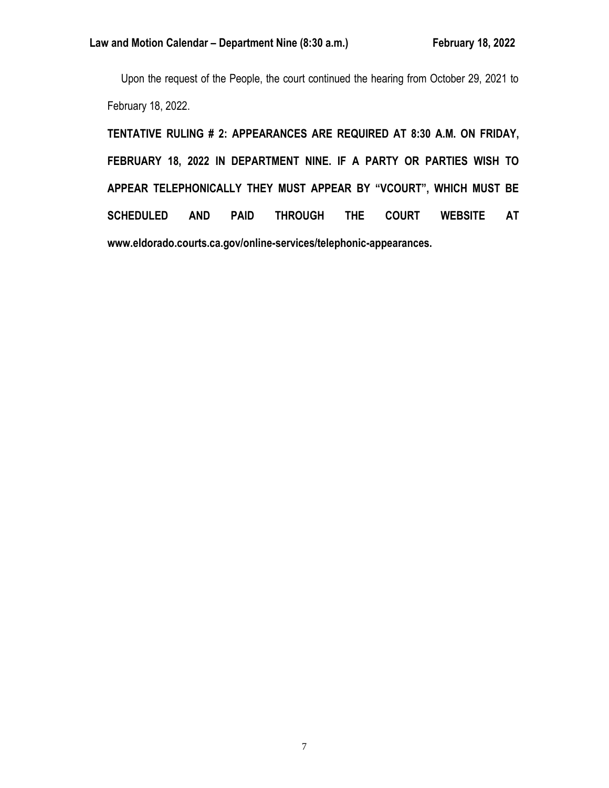Upon the request of the People, the court continued the hearing from October 29, 2021 to February 18, 2022.

**TENTATIVE RULING # 2: APPEARANCES ARE REQUIRED AT 8:30 A.M. ON FRIDAY, FEBRUARY 18, 2022 IN DEPARTMENT NINE. IF A PARTY OR PARTIES WISH TO APPEAR TELEPHONICALLY THEY MUST APPEAR BY "VCOURT", WHICH MUST BE SCHEDULED AND PAID THROUGH THE COURT WEBSITE AT www.eldorado.courts.ca.gov/online-services/telephonic-appearances.**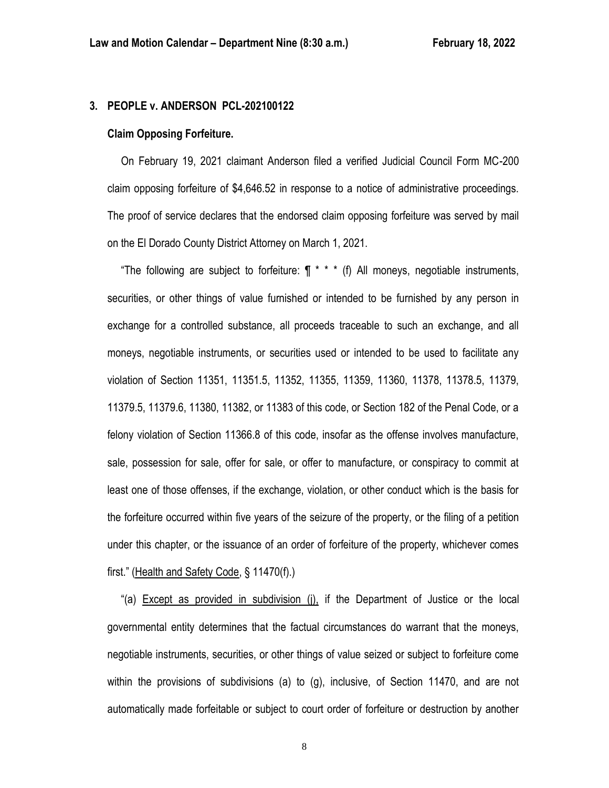### **3. PEOPLE v. ANDERSON PCL-202100122**

### **Claim Opposing Forfeiture.**

 On February 19, 2021 claimant Anderson filed a verified Judicial Council Form MC-200 claim opposing forfeiture of \$4,646.52 in response to a notice of administrative proceedings. The proof of service declares that the endorsed claim opposing forfeiture was served by mail on the El Dorado County District Attorney on March 1, 2021.

"The following are subject to forfeiture:  $\P$  \* \* \* (f) All moneys, negotiable instruments, securities, or other things of value furnished or intended to be furnished by any person in exchange for a controlled substance, all proceeds traceable to such an exchange, and all moneys, negotiable instruments, or securities used or intended to be used to facilitate any violation of Section 11351, 11351.5, 11352, 11355, 11359, 11360, 11378, 11378.5, 11379, 11379.5, 11379.6, 11380, 11382, or 11383 of this code, or Section 182 of the Penal Code, or a felony violation of Section 11366.8 of this code, insofar as the offense involves manufacture, sale, possession for sale, offer for sale, or offer to manufacture, or conspiracy to commit at least one of those offenses, if the exchange, violation, or other conduct which is the basis for the forfeiture occurred within five years of the seizure of the property, or the filing of a petition under this chapter, or the issuance of an order of forfeiture of the property, whichever comes first." (Health and Safety Code, § 11470(f).)

 "(a) Except as provided in subdivision (j), if the Department of Justice or the local governmental entity determines that the factual circumstances do warrant that the moneys, negotiable instruments, securities, or other things of value seized or subject to forfeiture come within the provisions of subdivisions (a) to (g), inclusive, of Section 11470, and are not automatically made forfeitable or subject to court order of forfeiture or destruction by another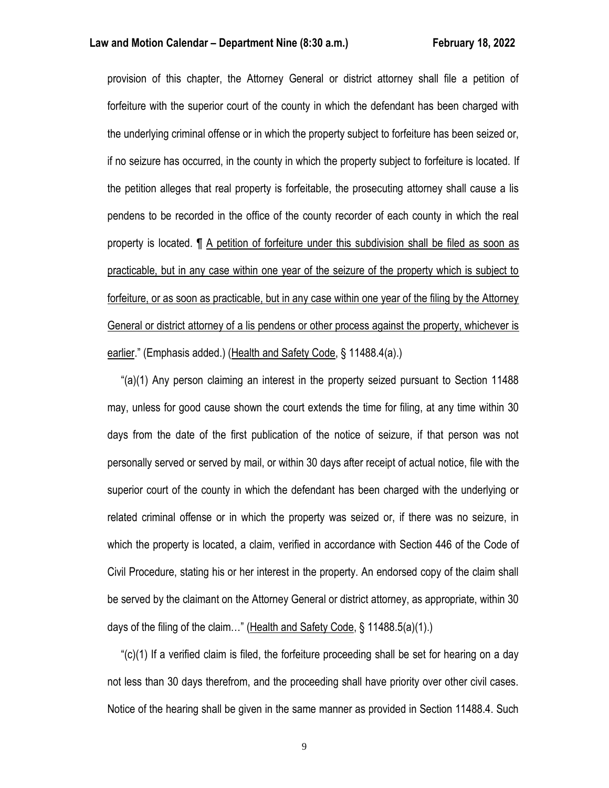### **Law and Motion Calendar – Department Nine (8:30 a.m.) February 18, 2022**

provision of this chapter, the Attorney General or district attorney shall file a petition of forfeiture with the superior court of the county in which the defendant has been charged with the underlying criminal offense or in which the property subject to forfeiture has been seized or, if no seizure has occurred, in the county in which the property subject to forfeiture is located. If the petition alleges that real property is forfeitable, the prosecuting attorney shall cause a lis pendens to be recorded in the office of the county recorder of each county in which the real property is located. ¶ A petition of forfeiture under this subdivision shall be filed as soon as practicable, but in any case within one year of the seizure of the property which is subject to forfeiture, or as soon as practicable, but in any case within one year of the filing by the Attorney General or district attorney of a lis pendens or other process against the property, whichever is earlier." (Emphasis added.) (Health and Safety Code, § 11488.4(a).)

 "(a)(1) Any person claiming an interest in the property seized pursuant to Section 11488 may, unless for good cause shown the court extends the time for filing, at any time within 30 days from the date of the first publication of the notice of seizure, if that person was not personally served or served by mail, or within 30 days after receipt of actual notice, file with the superior court of the county in which the defendant has been charged with the underlying or related criminal offense or in which the property was seized or, if there was no seizure, in which the property is located, a claim, verified in accordance with Section 446 of the Code of Civil Procedure, stating his or her interest in the property. An endorsed copy of the claim shall be served by the claimant on the Attorney General or district attorney, as appropriate, within 30 days of the filing of the claim…" (Health and Safety Code, § 11488.5(a)(1).)

 "(c)(1) If a verified claim is filed, the forfeiture proceeding shall be set for hearing on a day not less than 30 days therefrom, and the proceeding shall have priority over other civil cases. Notice of the hearing shall be given in the same manner as provided in Section 11488.4. Such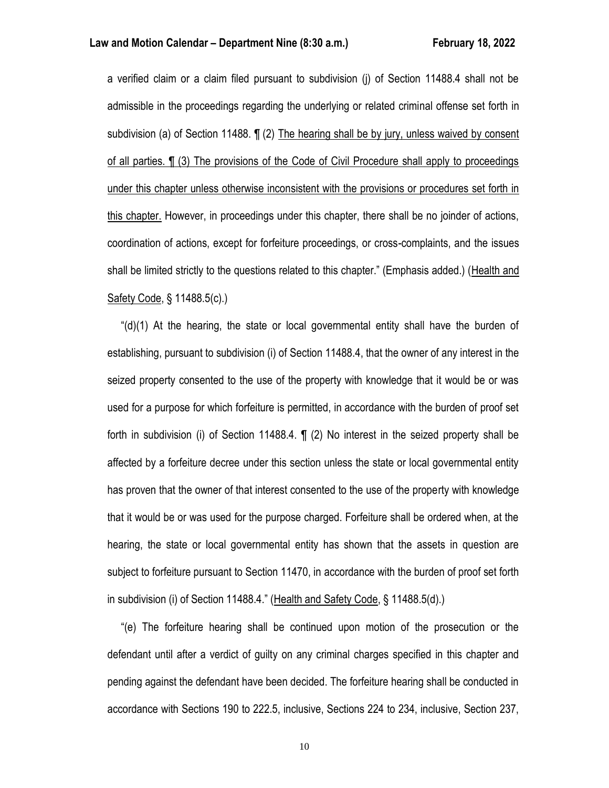a verified claim or a claim filed pursuant to subdivision (j) of Section 11488.4 shall not be admissible in the proceedings regarding the underlying or related criminal offense set forth in subdivision (a) of Section 11488. ¶ (2) The hearing shall be by jury, unless waived by consent of all parties. ¶ (3) The provisions of the Code of Civil Procedure shall apply to proceedings under this chapter unless otherwise inconsistent with the provisions or procedures set forth in this chapter. However, in proceedings under this chapter, there shall be no joinder of actions, coordination of actions, except for forfeiture proceedings, or cross-complaints, and the issues shall be limited strictly to the questions related to this chapter." (Emphasis added.) (Health and Safety Code, § 11488.5(c).)

 "(d)(1) At the hearing, the state or local governmental entity shall have the burden of establishing, pursuant to subdivision (i) of Section 11488.4, that the owner of any interest in the seized property consented to the use of the property with knowledge that it would be or was used for a purpose for which forfeiture is permitted, in accordance with the burden of proof set forth in subdivision (i) of Section 11488.4. ¶ (2) No interest in the seized property shall be affected by a forfeiture decree under this section unless the state or local governmental entity has proven that the owner of that interest consented to the use of the property with knowledge that it would be or was used for the purpose charged. Forfeiture shall be ordered when, at the hearing, the state or local governmental entity has shown that the assets in question are subject to forfeiture pursuant to Section 11470, in accordance with the burden of proof set forth in subdivision (i) of Section 11488.4." (Health and Safety Code, § 11488.5(d).)

 "(e) The forfeiture hearing shall be continued upon motion of the prosecution or the defendant until after a verdict of guilty on any criminal charges specified in this chapter and pending against the defendant have been decided. The forfeiture hearing shall be conducted in accordance with Sections 190 to 222.5, inclusive, Sections 224 to 234, inclusive, Section 237,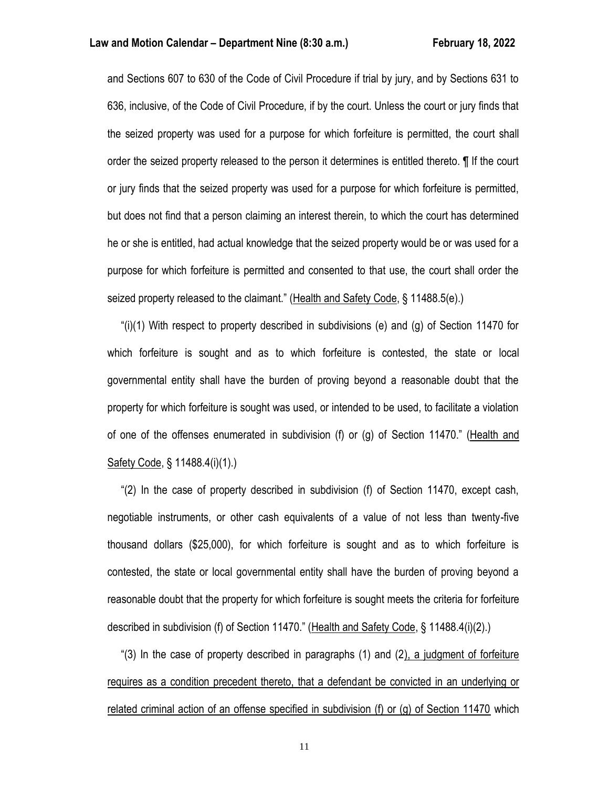and Sections 607 to 630 of the Code of Civil Procedure if trial by jury, and by Sections 631 to 636, inclusive, of the Code of Civil Procedure, if by the court. Unless the court or jury finds that the seized property was used for a purpose for which forfeiture is permitted, the court shall order the seized property released to the person it determines is entitled thereto. ¶ If the court or jury finds that the seized property was used for a purpose for which forfeiture is permitted, but does not find that a person claiming an interest therein, to which the court has determined he or she is entitled, had actual knowledge that the seized property would be or was used for a purpose for which forfeiture is permitted and consented to that use, the court shall order the seized property released to the claimant." (Health and Safety Code, § 11488.5(e).)

"(i)(1) With respect to property described in subdivisions (e) and (q) of Section 11470 for which forfeiture is sought and as to which forfeiture is contested, the state or local governmental entity shall have the burden of proving beyond a reasonable doubt that the property for which forfeiture is sought was used, or intended to be used, to facilitate a violation of one of the offenses enumerated in subdivision (f) or (g) of Section 11470." (Health and Safety Code, § 11488.4(i)(1).)

 "(2) In the case of property described in subdivision (f) of Section 11470, except cash, negotiable instruments, or other cash equivalents of a value of not less than twenty-five thousand dollars (\$25,000), for which forfeiture is sought and as to which forfeiture is contested, the state or local governmental entity shall have the burden of proving beyond a reasonable doubt that the property for which forfeiture is sought meets the criteria for forfeiture described in subdivision (f) of Section 11470." (Health and Safety Code, § 11488.4(i)(2).)

 "(3) In the case of property described in paragraphs (1) and (2), a judgment of forfeiture requires as a condition precedent thereto, that a defendant be convicted in an underlying or related criminal action of an offense specified in subdivision (f) or (g) of Section 11470 which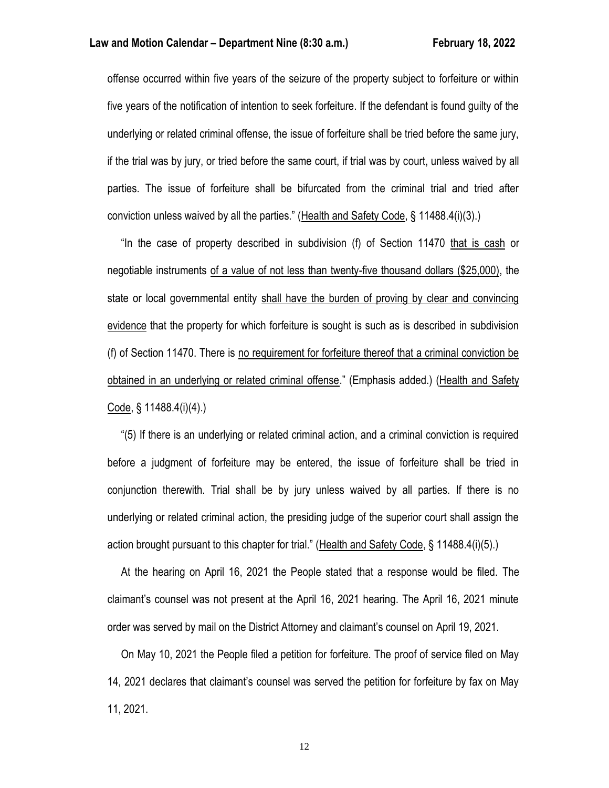offense occurred within five years of the seizure of the property subject to forfeiture or within five years of the notification of intention to seek forfeiture. If the defendant is found guilty of the underlying or related criminal offense, the issue of forfeiture shall be tried before the same jury, if the trial was by jury, or tried before the same court, if trial was by court, unless waived by all parties. The issue of forfeiture shall be bifurcated from the criminal trial and tried after conviction unless waived by all the parties." (Health and Safety Code, § 11488.4(i)(3).)

 "In the case of property described in subdivision (f) of Section 11470 that is cash or negotiable instruments of a value of not less than twenty-five thousand dollars (\$25,000), the state or local governmental entity shall have the burden of proving by clear and convincing evidence that the property for which forfeiture is sought is such as is described in subdivision (f) of Section 11470. There is no requirement for forfeiture thereof that a criminal conviction be obtained in an underlying or related criminal offense." (Emphasis added.) (Health and Safety Code, § 11488.4(i)(4).)

 "(5) If there is an underlying or related criminal action, and a criminal conviction is required before a judgment of forfeiture may be entered, the issue of forfeiture shall be tried in conjunction therewith. Trial shall be by jury unless waived by all parties. If there is no underlying or related criminal action, the presiding judge of the superior court shall assign the action brought pursuant to this chapter for trial." (Health and Safety Code, § 11488.4(i)(5).)

 At the hearing on April 16, 2021 the People stated that a response would be filed. The claimant's counsel was not present at the April 16, 2021 hearing. The April 16, 2021 minute order was served by mail on the District Attorney and claimant's counsel on April 19, 2021.

 On May 10, 2021 the People filed a petition for forfeiture. The proof of service filed on May 14, 2021 declares that claimant's counsel was served the petition for forfeiture by fax on May 11, 2021.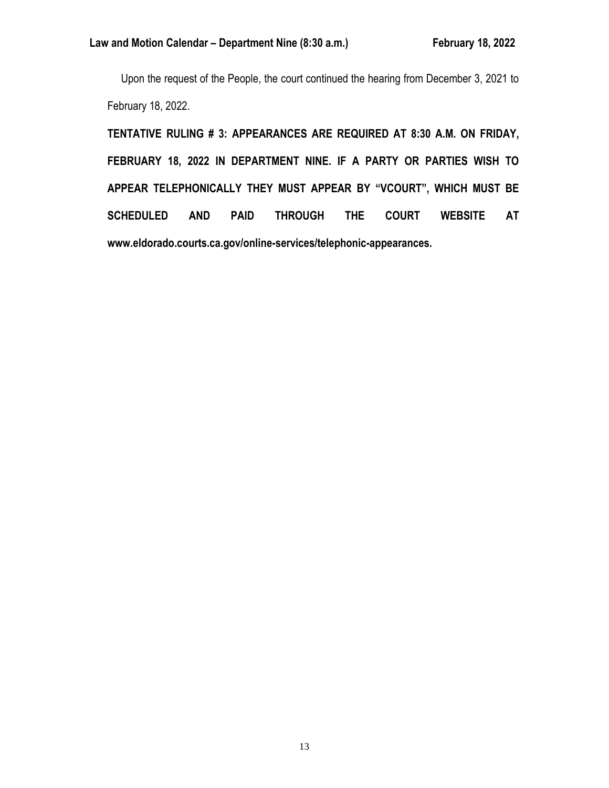Upon the request of the People, the court continued the hearing from December 3, 2021 to February 18, 2022.

**TENTATIVE RULING # 3: APPEARANCES ARE REQUIRED AT 8:30 A.M. ON FRIDAY, FEBRUARY 18, 2022 IN DEPARTMENT NINE. IF A PARTY OR PARTIES WISH TO APPEAR TELEPHONICALLY THEY MUST APPEAR BY "VCOURT", WHICH MUST BE SCHEDULED AND PAID THROUGH THE COURT WEBSITE AT www.eldorado.courts.ca.gov/online-services/telephonic-appearances.**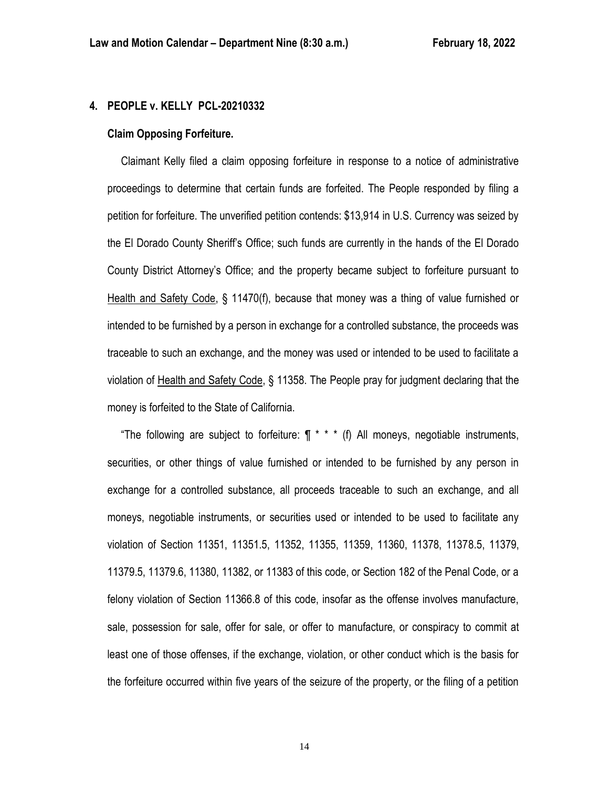## **4. PEOPLE v. KELLY PCL-20210332**

### **Claim Opposing Forfeiture.**

 Claimant Kelly filed a claim opposing forfeiture in response to a notice of administrative proceedings to determine that certain funds are forfeited. The People responded by filing a petition for forfeiture. The unverified petition contends: \$13,914 in U.S. Currency was seized by the El Dorado County Sheriff's Office; such funds are currently in the hands of the El Dorado County District Attorney's Office; and the property became subject to forfeiture pursuant to Health and Safety Code, § 11470(f), because that money was a thing of value furnished or intended to be furnished by a person in exchange for a controlled substance, the proceeds was traceable to such an exchange, and the money was used or intended to be used to facilitate a violation of Health and Safety Code, § 11358. The People pray for judgment declaring that the money is forfeited to the State of California.

"The following are subject to forfeiture:  $\P$  \* \* \* (f) All moneys, negotiable instruments, securities, or other things of value furnished or intended to be furnished by any person in exchange for a controlled substance, all proceeds traceable to such an exchange, and all moneys, negotiable instruments, or securities used or intended to be used to facilitate any violation of Section 11351, 11351.5, 11352, 11355, 11359, 11360, 11378, 11378.5, 11379, 11379.5, 11379.6, 11380, 11382, or 11383 of this code, or Section 182 of the Penal Code, or a felony violation of Section 11366.8 of this code, insofar as the offense involves manufacture, sale, possession for sale, offer for sale, or offer to manufacture, or conspiracy to commit at least one of those offenses, if the exchange, violation, or other conduct which is the basis for the forfeiture occurred within five years of the seizure of the property, or the filing of a petition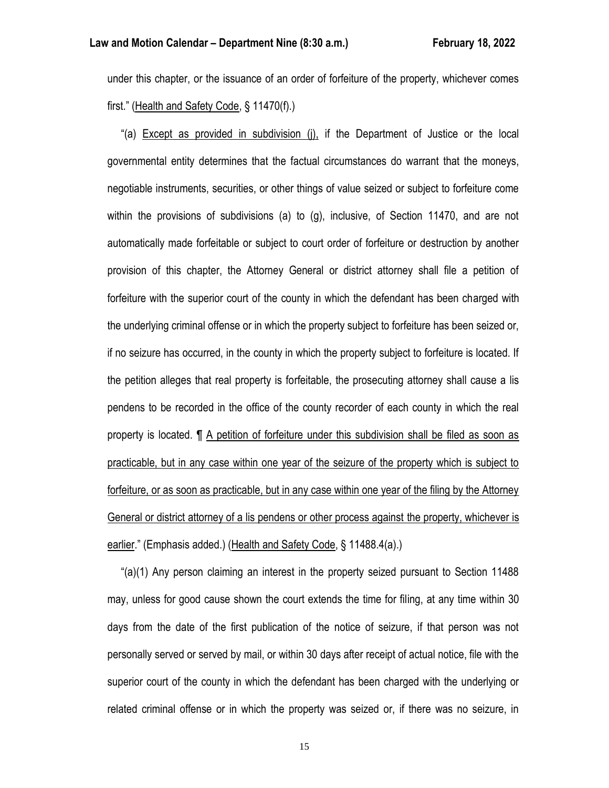under this chapter, or the issuance of an order of forfeiture of the property, whichever comes first." (Health and Safety Code, § 11470(f).)

 "(a) Except as provided in subdivision (j), if the Department of Justice or the local governmental entity determines that the factual circumstances do warrant that the moneys, negotiable instruments, securities, or other things of value seized or subject to forfeiture come within the provisions of subdivisions (a) to (g), inclusive, of Section 11470, and are not automatically made forfeitable or subject to court order of forfeiture or destruction by another provision of this chapter, the Attorney General or district attorney shall file a petition of forfeiture with the superior court of the county in which the defendant has been charged with the underlying criminal offense or in which the property subject to forfeiture has been seized or, if no seizure has occurred, in the county in which the property subject to forfeiture is located. If the petition alleges that real property is forfeitable, the prosecuting attorney shall cause a lis pendens to be recorded in the office of the county recorder of each county in which the real property is located. ¶ A petition of forfeiture under this subdivision shall be filed as soon as practicable, but in any case within one year of the seizure of the property which is subject to forfeiture, or as soon as practicable, but in any case within one year of the filing by the Attorney General or district attorney of a lis pendens or other process against the property, whichever is earlier." (Emphasis added.) (Health and Safety Code, § 11488.4(a).)

 "(a)(1) Any person claiming an interest in the property seized pursuant to Section 11488 may, unless for good cause shown the court extends the time for filing, at any time within 30 days from the date of the first publication of the notice of seizure, if that person was not personally served or served by mail, or within 30 days after receipt of actual notice, file with the superior court of the county in which the defendant has been charged with the underlying or related criminal offense or in which the property was seized or, if there was no seizure, in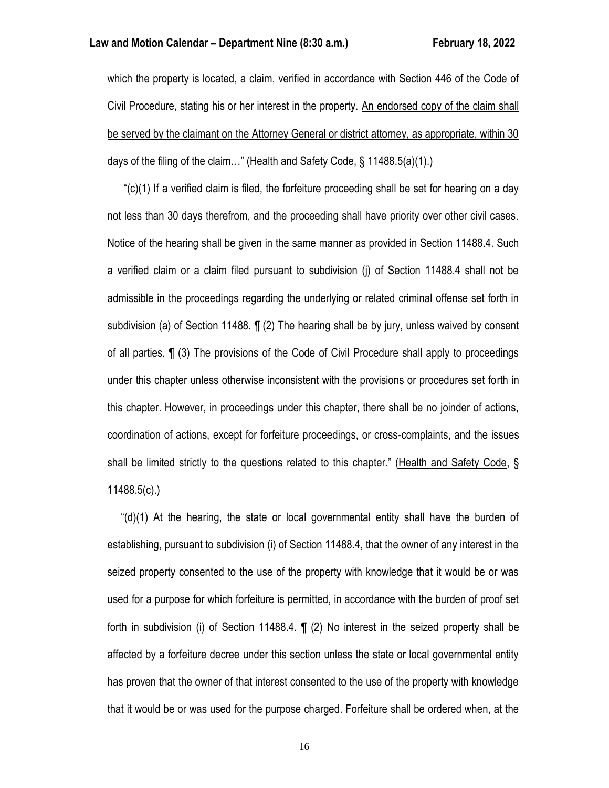which the property is located, a claim, verified in accordance with Section 446 of the Code of Civil Procedure, stating his or her interest in the property. An endorsed copy of the claim shall be served by the claimant on the Attorney General or district attorney, as appropriate, within 30 days of the filing of the claim…" (Health and Safety Code, § 11488.5(a)(1).)

" $(c)(1)$  If a verified claim is filed, the forfeiture proceeding shall be set for hearing on a day not less than 30 days therefrom, and the proceeding shall have priority over other civil cases. Notice of the hearing shall be given in the same manner as provided in Section 11488.4. Such a verified claim or a claim filed pursuant to subdivision (j) of Section 11488.4 shall not be admissible in the proceedings regarding the underlying or related criminal offense set forth in subdivision (a) of Section 11488. ¶ (2) The hearing shall be by jury, unless waived by consent of all parties. ¶ (3) The provisions of the Code of Civil Procedure shall apply to proceedings under this chapter unless otherwise inconsistent with the provisions or procedures set forth in this chapter. However, in proceedings under this chapter, there shall be no joinder of actions, coordination of actions, except for forfeiture proceedings, or cross-complaints, and the issues shall be limited strictly to the questions related to this chapter." (Health and Safety Code, § 11488.5(c).)

" $(d)(1)$  At the hearing, the state or local governmental entity shall have the burden of establishing, pursuant to subdivision (i) of Section 11488.4, that the owner of any interest in the seized property consented to the use of the property with knowledge that it would be or was used for a purpose for which forfeiture is permitted, in accordance with the burden of proof set forth in subdivision (i) of Section 11488.4. ¶ (2) No interest in the seized property shall be affected by a forfeiture decree under this section unless the state or local governmental entity has proven that the owner of that interest consented to the use of the property with knowledge that it would be or was used for the purpose charged. Forfeiture shall be ordered when, at the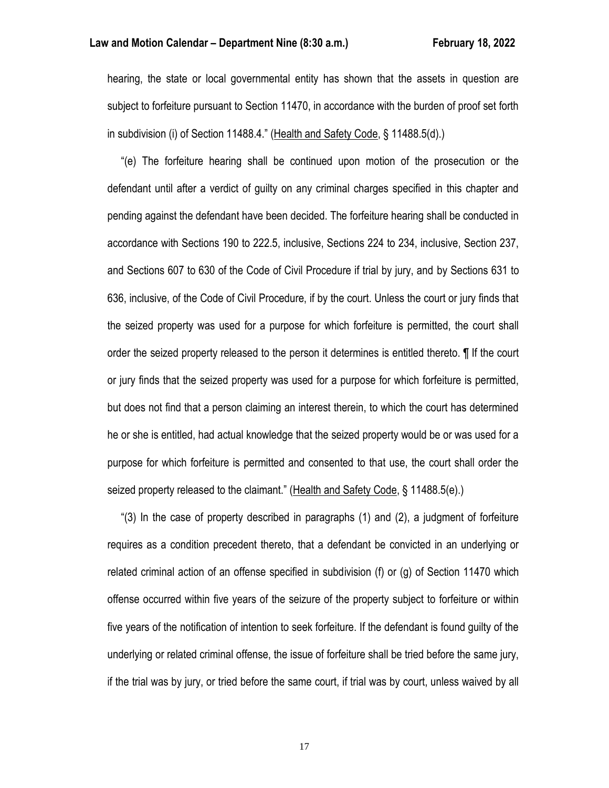hearing, the state or local governmental entity has shown that the assets in question are subject to forfeiture pursuant to Section 11470, in accordance with the burden of proof set forth in subdivision (i) of Section 11488.4." (Health and Safety Code, § 11488.5(d).)

 "(e) The forfeiture hearing shall be continued upon motion of the prosecution or the defendant until after a verdict of guilty on any criminal charges specified in this chapter and pending against the defendant have been decided. The forfeiture hearing shall be conducted in accordance with Sections 190 to 222.5, inclusive, Sections 224 to 234, inclusive, Section 237, and Sections 607 to 630 of the Code of Civil Procedure if trial by jury, and by Sections 631 to 636, inclusive, of the Code of Civil Procedure, if by the court. Unless the court or jury finds that the seized property was used for a purpose for which forfeiture is permitted, the court shall order the seized property released to the person it determines is entitled thereto. ¶ If the court or jury finds that the seized property was used for a purpose for which forfeiture is permitted, but does not find that a person claiming an interest therein, to which the court has determined he or she is entitled, had actual knowledge that the seized property would be or was used for a purpose for which forfeiture is permitted and consented to that use, the court shall order the seized property released to the claimant." (Health and Safety Code, § 11488.5(e).)

 "(3) In the case of property described in paragraphs (1) and (2), a judgment of forfeiture requires as a condition precedent thereto, that a defendant be convicted in an underlying or related criminal action of an offense specified in subdivision (f) or (g) of Section 11470 which offense occurred within five years of the seizure of the property subject to forfeiture or within five years of the notification of intention to seek forfeiture. If the defendant is found guilty of the underlying or related criminal offense, the issue of forfeiture shall be tried before the same jury, if the trial was by jury, or tried before the same court, if trial was by court, unless waived by all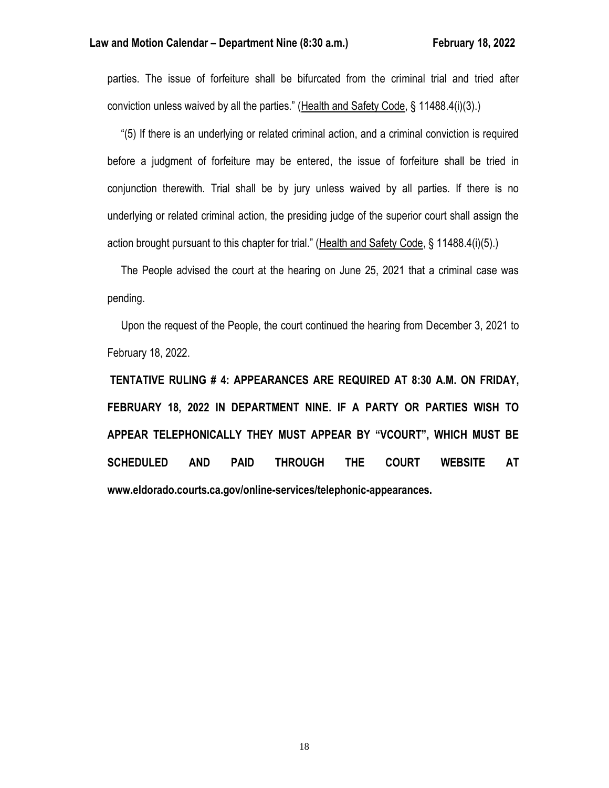parties. The issue of forfeiture shall be bifurcated from the criminal trial and tried after conviction unless waived by all the parties." (Health and Safety Code, § 11488.4(i)(3).)

 "(5) If there is an underlying or related criminal action, and a criminal conviction is required before a judgment of forfeiture may be entered, the issue of forfeiture shall be tried in conjunction therewith. Trial shall be by jury unless waived by all parties. If there is no underlying or related criminal action, the presiding judge of the superior court shall assign the action brought pursuant to this chapter for trial." (Health and Safety Code, § 11488.4(i)(5).)

 The People advised the court at the hearing on June 25, 2021 that a criminal case was pending.

 Upon the request of the People, the court continued the hearing from December 3, 2021 to February 18, 2022.

**TENTATIVE RULING # 4: APPEARANCES ARE REQUIRED AT 8:30 A.M. ON FRIDAY, FEBRUARY 18, 2022 IN DEPARTMENT NINE. IF A PARTY OR PARTIES WISH TO APPEAR TELEPHONICALLY THEY MUST APPEAR BY "VCOURT", WHICH MUST BE SCHEDULED AND PAID THROUGH THE COURT WEBSITE AT www.eldorado.courts.ca.gov/online-services/telephonic-appearances.**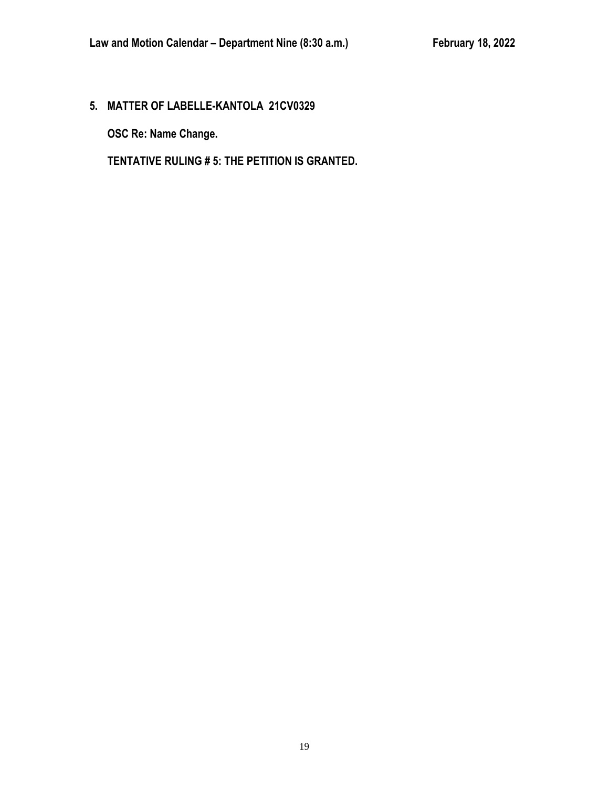**5. MATTER OF LABELLE-KANTOLA 21CV0329**

**OSC Re: Name Change.**

**TENTATIVE RULING # 5: THE PETITION IS GRANTED.**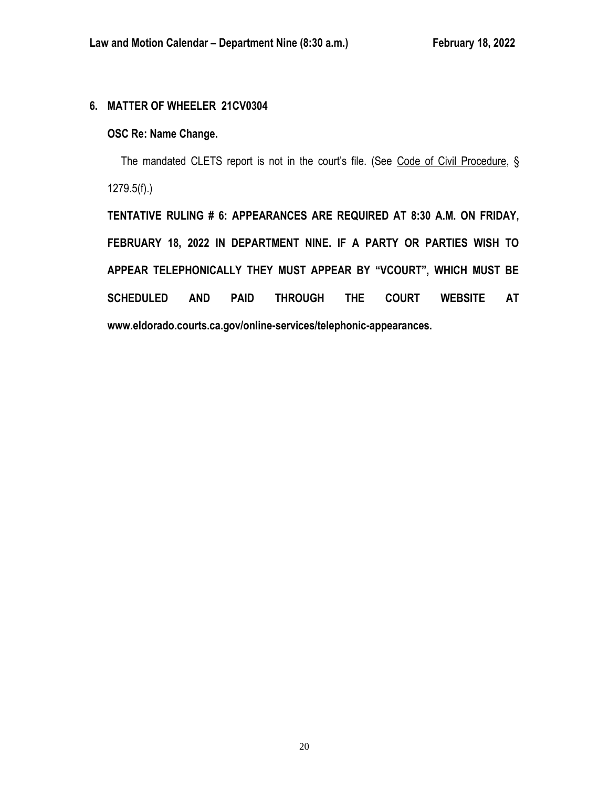# **6. MATTER OF WHEELER 21CV0304**

## **OSC Re: Name Change.**

The mandated CLETS report is not in the court's file. (See Code of Civil Procedure, § 1279.5(f).)

**TENTATIVE RULING # 6: APPEARANCES ARE REQUIRED AT 8:30 A.M. ON FRIDAY, FEBRUARY 18, 2022 IN DEPARTMENT NINE. IF A PARTY OR PARTIES WISH TO APPEAR TELEPHONICALLY THEY MUST APPEAR BY "VCOURT", WHICH MUST BE SCHEDULED AND PAID THROUGH THE COURT WEBSITE AT www.eldorado.courts.ca.gov/online-services/telephonic-appearances.**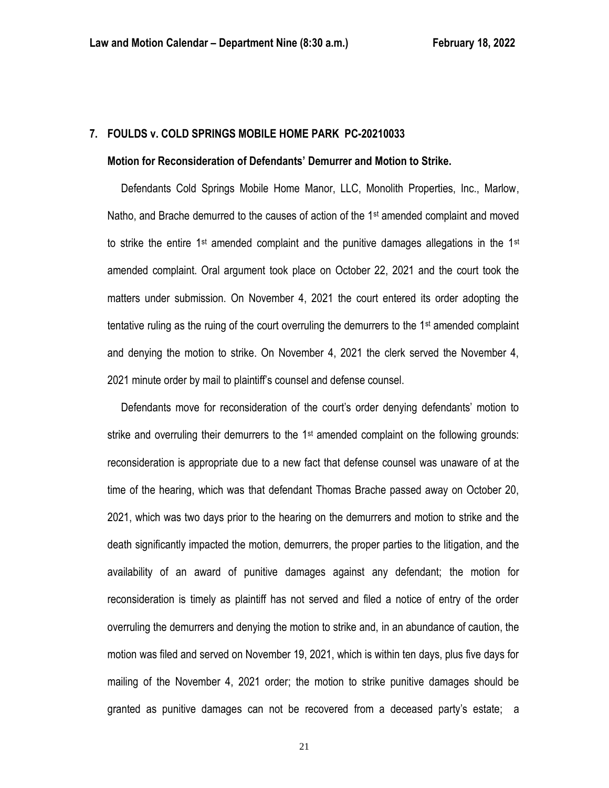## **7. FOULDS v. COLD SPRINGS MOBILE HOME PARK PC-20210033**

### **Motion for Reconsideration of Defendants' Demurrer and Motion to Strike.**

 Defendants Cold Springs Mobile Home Manor, LLC, Monolith Properties, Inc., Marlow, Natho, and Brache demurred to the causes of action of the  $1<sup>st</sup>$  amended complaint and moved to strike the entire 1<sup>st</sup> amended complaint and the punitive damages allegations in the 1<sup>st</sup> amended complaint. Oral argument took place on October 22, 2021 and the court took the matters under submission. On November 4, 2021 the court entered its order adopting the tentative ruling as the ruing of the court overruling the demurrers to the  $1st$  amended complaint and denying the motion to strike. On November 4, 2021 the clerk served the November 4, 2021 minute order by mail to plaintiff's counsel and defense counsel.

 Defendants move for reconsideration of the court's order denying defendants' motion to strike and overruling their demurrers to the 1<sup>st</sup> amended complaint on the following grounds: reconsideration is appropriate due to a new fact that defense counsel was unaware of at the time of the hearing, which was that defendant Thomas Brache passed away on October 20, 2021, which was two days prior to the hearing on the demurrers and motion to strike and the death significantly impacted the motion, demurrers, the proper parties to the litigation, and the availability of an award of punitive damages against any defendant; the motion for reconsideration is timely as plaintiff has not served and filed a notice of entry of the order overruling the demurrers and denying the motion to strike and, in an abundance of caution, the motion was filed and served on November 19, 2021, which is within ten days, plus five days for mailing of the November 4, 2021 order; the motion to strike punitive damages should be granted as punitive damages can not be recovered from a deceased party's estate; a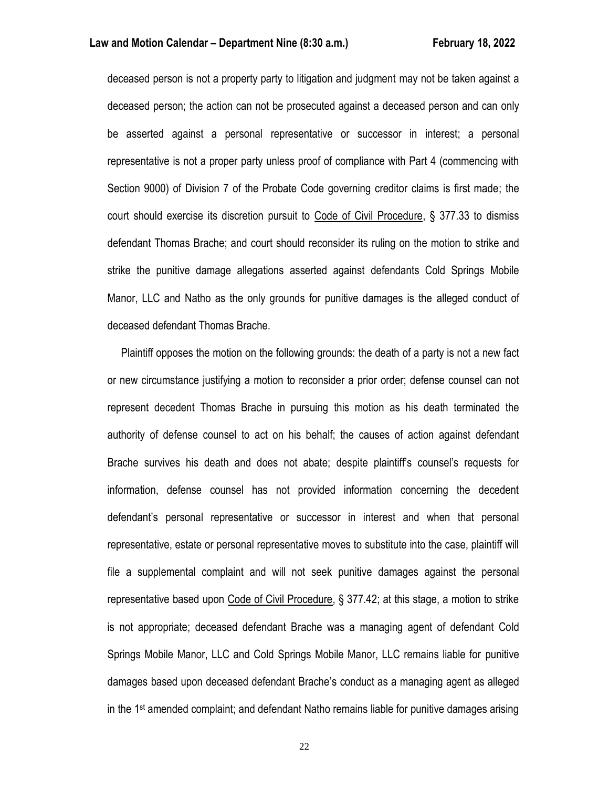deceased person is not a property party to litigation and judgment may not be taken against a deceased person; the action can not be prosecuted against a deceased person and can only be asserted against a personal representative or successor in interest; a personal representative is not a proper party unless proof of compliance with Part 4 (commencing with Section 9000) of Division 7 of the Probate Code governing creditor claims is first made; the court should exercise its discretion pursuit to Code of Civil Procedure, § 377.33 to dismiss defendant Thomas Brache; and court should reconsider its ruling on the motion to strike and strike the punitive damage allegations asserted against defendants Cold Springs Mobile Manor, LLC and Natho as the only grounds for punitive damages is the alleged conduct of deceased defendant Thomas Brache.

 Plaintiff opposes the motion on the following grounds: the death of a party is not a new fact or new circumstance justifying a motion to reconsider a prior order; defense counsel can not represent decedent Thomas Brache in pursuing this motion as his death terminated the authority of defense counsel to act on his behalf; the causes of action against defendant Brache survives his death and does not abate; despite plaintiff's counsel's requests for information, defense counsel has not provided information concerning the decedent defendant's personal representative or successor in interest and when that personal representative, estate or personal representative moves to substitute into the case, plaintiff will file a supplemental complaint and will not seek punitive damages against the personal representative based upon Code of Civil Procedure, § 377.42; at this stage, a motion to strike is not appropriate; deceased defendant Brache was a managing agent of defendant Cold Springs Mobile Manor, LLC and Cold Springs Mobile Manor, LLC remains liable for punitive damages based upon deceased defendant Brache's conduct as a managing agent as alleged in the 1st amended complaint; and defendant Natho remains liable for punitive damages arising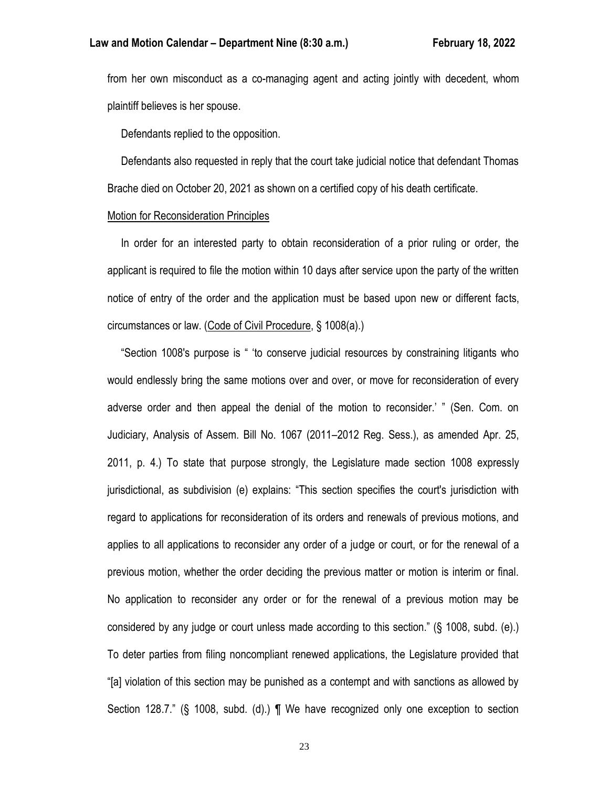from her own misconduct as a co-managing agent and acting jointly with decedent, whom plaintiff believes is her spouse.

Defendants replied to the opposition.

 Defendants also requested in reply that the court take judicial notice that defendant Thomas Brache died on October 20, 2021 as shown on a certified copy of his death certificate.

### Motion for Reconsideration Principles

 In order for an interested party to obtain reconsideration of a prior ruling or order, the applicant is required to file the motion within 10 days after service upon the party of the written notice of entry of the order and the application must be based upon new or different facts, circumstances or law. (Code of Civil Procedure, § 1008(a).)

 "Section 1008's purpose is " 'to conserve judicial resources by constraining litigants who would endlessly bring the same motions over and over, or move for reconsideration of every adverse order and then appeal the denial of the motion to reconsider.' " (Sen. Com. on Judiciary, Analysis of Assem. Bill No. 1067 (2011–2012 Reg. Sess.), as amended Apr. 25, 2011, p. 4.) To state that purpose strongly, the Legislature made section 1008 expressly jurisdictional, as subdivision (e) explains: "This section specifies the court's jurisdiction with regard to applications for reconsideration of its orders and renewals of previous motions, and applies to all applications to reconsider any order of a judge or court, or for the renewal of a previous motion, whether the order deciding the previous matter or motion is interim or final. No application to reconsider any order or for the renewal of a previous motion may be considered by any judge or court unless made according to this section." (§ 1008, subd. (e).) To deter parties from filing noncompliant renewed applications, the Legislature provided that "[a] violation of this section may be punished as a contempt and with sanctions as allowed by Section 128.7." (§ 1008, subd. (d).) ¶ We have recognized only one exception to section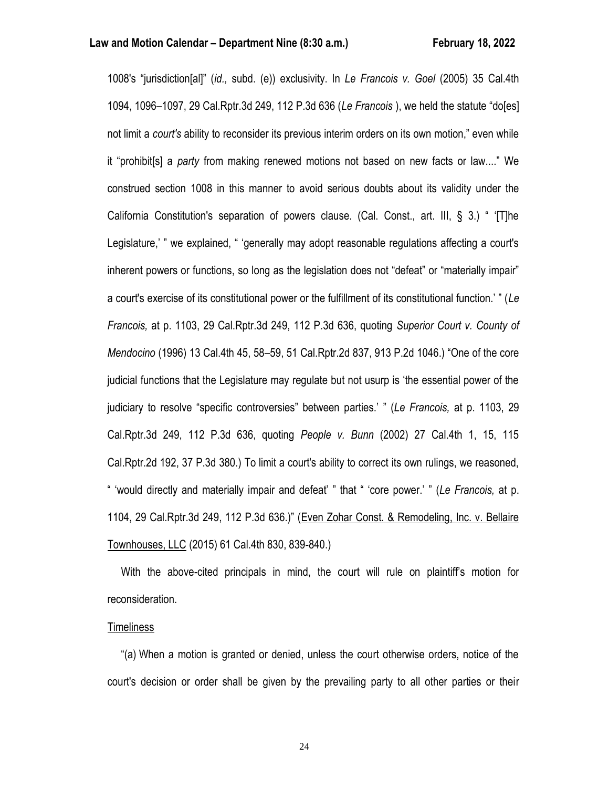1008's "jurisdiction[al]" (*id.,* subd. (e)) exclusivity. In *Le Francois v. Goel* (2005) 35 Cal.4th 1094, 1096–1097, 29 Cal.Rptr.3d 249, 112 P.3d 636 (*Le Francois* ), we held the statute "do[es] not limit a *court's* ability to reconsider its previous interim orders on its own motion," even while it "prohibit[s] a *party* from making renewed motions not based on new facts or law...." We construed section 1008 in this manner to avoid serious doubts about its validity under the California Constitution's separation of powers clause. (Cal. Const., art. III, § 3.) " '[T]he Legislature,' " we explained, " 'generally may adopt reasonable regulations affecting a court's inherent powers or functions, so long as the legislation does not "defeat" or "materially impair" a court's exercise of its constitutional power or the fulfillment of its constitutional function.' " (*Le Francois,* at p. 1103, 29 Cal.Rptr.3d 249, 112 P.3d 636, quoting *Superior Court v. County of Mendocino* (1996) 13 Cal.4th 45, 58–59, 51 Cal.Rptr.2d 837, 913 P.2d 1046.) "One of the core judicial functions that the Legislature may regulate but not usurp is 'the essential power of the judiciary to resolve "specific controversies" between parties.' " (*Le Francois,* at p. 1103, 29 Cal.Rptr.3d 249, 112 P.3d 636, quoting *People v. Bunn* (2002) 27 Cal.4th 1, 15, 115 Cal.Rptr.2d 192, 37 P.3d 380.) To limit a court's ability to correct its own rulings, we reasoned, " 'would directly and materially impair and defeat' " that " 'core power.' " (*Le Francois,* at p. 1104, 29 Cal.Rptr.3d 249, 112 P.3d 636.)" (Even Zohar Const. & Remodeling, Inc. v. Bellaire Townhouses, LLC (2015) 61 Cal.4th 830, 839-840.)

 With the above-cited principals in mind, the court will rule on plaintiff's motion for reconsideration.

### Timeliness

 "(a) When a motion is granted or denied, unless the court otherwise orders, notice of the court's decision or order shall be given by the prevailing party to all other parties or their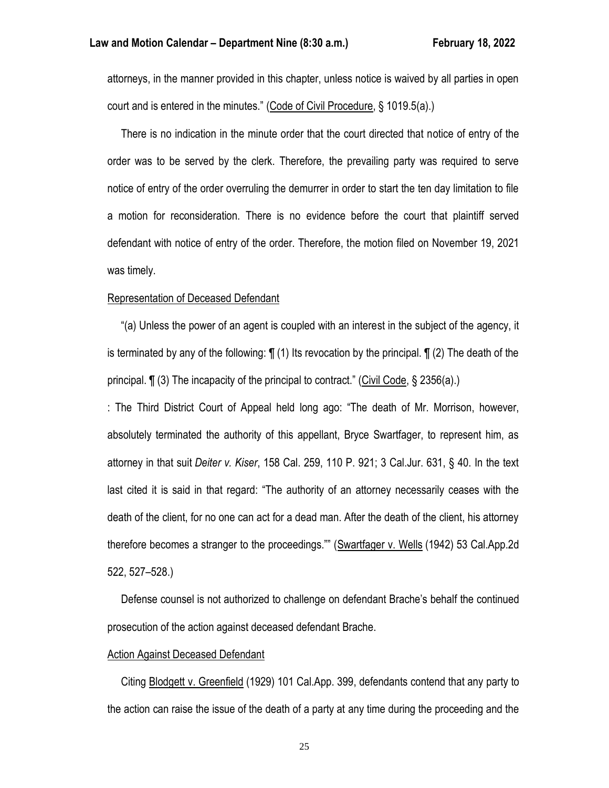attorneys, in the manner provided in this chapter, unless notice is waived by all parties in open court and is entered in the minutes." (Code of Civil Procedure, § 1019.5(a).)

 There is no indication in the minute order that the court directed that notice of entry of the order was to be served by the clerk. Therefore, the prevailing party was required to serve notice of entry of the order overruling the demurrer in order to start the ten day limitation to file a motion for reconsideration. There is no evidence before the court that plaintiff served defendant with notice of entry of the order. Therefore, the motion filed on November 19, 2021 was timely.

### Representation of Deceased Defendant

 "(a) Unless the power of an agent is coupled with an interest in the subject of the agency, it is terminated by any of the following:  $\P(1)$  its revocation by the principal.  $\P(2)$  The death of the principal. ¶ (3) The incapacity of the principal to contract." (Civil Code, § 2356(a).)

: The Third District Court of Appeal held long ago: "The death of Mr. Morrison, however, absolutely terminated the authority of this appellant, Bryce Swartfager, to represent him, as attorney in that suit *Deiter v. Kiser*, 158 Cal. 259, 110 P. 921; 3 Cal.Jur. 631, § 40. In the text last cited it is said in that regard: "The authority of an attorney necessarily ceases with the death of the client, for no one can act for a dead man. After the death of the client, his attorney therefore becomes a stranger to the proceedings."" (Swartfager v. Wells (1942) 53 Cal.App.2d 522, 527–528.)

 Defense counsel is not authorized to challenge on defendant Brache's behalf the continued prosecution of the action against deceased defendant Brache.

### Action Against Deceased Defendant

 Citing Blodgett v. Greenfield (1929) 101 Cal.App. 399, defendants contend that any party to the action can raise the issue of the death of a party at any time during the proceeding and the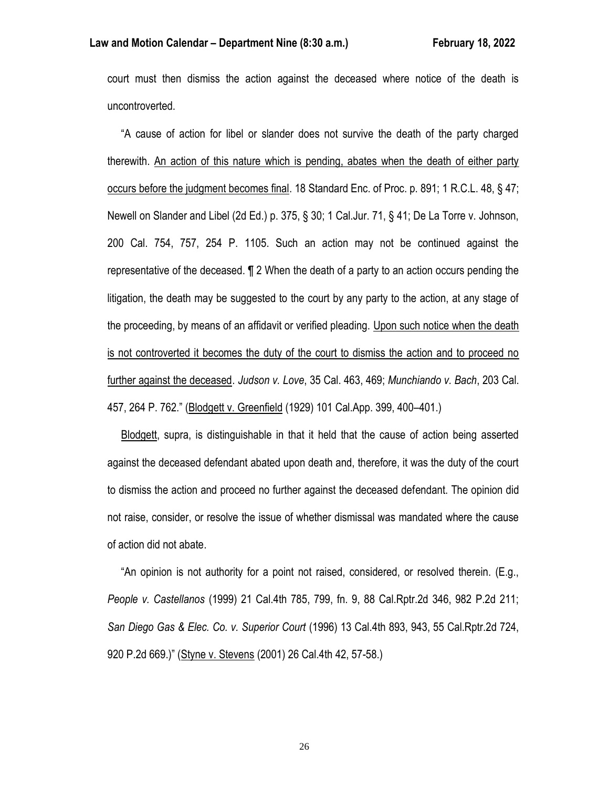court must then dismiss the action against the deceased where notice of the death is uncontroverted.

 "A cause of action for libel or slander does not survive the death of the party charged therewith. An action of this nature which is pending, abates when the death of either party occurs before the judgment becomes final. 18 Standard Enc. of Proc. p. 891; 1 R.C.L. 48, § 47; Newell on Slander and Libel (2d Ed.) p. 375, § 30; 1 Cal.Jur. 71, § 41; De La Torre v. Johnson, 200 Cal. 754, 757, 254 P. 1105. Such an action may not be continued against the representative of the deceased. ¶ 2 When the death of a party to an action occurs pending the litigation, the death may be suggested to the court by any party to the action, at any stage of the proceeding, by means of an affidavit or verified pleading. Upon such notice when the death is not controverted it becomes the duty of the court to dismiss the action and to proceed no further against the deceased. *Judson v. Love*, 35 Cal. 463, 469; *Munchiando v. Bach*, 203 Cal. 457, 264 P. 762." (Blodgett v. Greenfield (1929) 101 Cal.App. 399, 400–401.)

 Blodgett, supra, is distinguishable in that it held that the cause of action being asserted against the deceased defendant abated upon death and, therefore, it was the duty of the court to dismiss the action and proceed no further against the deceased defendant. The opinion did not raise, consider, or resolve the issue of whether dismissal was mandated where the cause of action did not abate.

 "An opinion is not authority for a point not raised, considered, or resolved therein. (E.g., *People v. Castellanos* (1999) 21 Cal.4th 785, 799, fn. 9, 88 Cal.Rptr.2d 346, 982 P.2d 211; *San Diego Gas & Elec. Co. v. Superior Court* (1996) 13 Cal.4th 893, 943, 55 Cal.Rptr.2d 724, 920 P.2d 669.)" (Styne v. Stevens (2001) 26 Cal.4th 42, 57-58.)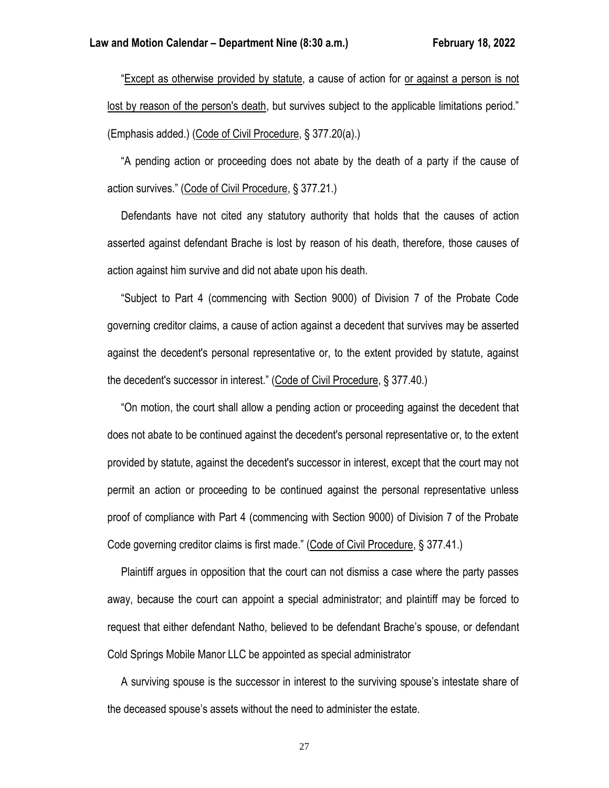"Except as otherwise provided by statute, a cause of action for or against a person is not lost by reason of the person's death, but survives subject to the applicable limitations period." (Emphasis added.) (Code of Civil Procedure, § 377.20(a).)

 "A pending action or proceeding does not abate by the death of a party if the cause of action survives." (Code of Civil Procedure, § 377.21.)

 Defendants have not cited any statutory authority that holds that the causes of action asserted against defendant Brache is lost by reason of his death, therefore, those causes of action against him survive and did not abate upon his death.

 "Subject to Part 4 (commencing with Section 9000) of Division 7 of the Probate Code governing creditor claims, a cause of action against a decedent that survives may be asserted against the decedent's personal representative or, to the extent provided by statute, against the decedent's successor in interest." (Code of Civil Procedure, § 377.40.)

 "On motion, the court shall allow a pending action or proceeding against the decedent that does not abate to be continued against the decedent's personal representative or, to the extent provided by statute, against the decedent's successor in interest, except that the court may not permit an action or proceeding to be continued against the personal representative unless proof of compliance with Part 4 (commencing with Section 9000) of Division 7 of the Probate Code governing creditor claims is first made." (Code of Civil Procedure, § 377.41.)

 Plaintiff argues in opposition that the court can not dismiss a case where the party passes away, because the court can appoint a special administrator; and plaintiff may be forced to request that either defendant Natho, believed to be defendant Brache's spouse, or defendant Cold Springs Mobile Manor LLC be appointed as special administrator

 A surviving spouse is the successor in interest to the surviving spouse's intestate share of the deceased spouse's assets without the need to administer the estate.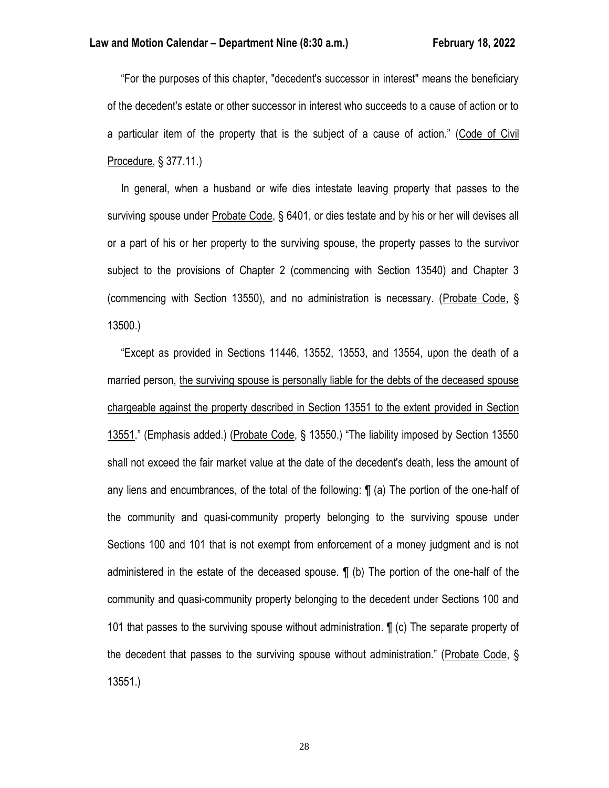"For the purposes of this chapter, "decedent's successor in interest" means the beneficiary of the decedent's estate or other successor in interest who succeeds to a cause of action or to a particular item of the property that is the subject of a cause of action." (Code of Civil Procedure, § 377.11.)

 In general, when a husband or wife dies intestate leaving property that passes to the surviving spouse under Probate Code, § 6401, or dies testate and by his or her will devises all or a part of his or her property to the surviving spouse, the property passes to the survivor subject to the provisions of Chapter 2 (commencing with Section 13540) and Chapter 3 (commencing with Section 13550), and no administration is necessary. (Probate Code, § 13500.)

 "Except as provided in Sections 11446, 13552, 13553, and 13554, upon the death of a married person, the surviving spouse is personally liable for the debts of the deceased spouse chargeable against the property described in Section 13551 to the extent provided in Section 13551." (Emphasis added.) (Probate Code, § 13550.) "The liability imposed by Section 13550 shall not exceed the fair market value at the date of the decedent's death, less the amount of any liens and encumbrances, of the total of the following: ¶ (a) The portion of the one-half of the community and quasi-community property belonging to the surviving spouse under Sections 100 and 101 that is not exempt from enforcement of a money judgment and is not administered in the estate of the deceased spouse. ¶ (b) The portion of the one-half of the community and quasi-community property belonging to the decedent under Sections 100 and 101 that passes to the surviving spouse without administration. ¶ (c) The separate property of the decedent that passes to the surviving spouse without administration." (Probate Code, § 13551.)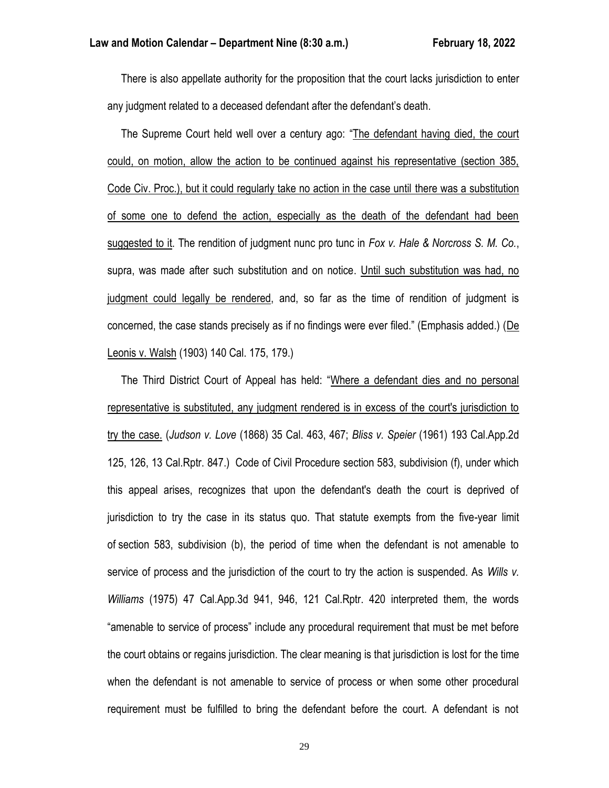There is also appellate authority for the proposition that the court lacks jurisdiction to enter any judgment related to a deceased defendant after the defendant's death.

 The Supreme Court held well over a century ago: "The defendant having died, the court could, on motion, allow the action to be continued against his representative (section 385, Code Civ. Proc.), but it could regularly take no action in the case until there was a substitution of some one to defend the action, especially as the death of the defendant had been suggested to it. The rendition of judgment nunc pro tunc in *Fox v. Hale & Norcross S. M. Co.*, supra, was made after such substitution and on notice. Until such substitution was had, no judgment could legally be rendered, and, so far as the time of rendition of judgment is concerned, the case stands precisely as if no findings were ever filed." (Emphasis added.) (De Leonis v. Walsh (1903) 140 Cal. 175, 179.)

 The Third District Court of Appeal has held: "Where a defendant dies and no personal representative is substituted, any judgment rendered is in excess of the court's jurisdiction to try the case. (*Judson v. Love* (1868) 35 Cal. 463, 467; *Bliss v. Speier* (1961) 193 Cal.App.2d 125, 126, 13 Cal.Rptr. 847.) Code of Civil Procedure section 583, subdivision (f), under which this appeal arises, recognizes that upon the defendant's death the court is deprived of jurisdiction to try the case in its status quo. That statute exempts from the five-year limit of section 583, subdivision (b), the period of time when the defendant is not amenable to service of process and the jurisdiction of the court to try the action is suspended. As *Wills v. Williams* (1975) 47 Cal.App.3d 941, 946, 121 Cal.Rptr. 420 interpreted them, the words "amenable to service of process" include any procedural requirement that must be met before the court obtains or regains jurisdiction. The clear meaning is that jurisdiction is lost for the time when the defendant is not amenable to service of process or when some other procedural requirement must be fulfilled to bring the defendant before the court. A defendant is not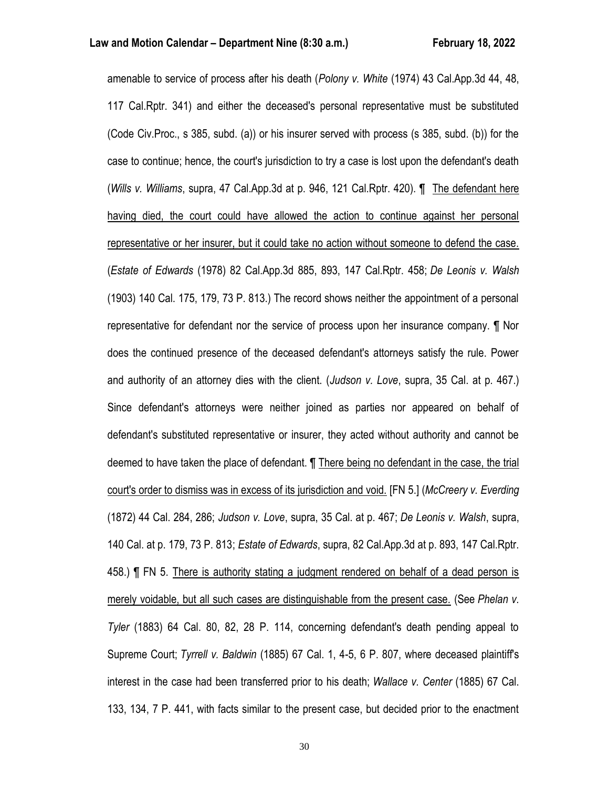amenable to service of process after his death (*Polony v. White* (1974) 43 Cal.App.3d 44, 48, 117 Cal.Rptr. 341) and either the deceased's personal representative must be substituted (Code Civ.Proc., s 385, subd. (a)) or his insurer served with process (s 385, subd. (b)) for the case to continue; hence, the court's jurisdiction to try a case is lost upon the defendant's death (*Wills v. Williams*, supra, 47 Cal.App.3d at p. 946, 121 Cal.Rptr. 420). ¶ The defendant here having died, the court could have allowed the action to continue against her personal representative or her insurer, but it could take no action without someone to defend the case. (*Estate of Edwards* (1978) 82 Cal.App.3d 885, 893, 147 Cal.Rptr. 458; *De Leonis v. Walsh* (1903) 140 Cal. 175, 179, 73 P. 813.) The record shows neither the appointment of a personal representative for defendant nor the service of process upon her insurance company. ¶ Nor does the continued presence of the deceased defendant's attorneys satisfy the rule. Power and authority of an attorney dies with the client. (*Judson v. Love*, supra, 35 Cal. at p. 467.) Since defendant's attorneys were neither joined as parties nor appeared on behalf of defendant's substituted representative or insurer, they acted without authority and cannot be deemed to have taken the place of defendant. ¶ There being no defendant in the case, the trial court's order to dismiss was in excess of its jurisdiction and void. [FN 5.] (*McCreery v. Everding* (1872) 44 Cal. 284, 286; *Judson v. Love*, supra, 35 Cal. at p. 467; *De Leonis v. Walsh*, supra, 140 Cal. at p. 179, 73 P. 813; *Estate of Edwards*, supra, 82 Cal.App.3d at p. 893, 147 Cal.Rptr. 458.) ¶ FN 5. There is authority stating a judgment rendered on behalf of a dead person is merely voidable, but all such cases are distinguishable from the present case. (See *Phelan v. Tyler* (1883) 64 Cal. 80, 82, 28 P. 114, concerning defendant's death pending appeal to Supreme Court; *Tyrrell v. Baldwin* (1885) 67 Cal. 1, 4-5, 6 P. 807, where deceased plaintiff's interest in the case had been transferred prior to his death; *Wallace v. Center* (1885) 67 Cal. 133, 134, 7 P. 441, with facts similar to the present case, but decided prior to the enactment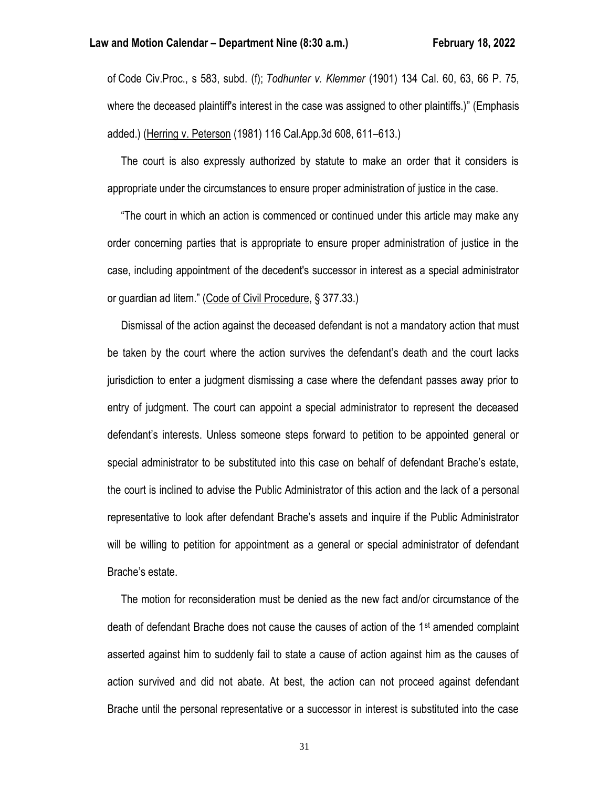of Code Civ.Proc., s 583, subd. (f); *Todhunter v. Klemmer* (1901) 134 Cal. 60, 63, 66 P. 75, where the deceased plaintiff's interest in the case was assigned to other plaintiffs.)" (Emphasis added.) (Herring v. Peterson (1981) 116 Cal.App.3d 608, 611–613.)

 The court is also expressly authorized by statute to make an order that it considers is appropriate under the circumstances to ensure proper administration of justice in the case.

 "The court in which an action is commenced or continued under this article may make any order concerning parties that is appropriate to ensure proper administration of justice in the case, including appointment of the decedent's successor in interest as a special administrator or guardian ad litem." (Code of Civil Procedure, § 377.33.)

 Dismissal of the action against the deceased defendant is not a mandatory action that must be taken by the court where the action survives the defendant's death and the court lacks jurisdiction to enter a judgment dismissing a case where the defendant passes away prior to entry of judgment. The court can appoint a special administrator to represent the deceased defendant's interests. Unless someone steps forward to petition to be appointed general or special administrator to be substituted into this case on behalf of defendant Brache's estate, the court is inclined to advise the Public Administrator of this action and the lack of a personal representative to look after defendant Brache's assets and inquire if the Public Administrator will be willing to petition for appointment as a general or special administrator of defendant Brache's estate.

 The motion for reconsideration must be denied as the new fact and/or circumstance of the death of defendant Brache does not cause the causes of action of the 1st amended complaint asserted against him to suddenly fail to state a cause of action against him as the causes of action survived and did not abate. At best, the action can not proceed against defendant Brache until the personal representative or a successor in interest is substituted into the case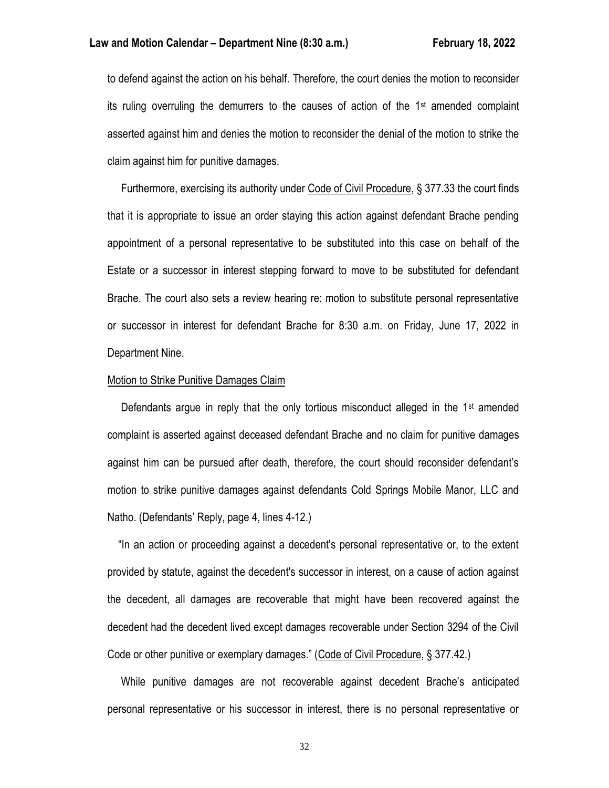to defend against the action on his behalf. Therefore, the court denies the motion to reconsider its ruling overruling the demurrers to the causes of action of the  $1<sup>st</sup>$  amended complaint asserted against him and denies the motion to reconsider the denial of the motion to strike the claim against him for punitive damages.

 Furthermore, exercising its authority under Code of Civil Procedure, § 377.33 the court finds that it is appropriate to issue an order staying this action against defendant Brache pending appointment of a personal representative to be substituted into this case on behalf of the Estate or a successor in interest stepping forward to move to be substituted for defendant Brache. The court also sets a review hearing re: motion to substitute personal representative or successor in interest for defendant Brache for 8:30 a.m. on Friday, June 17, 2022 in Department Nine.

### Motion to Strike Punitive Damages Claim

Defendants argue in reply that the only tortious misconduct alleged in the  $1<sup>st</sup>$  amended complaint is asserted against deceased defendant Brache and no claim for punitive damages against him can be pursued after death, therefore, the court should reconsider defendant's motion to strike punitive damages against defendants Cold Springs Mobile Manor, LLC and Natho. (Defendants' Reply, page 4, lines 4-12.)

 "In an action or proceeding against a decedent's personal representative or, to the extent provided by statute, against the decedent's successor in interest, on a cause of action against the decedent, all damages are recoverable that might have been recovered against the decedent had the decedent lived except damages recoverable under Section 3294 of the Civil Code or other punitive or exemplary damages." (Code of Civil Procedure, § 377.42.)

 While punitive damages are not recoverable against decedent Brache's anticipated personal representative or his successor in interest, there is no personal representative or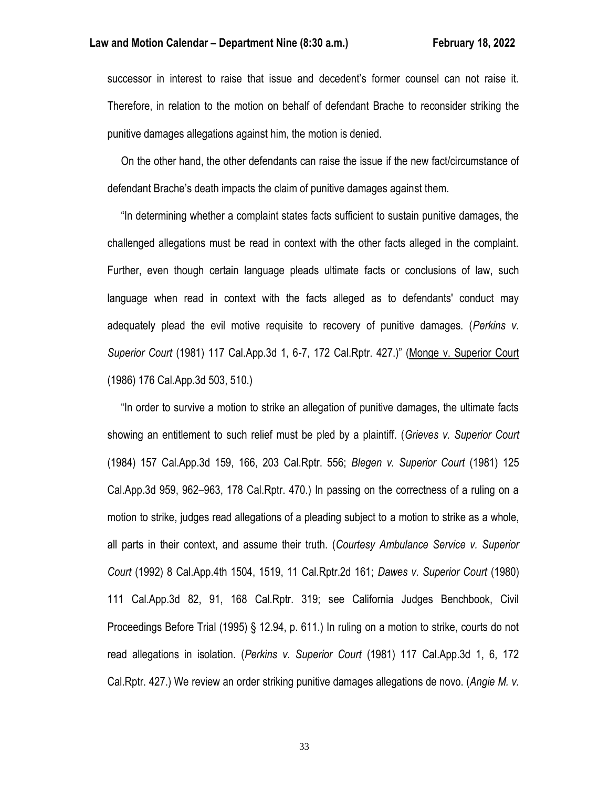successor in interest to raise that issue and decedent's former counsel can not raise it. Therefore, in relation to the motion on behalf of defendant Brache to reconsider striking the punitive damages allegations against him, the motion is denied.

 On the other hand, the other defendants can raise the issue if the new fact/circumstance of defendant Brache's death impacts the claim of punitive damages against them.

 "In determining whether a complaint states facts sufficient to sustain punitive damages, the challenged allegations must be read in context with the other facts alleged in the complaint. Further, even though certain language pleads ultimate facts or conclusions of law, such language when read in context with the facts alleged as to defendants' conduct may adequately plead the evil motive requisite to recovery of punitive damages. (*Perkins v. Superior Court* (1981) 117 Cal.App.3d 1, 6-7, 172 Cal.Rptr. 427.)" (Monge v. Superior Court (1986) 176 Cal.App.3d 503, 510.)

 "In order to survive a motion to strike an allegation of punitive damages, the ultimate facts showing an entitlement to such relief must be pled by a plaintiff. (*Grieves v. Superior Court* (1984) 157 Cal.App.3d 159, 166, 203 Cal.Rptr. 556; *Blegen v. Superior Court* (1981) 125 Cal.App.3d 959, 962–963, 178 Cal.Rptr. 470.) In passing on the correctness of a ruling on a motion to strike, judges read allegations of a pleading subject to a motion to strike as a whole, all parts in their context, and assume their truth. (*Courtesy Ambulance Service v. Superior Court* (1992) 8 Cal.App.4th 1504, 1519, 11 Cal.Rptr.2d 161; *Dawes v. Superior Court* (1980) 111 Cal.App.3d 82, 91, 168 Cal.Rptr. 319; see California Judges Benchbook, Civil Proceedings Before Trial (1995) § 12.94, p. 611.) In ruling on a motion to strike, courts do not read allegations in isolation. (*Perkins v. Superior Court* (1981) 117 Cal.App.3d 1, 6, 172 Cal.Rptr. 427.) We review an order striking punitive damages allegations de novo. (*Angie M. v.*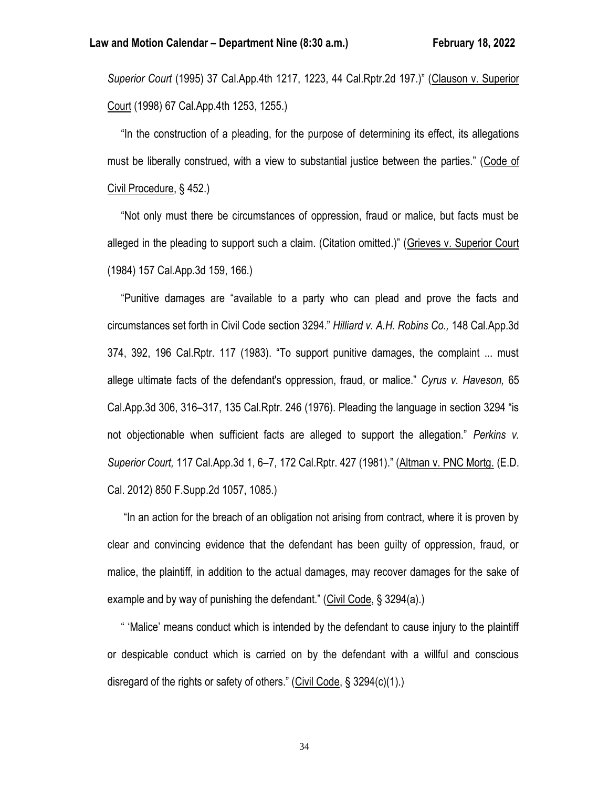*Superior Court* (1995) 37 Cal.App.4th 1217, 1223, 44 Cal.Rptr.2d 197.)" (Clauson v. Superior Court (1998) 67 Cal.App.4th 1253, 1255.)

 "In the construction of a pleading, for the purpose of determining its effect, its allegations must be liberally construed, with a view to substantial justice between the parties." (Code of Civil Procedure, § 452.)

 "Not only must there be circumstances of oppression, fraud or malice, but facts must be alleged in the pleading to support such a claim. (Citation omitted.)" (Grieves v. Superior Court (1984) 157 Cal.App.3d 159, 166.)

 "Punitive damages are "available to a party who can plead and prove the facts and circumstances set forth in Civil Code section 3294." *Hilliard v. A.H. Robins Co.,* 148 Cal.App.3d 374, 392, 196 Cal.Rptr. 117 (1983). "To support punitive damages, the complaint ... must allege ultimate facts of the defendant's oppression, fraud, or malice." *Cyrus v. Haveson,* 65 Cal.App.3d 306, 316–317, 135 Cal.Rptr. 246 (1976). Pleading the language in section 3294 "is not objectionable when sufficient facts are alleged to support the allegation." *Perkins v. Superior Court,* 117 Cal.App.3d 1, 6–7, 172 Cal.Rptr. 427 (1981)." (Altman v. PNC Mortg. (E.D. Cal. 2012) 850 F.Supp.2d 1057, 1085.)

 "In an action for the breach of an obligation not arising from contract, where it is proven by clear and convincing evidence that the defendant has been guilty of oppression, fraud, or malice, the plaintiff, in addition to the actual damages, may recover damages for the sake of example and by way of punishing the defendant." (Civil Code, § 3294(a).)

 " 'Malice' means conduct which is intended by the defendant to cause injury to the plaintiff or despicable conduct which is carried on by the defendant with a willful and conscious disregard of the rights or safety of others." (Civil Code, § 3294(c)(1).)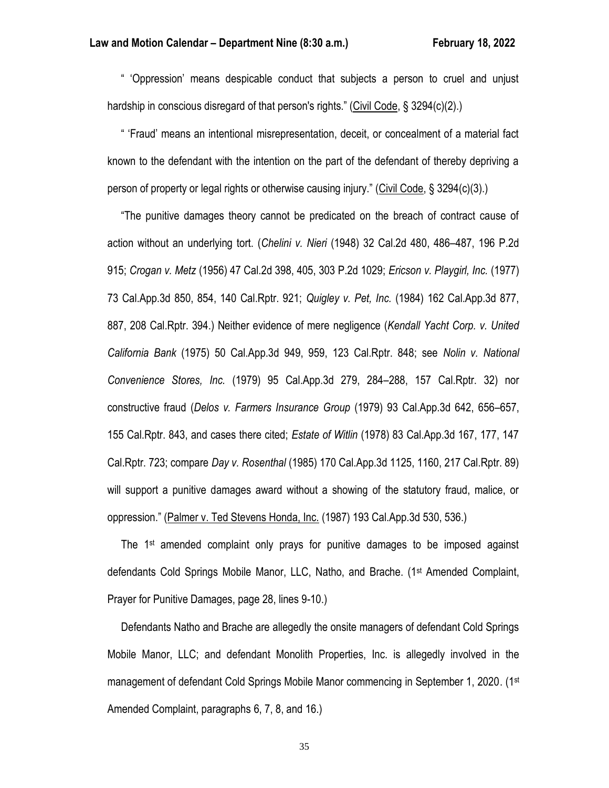" 'Oppression' means despicable conduct that subjects a person to cruel and unjust hardship in conscious disregard of that person's rights." (Civil Code, § 3294(c)(2).)

 " 'Fraud' means an intentional misrepresentation, deceit, or concealment of a material fact known to the defendant with the intention on the part of the defendant of thereby depriving a person of property or legal rights or otherwise causing injury." (Civil Code, § 3294(c)(3).)

 "The punitive damages theory cannot be predicated on the breach of contract cause of action without an underlying tort. (*Chelini v. Nieri* (1948) 32 Cal.2d 480, 486–487, 196 P.2d 915; *Crogan v. Metz* (1956) 47 Cal.2d 398, 405, 303 P.2d 1029; *Ericson v. Playgirl, Inc.* (1977) 73 Cal.App.3d 850, 854, 140 Cal.Rptr. 921; *Quigley v. Pet, Inc.* (1984) 162 Cal.App.3d 877, 887, 208 Cal.Rptr. 394.) Neither evidence of mere negligence (*Kendall Yacht Corp. v. United California Bank* (1975) 50 Cal.App.3d 949, 959, 123 Cal.Rptr. 848; see *Nolin v. National Convenience Stores, Inc.* (1979) 95 Cal.App.3d 279, 284–288, 157 Cal.Rptr. 32) nor constructive fraud (*Delos v. Farmers Insurance Group* (1979) 93 Cal.App.3d 642, 656–657, 155 Cal.Rptr. 843, and cases there cited; *Estate of Witlin* (1978) 83 Cal.App.3d 167, 177, 147 Cal.Rptr. 723; compare *Day v. Rosenthal* (1985) 170 Cal.App.3d 1125, 1160, 217 Cal.Rptr. 89) will support a punitive damages award without a showing of the statutory fraud, malice, or oppression." (Palmer v. Ted Stevens Honda, Inc. (1987) 193 Cal.App.3d 530, 536.)

 The 1st amended complaint only prays for punitive damages to be imposed against defendants Cold Springs Mobile Manor, LLC, Natho, and Brache. (1st Amended Complaint, Prayer for Punitive Damages, page 28, lines 9-10.)

 Defendants Natho and Brache are allegedly the onsite managers of defendant Cold Springs Mobile Manor, LLC; and defendant Monolith Properties, Inc. is allegedly involved in the management of defendant Cold Springs Mobile Manor commencing in September 1, 2020. (1st Amended Complaint, paragraphs 6, 7, 8, and 16.)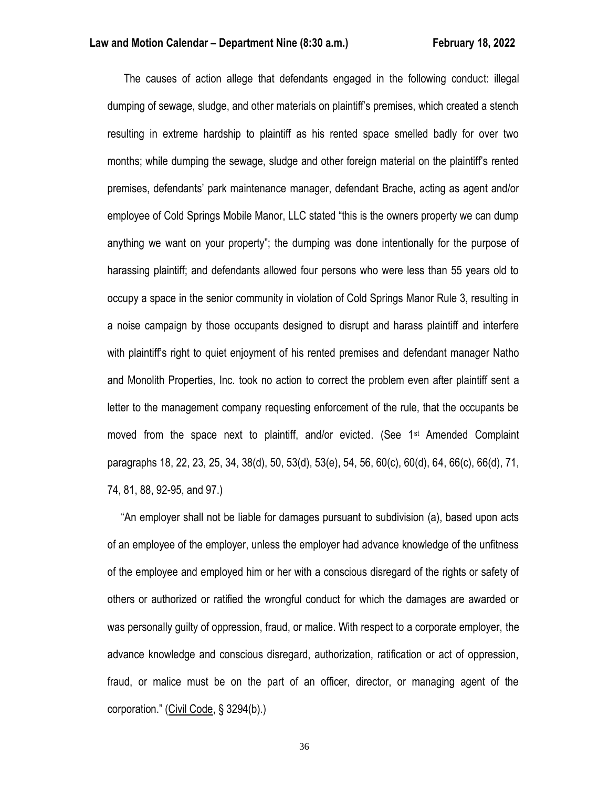The causes of action allege that defendants engaged in the following conduct: illegal dumping of sewage, sludge, and other materials on plaintiff's premises, which created a stench resulting in extreme hardship to plaintiff as his rented space smelled badly for over two months; while dumping the sewage, sludge and other foreign material on the plaintiff's rented premises, defendants' park maintenance manager, defendant Brache, acting as agent and/or employee of Cold Springs Mobile Manor, LLC stated "this is the owners property we can dump anything we want on your property"; the dumping was done intentionally for the purpose of harassing plaintiff; and defendants allowed four persons who were less than 55 years old to occupy a space in the senior community in violation of Cold Springs Manor Rule 3, resulting in a noise campaign by those occupants designed to disrupt and harass plaintiff and interfere with plaintiff's right to quiet enjoyment of his rented premises and defendant manager Natho and Monolith Properties, Inc. took no action to correct the problem even after plaintiff sent a letter to the management company requesting enforcement of the rule, that the occupants be moved from the space next to plaintiff, and/or evicted. (See 1st Amended Complaint paragraphs 18, 22, 23, 25, 34, 38(d), 50, 53(d), 53(e), 54, 56, 60(c), 60(d), 64, 66(c), 66(d), 71, 74, 81, 88, 92-95, and 97.)

 "An employer shall not be liable for damages pursuant to subdivision (a), based upon acts of an employee of the employer, unless the employer had advance knowledge of the unfitness of the employee and employed him or her with a conscious disregard of the rights or safety of others or authorized or ratified the wrongful conduct for which the damages are awarded or was personally guilty of oppression, fraud, or malice. With respect to a corporate employer, the advance knowledge and conscious disregard, authorization, ratification or act of oppression, fraud, or malice must be on the part of an officer, director, or managing agent of the corporation." (Civil Code, § 3294(b).)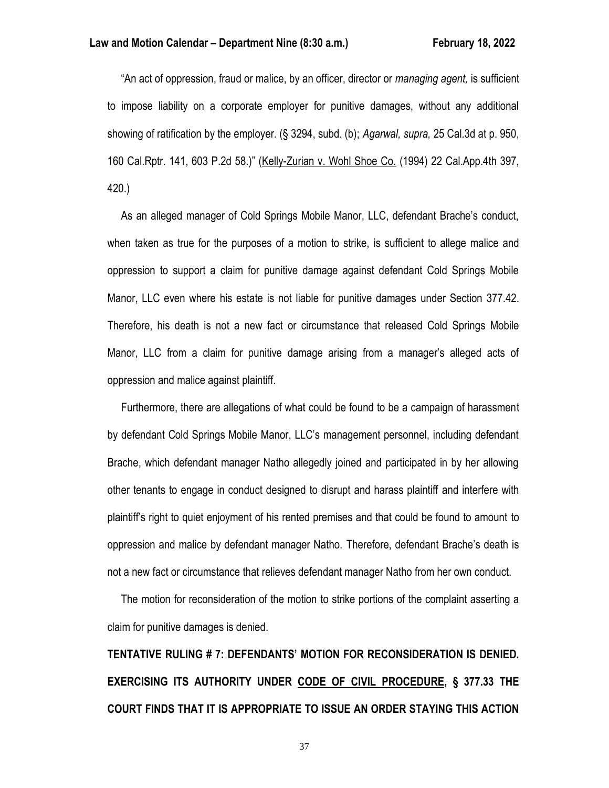"An act of oppression, fraud or malice, by an officer, director or *managing agent,* is sufficient to impose liability on a corporate employer for punitive damages, without any additional showing of ratification by the employer. (§ 3294, subd. (b); *Agarwal, supra,* 25 Cal.3d at p. 950, 160 Cal.Rptr. 141, 603 P.2d 58.)" (Kelly-Zurian v. Wohl Shoe Co. (1994) 22 Cal.App.4th 397, 420.)

 As an alleged manager of Cold Springs Mobile Manor, LLC, defendant Brache's conduct, when taken as true for the purposes of a motion to strike, is sufficient to allege malice and oppression to support a claim for punitive damage against defendant Cold Springs Mobile Manor, LLC even where his estate is not liable for punitive damages under Section 377.42. Therefore, his death is not a new fact or circumstance that released Cold Springs Mobile Manor, LLC from a claim for punitive damage arising from a manager's alleged acts of oppression and malice against plaintiff.

 Furthermore, there are allegations of what could be found to be a campaign of harassment by defendant Cold Springs Mobile Manor, LLC's management personnel, including defendant Brache, which defendant manager Natho allegedly joined and participated in by her allowing other tenants to engage in conduct designed to disrupt and harass plaintiff and interfere with plaintiff's right to quiet enjoyment of his rented premises and that could be found to amount to oppression and malice by defendant manager Natho. Therefore, defendant Brache's death is not a new fact or circumstance that relieves defendant manager Natho from her own conduct.

 The motion for reconsideration of the motion to strike portions of the complaint asserting a claim for punitive damages is denied.

**TENTATIVE RULING # 7: DEFENDANTS' MOTION FOR RECONSIDERATION IS DENIED. EXERCISING ITS AUTHORITY UNDER CODE OF CIVIL PROCEDURE, § 377.33 THE COURT FINDS THAT IT IS APPROPRIATE TO ISSUE AN ORDER STAYING THIS ACTION**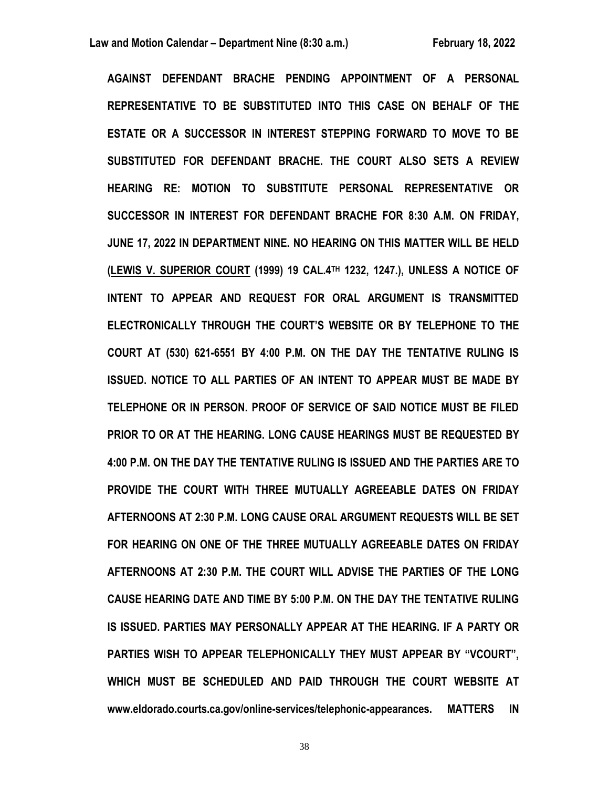**AGAINST DEFENDANT BRACHE PENDING APPOINTMENT OF A PERSONAL REPRESENTATIVE TO BE SUBSTITUTED INTO THIS CASE ON BEHALF OF THE ESTATE OR A SUCCESSOR IN INTEREST STEPPING FORWARD TO MOVE TO BE SUBSTITUTED FOR DEFENDANT BRACHE. THE COURT ALSO SETS A REVIEW HEARING RE: MOTION TO SUBSTITUTE PERSONAL REPRESENTATIVE OR SUCCESSOR IN INTEREST FOR DEFENDANT BRACHE FOR 8:30 A.M. ON FRIDAY, JUNE 17, 2022 IN DEPARTMENT NINE. NO HEARING ON THIS MATTER WILL BE HELD (LEWIS V. SUPERIOR COURT (1999) 19 CAL.4TH 1232, 1247.), UNLESS A NOTICE OF INTENT TO APPEAR AND REQUEST FOR ORAL ARGUMENT IS TRANSMITTED ELECTRONICALLY THROUGH THE COURT'S WEBSITE OR BY TELEPHONE TO THE COURT AT (530) 621-6551 BY 4:00 P.M. ON THE DAY THE TENTATIVE RULING IS ISSUED. NOTICE TO ALL PARTIES OF AN INTENT TO APPEAR MUST BE MADE BY TELEPHONE OR IN PERSON. PROOF OF SERVICE OF SAID NOTICE MUST BE FILED PRIOR TO OR AT THE HEARING. LONG CAUSE HEARINGS MUST BE REQUESTED BY 4:00 P.M. ON THE DAY THE TENTATIVE RULING IS ISSUED AND THE PARTIES ARE TO PROVIDE THE COURT WITH THREE MUTUALLY AGREEABLE DATES ON FRIDAY AFTERNOONS AT 2:30 P.M. LONG CAUSE ORAL ARGUMENT REQUESTS WILL BE SET FOR HEARING ON ONE OF THE THREE MUTUALLY AGREEABLE DATES ON FRIDAY AFTERNOONS AT 2:30 P.M. THE COURT WILL ADVISE THE PARTIES OF THE LONG CAUSE HEARING DATE AND TIME BY 5:00 P.M. ON THE DAY THE TENTATIVE RULING IS ISSUED. PARTIES MAY PERSONALLY APPEAR AT THE HEARING. IF A PARTY OR PARTIES WISH TO APPEAR TELEPHONICALLY THEY MUST APPEAR BY "VCOURT", WHICH MUST BE SCHEDULED AND PAID THROUGH THE COURT WEBSITE AT www.eldorado.courts.ca.gov/online-services/telephonic-appearances. MATTERS IN**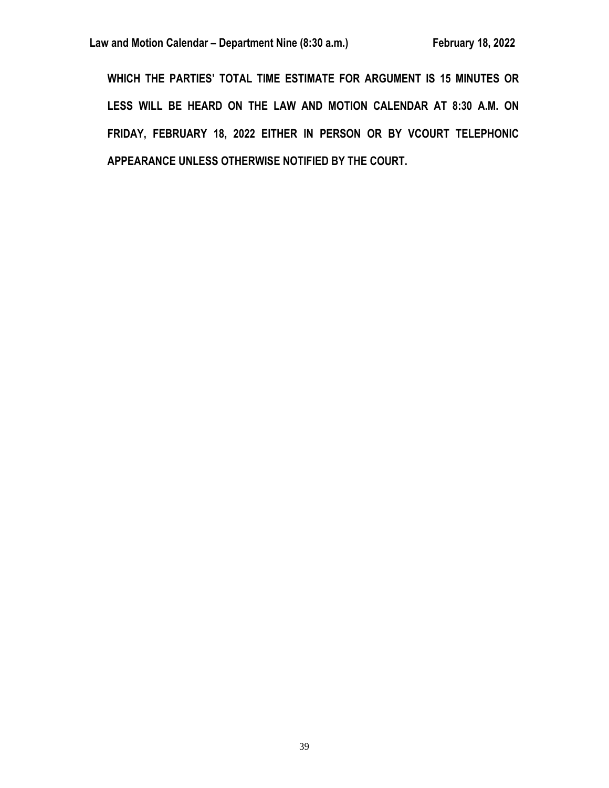WHICH THE PARTIES' TOTAL TIME ESTIMATE FOR ARGUMENT IS 15 MINUTES OR **LESS WILL BE HEARD ON THE LAW AND MOTION CALENDAR AT 8:30 A.M. ON FRIDAY, FEBRUARY 18, 2022 EITHER IN PERSON OR BY VCOURT TELEPHONIC APPEARANCE UNLESS OTHERWISE NOTIFIED BY THE COURT.**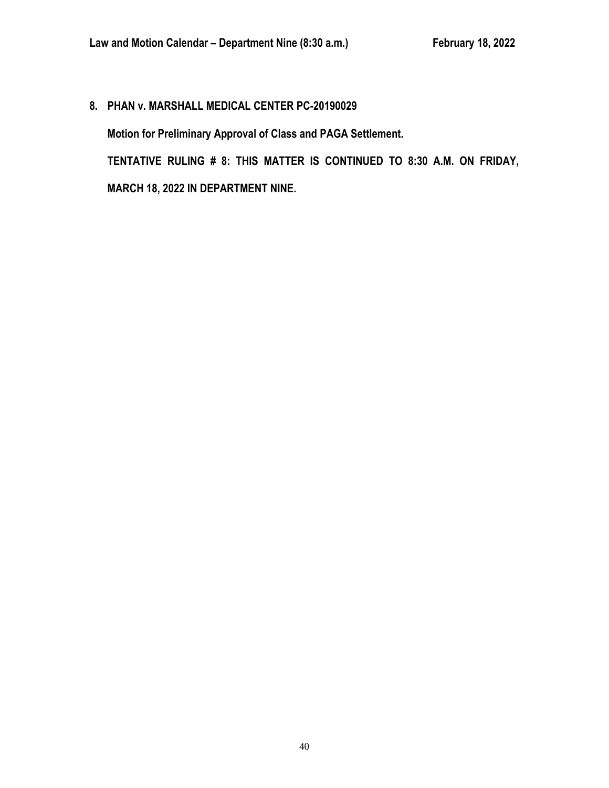**8. PHAN v. MARSHALL MEDICAL CENTER PC-20190029**

**Motion for Preliminary Approval of Class and PAGA Settlement.**

**TENTATIVE RULING # 8: THIS MATTER IS CONTINUED TO 8:30 A.M. ON FRIDAY,** 

**MARCH 18, 2022 IN DEPARTMENT NINE.**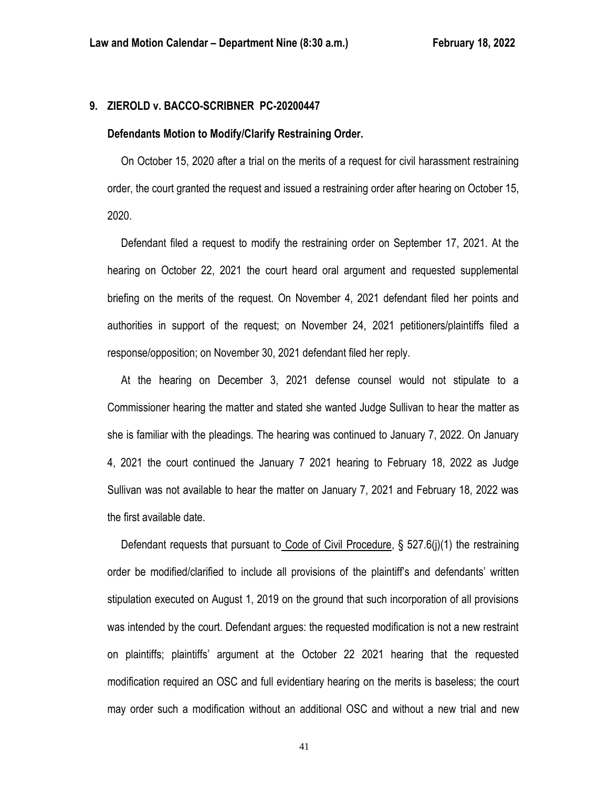#### **9. ZIEROLD v. BACCO-SCRIBNER PC-20200447**

#### **Defendants Motion to Modify/Clarify Restraining Order.**

 On October 15, 2020 after a trial on the merits of a request for civil harassment restraining order, the court granted the request and issued a restraining order after hearing on October 15, 2020.

 Defendant filed a request to modify the restraining order on September 17, 2021. At the hearing on October 22, 2021 the court heard oral argument and requested supplemental briefing on the merits of the request. On November 4, 2021 defendant filed her points and authorities in support of the request; on November 24, 2021 petitioners/plaintiffs filed a response/opposition; on November 30, 2021 defendant filed her reply.

 At the hearing on December 3, 2021 defense counsel would not stipulate to a Commissioner hearing the matter and stated she wanted Judge Sullivan to hear the matter as she is familiar with the pleadings. The hearing was continued to January 7, 2022. On January 4, 2021 the court continued the January 7 2021 hearing to February 18, 2022 as Judge Sullivan was not available to hear the matter on January 7, 2021 and February 18, 2022 was the first available date.

 Defendant requests that pursuant to Code of Civil Procedure, § 527.6(j)(1) the restraining order be modified/clarified to include all provisions of the plaintiff's and defendants' written stipulation executed on August 1, 2019 on the ground that such incorporation of all provisions was intended by the court. Defendant argues: the requested modification is not a new restraint on plaintiffs; plaintiffs' argument at the October 22 2021 hearing that the requested modification required an OSC and full evidentiary hearing on the merits is baseless; the court may order such a modification without an additional OSC and without a new trial and new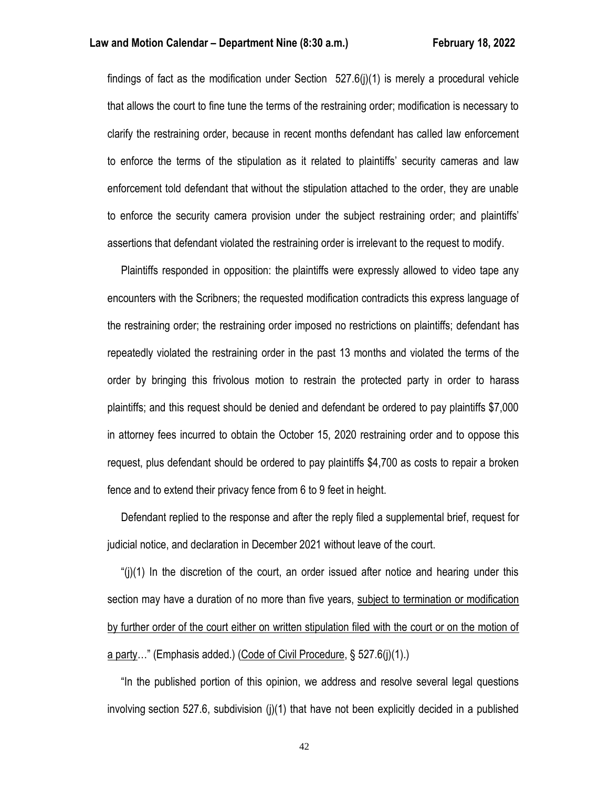findings of fact as the modification under Section  $527.6(j)(1)$  is merely a procedural vehicle that allows the court to fine tune the terms of the restraining order; modification is necessary to clarify the restraining order, because in recent months defendant has called law enforcement to enforce the terms of the stipulation as it related to plaintiffs' security cameras and law enforcement told defendant that without the stipulation attached to the order, they are unable to enforce the security camera provision under the subject restraining order; and plaintiffs' assertions that defendant violated the restraining order is irrelevant to the request to modify.

 Plaintiffs responded in opposition: the plaintiffs were expressly allowed to video tape any encounters with the Scribners; the requested modification contradicts this express language of the restraining order; the restraining order imposed no restrictions on plaintiffs; defendant has repeatedly violated the restraining order in the past 13 months and violated the terms of the order by bringing this frivolous motion to restrain the protected party in order to harass plaintiffs; and this request should be denied and defendant be ordered to pay plaintiffs \$7,000 in attorney fees incurred to obtain the October 15, 2020 restraining order and to oppose this request, plus defendant should be ordered to pay plaintiffs \$4,700 as costs to repair a broken fence and to extend their privacy fence from 6 to 9 feet in height.

 Defendant replied to the response and after the reply filed a supplemental brief, request for judicial notice, and declaration in December 2021 without leave of the court.

"(i)(1) In the discretion of the court, an order issued after notice and hearing under this section may have a duration of no more than five years, subject to termination or modification by further order of the court either on written stipulation filed with the court or on the motion of a party…" (Emphasis added.) (Code of Civil Procedure, § 527.6(j)(1).)

 "In the published portion of this opinion, we address and resolve several legal questions involving section 527.6, subdivision (j)(1) that have not been explicitly decided in a published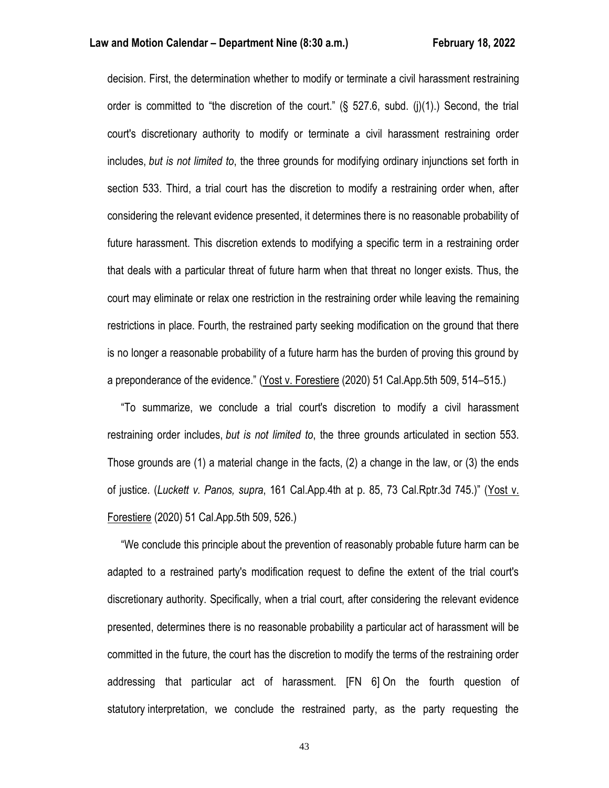decision. First, the determination whether to modify or terminate a civil harassment restraining order is committed to "the discretion of the court." (§ 527.6, subd. (j)(1).) Second, the trial court's discretionary authority to modify or terminate a civil harassment restraining order includes, *but is not limited to*, the three grounds for modifying ordinary injunctions set forth in section 533. Third, a trial court has the discretion to modify a restraining order when, after considering the relevant evidence presented, it determines there is no reasonable probability of future harassment. This discretion extends to modifying a specific term in a restraining order that deals with a particular threat of future harm when that threat no longer exists. Thus, the court may eliminate or relax one restriction in the restraining order while leaving the remaining restrictions in place. Fourth, the restrained party seeking modification on the ground that there is no longer a reasonable probability of a future harm has the burden of proving this ground by a preponderance of the evidence." (Yost v. Forestiere (2020) 51 Cal.App.5th 509, 514–515.)

 "To summarize, we conclude a trial court's discretion to modify a civil harassment restraining order includes, *but is not limited to*, the three grounds articulated in section 553. Those grounds are (1) a material change in the facts, (2) a change in the law, or (3) the ends of justice. (*Luckett v. Panos, supra*, 161 Cal.App.4th at p. 85, 73 Cal.Rptr.3d 745.)" (Yost v. Forestiere (2020) 51 Cal.App.5th 509, 526.)

 "We conclude this principle about the prevention of reasonably probable future harm can be adapted to a restrained party's modification request to define the extent of the trial court's discretionary authority. Specifically, when a trial court, after considering the relevant evidence presented, determines there is no reasonable probability a particular act of harassment will be committed in the future, the court has the discretion to modify the terms of the restraining order addressing that particular act of harassment. [FN 6] On the fourth question of statutory interpretation, we conclude the restrained party, as the party requesting the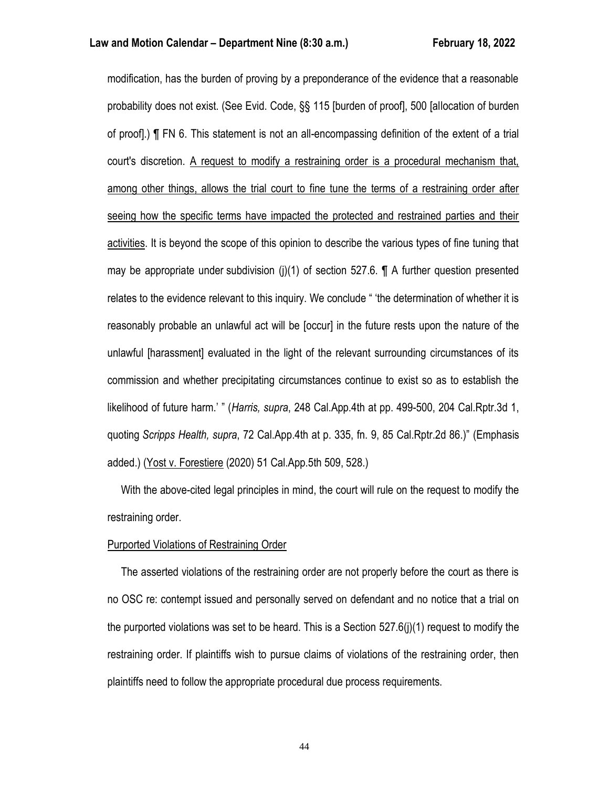modification, has the burden of proving by a preponderance of the evidence that a reasonable probability does not exist. (See Evid. Code, §§ 115 [burden of proof], 500 [allocation of burden of proof].) ¶ FN 6. This statement is not an all-encompassing definition of the extent of a trial court's discretion. A request to modify a restraining order is a procedural mechanism that, among other things, allows the trial court to fine tune the terms of a restraining order after seeing how the specific terms have impacted the protected and restrained parties and their activities. It is beyond the scope of this opinion to describe the various types of fine tuning that may be appropriate under subdivision (j)(1) of section 527.6.  $\P$  A further question presented relates to the evidence relevant to this inquiry. We conclude " 'the determination of whether it is reasonably probable an unlawful act will be [occur] in the future rests upon the nature of the unlawful [harassment] evaluated in the light of the relevant surrounding circumstances of its commission and whether precipitating circumstances continue to exist so as to establish the likelihood of future harm.' " (*Harris, supra*, 248 Cal.App.4th at pp. 499-500, 204 Cal.Rptr.3d 1, quoting *Scripps Health, supra*, 72 Cal.App.4th at p. 335, fn. 9, 85 Cal.Rptr.2d 86.)" (Emphasis added.) (Yost v. Forestiere (2020) 51 Cal.App.5th 509, 528.)

 With the above-cited legal principles in mind, the court will rule on the request to modify the restraining order.

## Purported Violations of Restraining Order

 The asserted violations of the restraining order are not properly before the court as there is no OSC re: contempt issued and personally served on defendant and no notice that a trial on the purported violations was set to be heard. This is a Section 527.6(j)(1) request to modify the restraining order. If plaintiffs wish to pursue claims of violations of the restraining order, then plaintiffs need to follow the appropriate procedural due process requirements.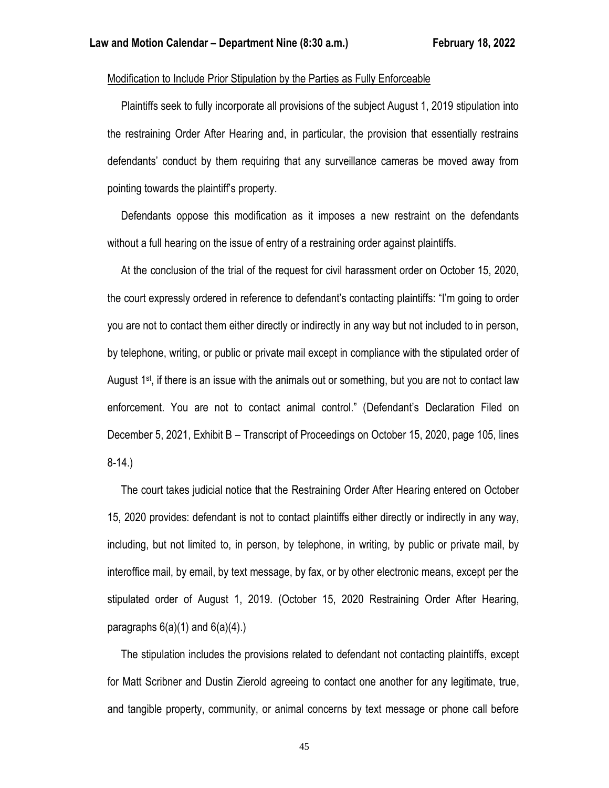## Modification to Include Prior Stipulation by the Parties as Fully Enforceable

 Plaintiffs seek to fully incorporate all provisions of the subject August 1, 2019 stipulation into the restraining Order After Hearing and, in particular, the provision that essentially restrains defendants' conduct by them requiring that any surveillance cameras be moved away from pointing towards the plaintiff's property.

 Defendants oppose this modification as it imposes a new restraint on the defendants without a full hearing on the issue of entry of a restraining order against plaintiffs.

 At the conclusion of the trial of the request for civil harassment order on October 15, 2020, the court expressly ordered in reference to defendant's contacting plaintiffs: "I'm going to order you are not to contact them either directly or indirectly in any way but not included to in person, by telephone, writing, or public or private mail except in compliance with the stipulated order of August 1<sup>st</sup>, if there is an issue with the animals out or something, but you are not to contact law enforcement. You are not to contact animal control." (Defendant's Declaration Filed on December 5, 2021, Exhibit B – Transcript of Proceedings on October 15, 2020, page 105, lines 8-14.)

 The court takes judicial notice that the Restraining Order After Hearing entered on October 15, 2020 provides: defendant is not to contact plaintiffs either directly or indirectly in any way, including, but not limited to, in person, by telephone, in writing, by public or private mail, by interoffice mail, by email, by text message, by fax, or by other electronic means, except per the stipulated order of August 1, 2019. (October 15, 2020 Restraining Order After Hearing, paragraphs  $6(a)(1)$  and  $6(a)(4)$ .

 The stipulation includes the provisions related to defendant not contacting plaintiffs, except for Matt Scribner and Dustin Zierold agreeing to contact one another for any legitimate, true, and tangible property, community, or animal concerns by text message or phone call before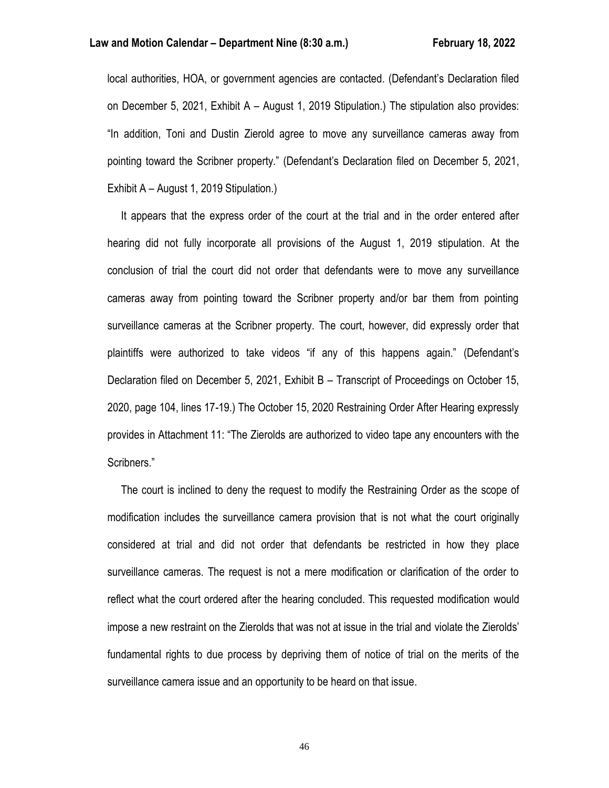local authorities, HOA, or government agencies are contacted. (Defendant's Declaration filed on December 5, 2021, Exhibit A – August 1, 2019 Stipulation.) The stipulation also provides: "In addition, Toni and Dustin Zierold agree to move any surveillance cameras away from pointing toward the Scribner property." (Defendant's Declaration filed on December 5, 2021, Exhibit A – August 1, 2019 Stipulation.)

 It appears that the express order of the court at the trial and in the order entered after hearing did not fully incorporate all provisions of the August 1, 2019 stipulation. At the conclusion of trial the court did not order that defendants were to move any surveillance cameras away from pointing toward the Scribner property and/or bar them from pointing surveillance cameras at the Scribner property. The court, however, did expressly order that plaintiffs were authorized to take videos "if any of this happens again." (Defendant's Declaration filed on December 5, 2021, Exhibit B – Transcript of Proceedings on October 15, 2020, page 104, lines 17-19.) The October 15, 2020 Restraining Order After Hearing expressly provides in Attachment 11: "The Zierolds are authorized to video tape any encounters with the Scribners."

 The court is inclined to deny the request to modify the Restraining Order as the scope of modification includes the surveillance camera provision that is not what the court originally considered at trial and did not order that defendants be restricted in how they place surveillance cameras. The request is not a mere modification or clarification of the order to reflect what the court ordered after the hearing concluded. This requested modification would impose a new restraint on the Zierolds that was not at issue in the trial and violate the Zierolds' fundamental rights to due process by depriving them of notice of trial on the merits of the surveillance camera issue and an opportunity to be heard on that issue.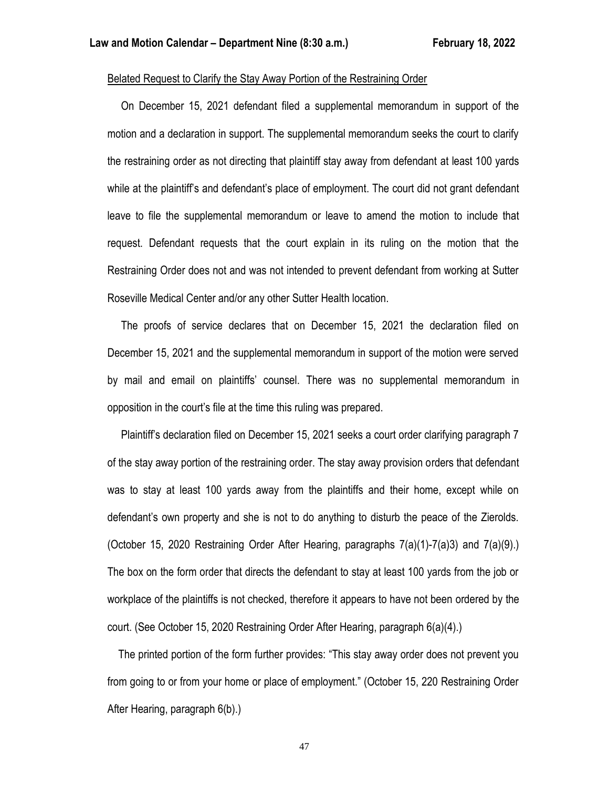## Belated Request to Clarify the Stay Away Portion of the Restraining Order

 On December 15, 2021 defendant filed a supplemental memorandum in support of the motion and a declaration in support. The supplemental memorandum seeks the court to clarify the restraining order as not directing that plaintiff stay away from defendant at least 100 yards while at the plaintiff's and defendant's place of employment. The court did not grant defendant leave to file the supplemental memorandum or leave to amend the motion to include that request. Defendant requests that the court explain in its ruling on the motion that the Restraining Order does not and was not intended to prevent defendant from working at Sutter Roseville Medical Center and/or any other Sutter Health location.

 The proofs of service declares that on December 15, 2021 the declaration filed on December 15, 2021 and the supplemental memorandum in support of the motion were served by mail and email on plaintiffs' counsel. There was no supplemental memorandum in opposition in the court's file at the time this ruling was prepared.

 Plaintiff's declaration filed on December 15, 2021 seeks a court order clarifying paragraph 7 of the stay away portion of the restraining order. The stay away provision orders that defendant was to stay at least 100 yards away from the plaintiffs and their home, except while on defendant's own property and she is not to do anything to disturb the peace of the Zierolds. (October 15, 2020 Restraining Order After Hearing, paragraphs 7(a)(1)-7(a)3) and 7(a)(9).) The box on the form order that directs the defendant to stay at least 100 yards from the job or workplace of the plaintiffs is not checked, therefore it appears to have not been ordered by the court. (See October 15, 2020 Restraining Order After Hearing, paragraph 6(a)(4).)

 The printed portion of the form further provides: "This stay away order does not prevent you from going to or from your home or place of employment." (October 15, 220 Restraining Order After Hearing, paragraph 6(b).)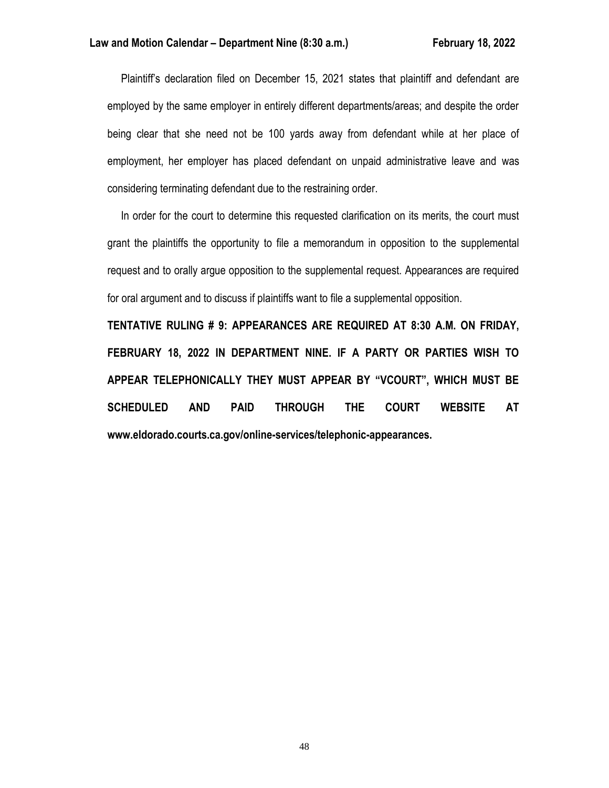Plaintiff's declaration filed on December 15, 2021 states that plaintiff and defendant are employed by the same employer in entirely different departments/areas; and despite the order being clear that she need not be 100 yards away from defendant while at her place of employment, her employer has placed defendant on unpaid administrative leave and was considering terminating defendant due to the restraining order.

 In order for the court to determine this requested clarification on its merits, the court must grant the plaintiffs the opportunity to file a memorandum in opposition to the supplemental request and to orally argue opposition to the supplemental request. Appearances are required for oral argument and to discuss if plaintiffs want to file a supplemental opposition.

**TENTATIVE RULING # 9: APPEARANCES ARE REQUIRED AT 8:30 A.M. ON FRIDAY, FEBRUARY 18, 2022 IN DEPARTMENT NINE. IF A PARTY OR PARTIES WISH TO APPEAR TELEPHONICALLY THEY MUST APPEAR BY "VCOURT", WHICH MUST BE SCHEDULED AND PAID THROUGH THE COURT WEBSITE AT www.eldorado.courts.ca.gov/online-services/telephonic-appearances.**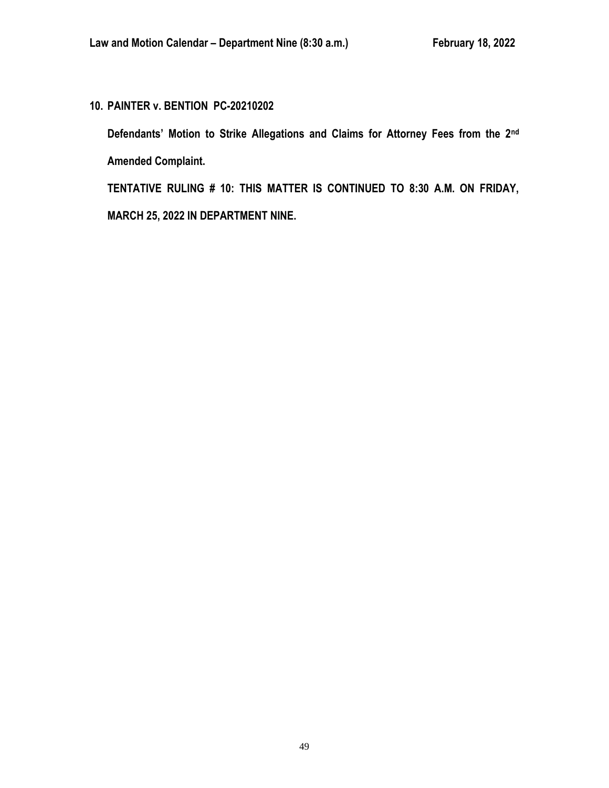## **10. PAINTER v. BENTION PC-20210202**

**Defendants' Motion to Strike Allegations and Claims for Attorney Fees from the 2nd Amended Complaint.**

**TENTATIVE RULING # 10: THIS MATTER IS CONTINUED TO 8:30 A.M. ON FRIDAY, MARCH 25, 2022 IN DEPARTMENT NINE.**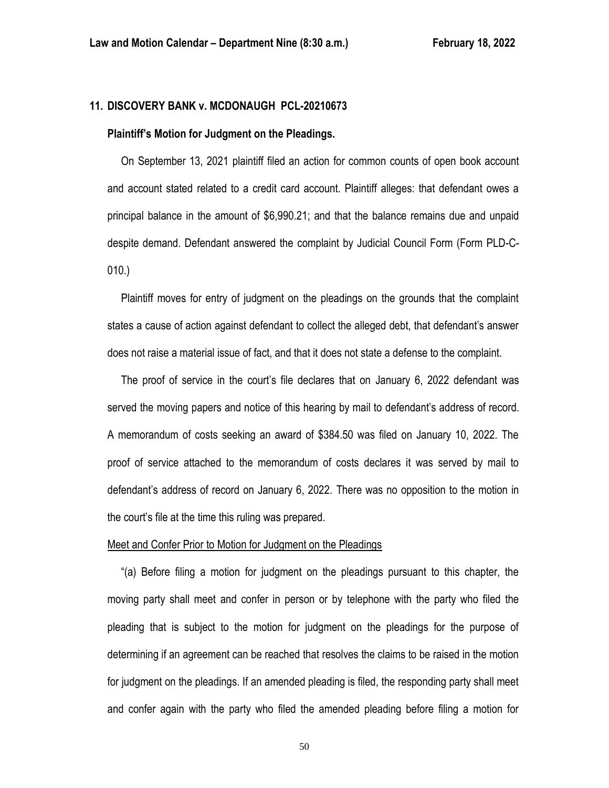## **11. DISCOVERY BANK v. MCDONAUGH PCL-20210673**

## **Plaintiff's Motion for Judgment on the Pleadings.**

 On September 13, 2021 plaintiff filed an action for common counts of open book account and account stated related to a credit card account. Plaintiff alleges: that defendant owes a principal balance in the amount of \$6,990.21; and that the balance remains due and unpaid despite demand. Defendant answered the complaint by Judicial Council Form (Form PLD-C-010.)

 Plaintiff moves for entry of judgment on the pleadings on the grounds that the complaint states a cause of action against defendant to collect the alleged debt, that defendant's answer does not raise a material issue of fact, and that it does not state a defense to the complaint.

 The proof of service in the court's file declares that on January 6, 2022 defendant was served the moving papers and notice of this hearing by mail to defendant's address of record. A memorandum of costs seeking an award of \$384.50 was filed on January 10, 2022. The proof of service attached to the memorandum of costs declares it was served by mail to defendant's address of record on January 6, 2022. There was no opposition to the motion in the court's file at the time this ruling was prepared.

## Meet and Confer Prior to Motion for Judgment on the Pleadings

 "(a) Before filing a motion for judgment on the pleadings pursuant to this chapter, the moving party shall meet and confer in person or by telephone with the party who filed the pleading that is subject to the motion for judgment on the pleadings for the purpose of determining if an agreement can be reached that resolves the claims to be raised in the motion for judgment on the pleadings. If an amended pleading is filed, the responding party shall meet and confer again with the party who filed the amended pleading before filing a motion for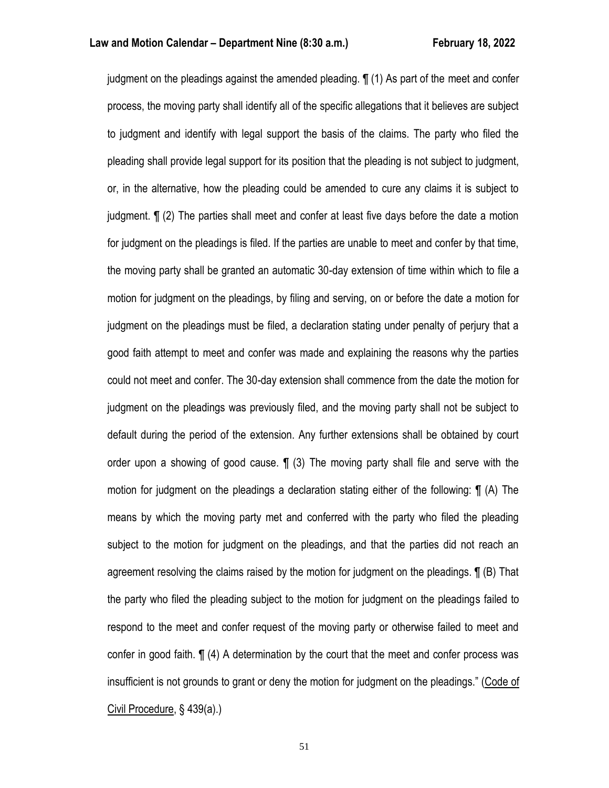judgment on the pleadings against the amended pleading. ¶ (1) As part of the meet and confer process, the moving party shall identify all of the specific allegations that it believes are subject to judgment and identify with legal support the basis of the claims. The party who filed the pleading shall provide legal support for its position that the pleading is not subject to judgment, or, in the alternative, how the pleading could be amended to cure any claims it is subject to judgment. ¶ (2) The parties shall meet and confer at least five days before the date a motion for judgment on the pleadings is filed. If the parties are unable to meet and confer by that time, the moving party shall be granted an automatic 30-day extension of time within which to file a motion for judgment on the pleadings, by filing and serving, on or before the date a motion for judgment on the pleadings must be filed, a declaration stating under penalty of perjury that a good faith attempt to meet and confer was made and explaining the reasons why the parties could not meet and confer. The 30-day extension shall commence from the date the motion for judgment on the pleadings was previously filed, and the moving party shall not be subject to default during the period of the extension. Any further extensions shall be obtained by court order upon a showing of good cause. ¶ (3) The moving party shall file and serve with the motion for judgment on the pleadings a declaration stating either of the following: ¶ (A) The means by which the moving party met and conferred with the party who filed the pleading subject to the motion for judgment on the pleadings, and that the parties did not reach an agreement resolving the claims raised by the motion for judgment on the pleadings. ¶ (B) That the party who filed the pleading subject to the motion for judgment on the pleadings failed to respond to the meet and confer request of the moving party or otherwise failed to meet and confer in good faith. ¶ (4) A determination by the court that the meet and confer process was insufficient is not grounds to grant or deny the motion for judgment on the pleadings." (Code of Civil Procedure, § 439(a).)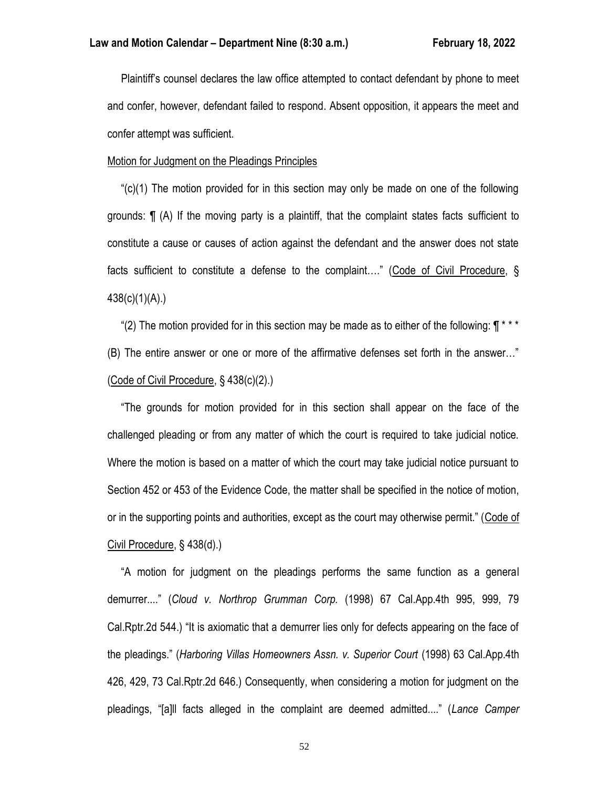Plaintiff's counsel declares the law office attempted to contact defendant by phone to meet and confer, however, defendant failed to respond. Absent opposition, it appears the meet and confer attempt was sufficient.

Motion for Judgment on the Pleadings Principles

 "(c)(1) The motion provided for in this section may only be made on one of the following grounds: ¶ (A) If the moving party is a plaintiff, that the complaint states facts sufficient to constitute a cause or causes of action against the defendant and the answer does not state facts sufficient to constitute a defense to the complaint…." (Code of Civil Procedure, § 438(c)(1)(A).)

"(2) The motion provided for in this section may be made as to either of the following:  $\P$ <sup>\*\*\*</sup> (B) The entire answer or one or more of the affirmative defenses set forth in the answer…" (Code of Civil Procedure, § 438(c)(2).)

 "The grounds for motion provided for in this section shall appear on the face of the challenged pleading or from any matter of which the court is required to take judicial notice. Where the motion is based on a matter of which the court may take judicial notice pursuant to Section 452 or 453 of the Evidence Code, the matter shall be specified in the notice of motion, or in the supporting points and authorities, except as the court may otherwise permit." (Code of Civil Procedure, § 438(d).)

 "A motion for judgment on the pleadings performs the same function as a general demurrer...." (*Cloud v. Northrop Grumman Corp.* (1998) 67 Cal.App.4th 995, 999, 79 Cal.Rptr.2d 544.) "It is axiomatic that a demurrer lies only for defects appearing on the face of the pleadings." (*Harboring Villas Homeowners Assn. v. Superior Court* (1998) 63 Cal.App.4th 426, 429, 73 Cal.Rptr.2d 646.) Consequently, when considering a motion for judgment on the pleadings, "[a]ll facts alleged in the complaint are deemed admitted...." (*Lance Camper*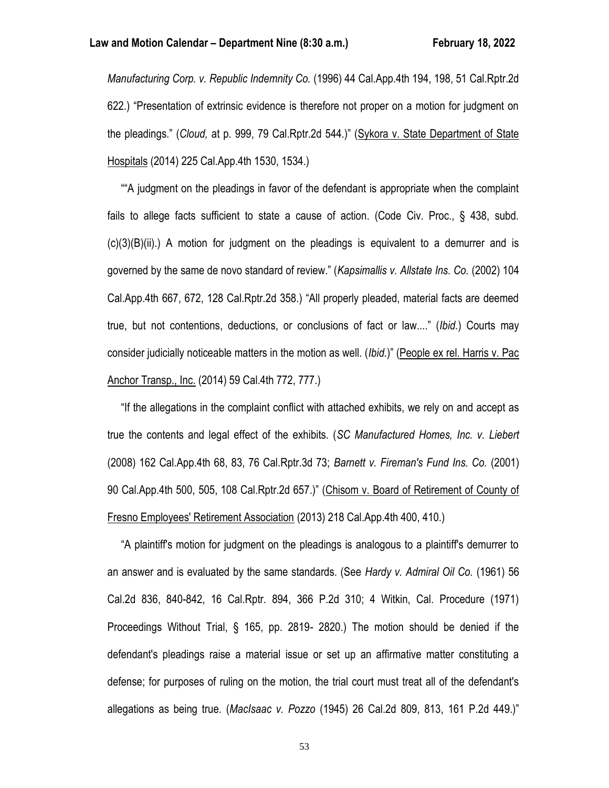*Manufacturing Corp. v. Republic Indemnity Co.* (1996) 44 Cal.App.4th 194, 198, 51 Cal.Rptr.2d 622.) "Presentation of extrinsic evidence is therefore not proper on a motion for judgment on the pleadings." (*Cloud,* at p. 999, 79 Cal.Rptr.2d 544.)" (Sykora v. State Department of State Hospitals (2014) 225 Cal.App.4th 1530, 1534.)

 ""A judgment on the pleadings in favor of the defendant is appropriate when the complaint fails to allege facts sufficient to state a cause of action. (Code Civ. Proc., § 438, subd.  $(c)(3)(B)(ii)$ .) A motion for judgment on the pleadings is equivalent to a demurrer and is governed by the same de novo standard of review." (*Kapsimallis v. Allstate Ins. Co.* (2002) 104 Cal.App.4th 667, 672, 128 Cal.Rptr.2d 358.) "All properly pleaded, material facts are deemed true, but not contentions, deductions, or conclusions of fact or law...." (*Ibid.*) Courts may consider judicially noticeable matters in the motion as well. (*Ibid.*)" (People ex rel. Harris v. Pac Anchor Transp., Inc. (2014) 59 Cal.4th 772, 777.)

 "If the allegations in the complaint conflict with attached exhibits, we rely on and accept as true the contents and legal effect of the exhibits. (*SC Manufactured Homes, Inc. v. Liebert* (2008) 162 Cal.App.4th 68, 83, 76 Cal.Rptr.3d 73; *Barnett v. Fireman's Fund Ins. Co.* (2001) 90 Cal.App.4th 500, 505, 108 Cal.Rptr.2d 657.)" (Chisom v. Board of Retirement of County of Fresno Employees' Retirement Association (2013) 218 Cal.App.4th 400, 410.)

 "A plaintiff's motion for judgment on the pleadings is analogous to a plaintiff's demurrer to an answer and is evaluated by the same standards. (See *Hardy v. Admiral Oil Co.* (1961) 56 Cal.2d 836, 840-842, 16 Cal.Rptr. 894, 366 P.2d 310; 4 Witkin, Cal. Procedure (1971) Proceedings Without Trial, § 165, pp. 2819- 2820.) The motion should be denied if the defendant's pleadings raise a material issue or set up an affirmative matter constituting a defense; for purposes of ruling on the motion, the trial court must treat all of the defendant's allegations as being true. (*MacIsaac v. Pozzo* (1945) 26 Cal.2d 809, 813, 161 P.2d 449.)"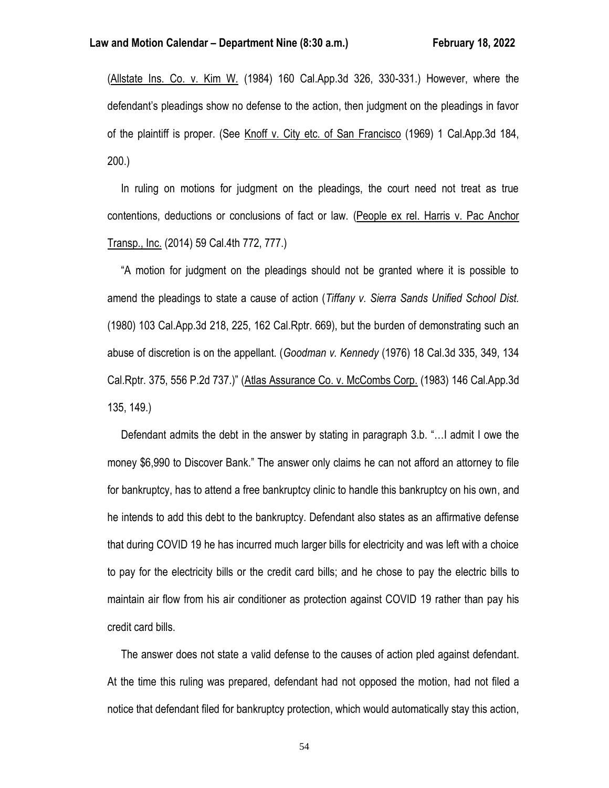(Allstate Ins. Co. v. Kim W. (1984) 160 Cal.App.3d 326, 330-331.) However, where the defendant's pleadings show no defense to the action, then judgment on the pleadings in favor of the plaintiff is proper. (See Knoff v. City etc. of San Francisco (1969) 1 Cal.App.3d 184, 200.)

 In ruling on motions for judgment on the pleadings, the court need not treat as true contentions, deductions or conclusions of fact or law. (People ex rel. Harris v. Pac Anchor Transp., Inc. (2014) 59 Cal.4th 772, 777.)

 "A motion for judgment on the pleadings should not be granted where it is possible to amend the pleadings to state a cause of action (*Tiffany v. Sierra Sands Unified School Dist.* (1980) 103 Cal.App.3d 218, 225, 162 Cal.Rptr. 669), but the burden of demonstrating such an abuse of discretion is on the appellant. (*Goodman v. Kennedy* (1976) 18 Cal.3d 335, 349, 134 Cal.Rptr. 375, 556 P.2d 737.)" (Atlas Assurance Co. v. McCombs Corp. (1983) 146 Cal.App.3d 135, 149.)

 Defendant admits the debt in the answer by stating in paragraph 3.b. "…I admit I owe the money \$6,990 to Discover Bank." The answer only claims he can not afford an attorney to file for bankruptcy, has to attend a free bankruptcy clinic to handle this bankruptcy on his own, and he intends to add this debt to the bankruptcy. Defendant also states as an affirmative defense that during COVID 19 he has incurred much larger bills for electricity and was left with a choice to pay for the electricity bills or the credit card bills; and he chose to pay the electric bills to maintain air flow from his air conditioner as protection against COVID 19 rather than pay his credit card bills.

 The answer does not state a valid defense to the causes of action pled against defendant. At the time this ruling was prepared, defendant had not opposed the motion, had not filed a notice that defendant filed for bankruptcy protection, which would automatically stay this action,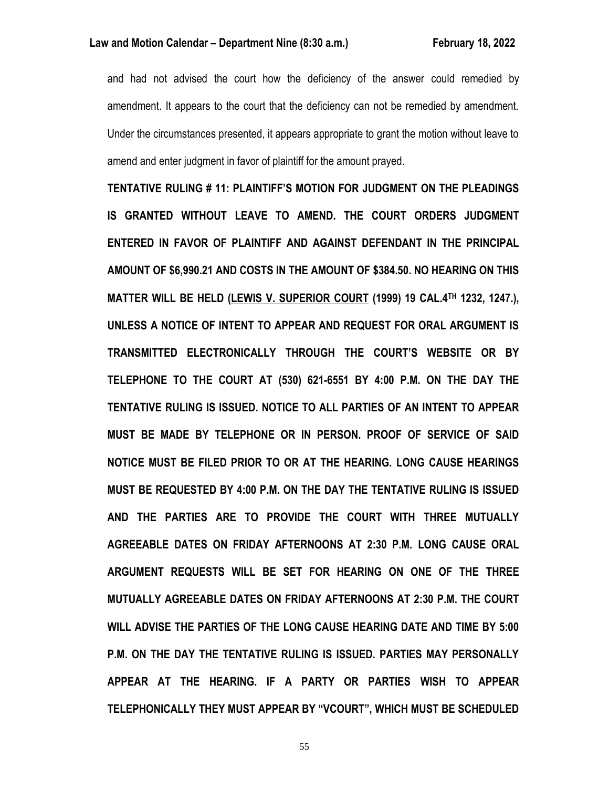and had not advised the court how the deficiency of the answer could remedied by amendment. It appears to the court that the deficiency can not be remedied by amendment. Under the circumstances presented, it appears appropriate to grant the motion without leave to amend and enter judgment in favor of plaintiff for the amount prayed.

**TENTATIVE RULING # 11: PLAINTIFF'S MOTION FOR JUDGMENT ON THE PLEADINGS IS GRANTED WITHOUT LEAVE TO AMEND. THE COURT ORDERS JUDGMENT ENTERED IN FAVOR OF PLAINTIFF AND AGAINST DEFENDANT IN THE PRINCIPAL AMOUNT OF \$6,990.21 AND COSTS IN THE AMOUNT OF \$384.50. NO HEARING ON THIS MATTER WILL BE HELD (LEWIS V. SUPERIOR COURT (1999) 19 CAL.4TH 1232, 1247.), UNLESS A NOTICE OF INTENT TO APPEAR AND REQUEST FOR ORAL ARGUMENT IS TRANSMITTED ELECTRONICALLY THROUGH THE COURT'S WEBSITE OR BY TELEPHONE TO THE COURT AT (530) 621-6551 BY 4:00 P.M. ON THE DAY THE TENTATIVE RULING IS ISSUED. NOTICE TO ALL PARTIES OF AN INTENT TO APPEAR MUST BE MADE BY TELEPHONE OR IN PERSON. PROOF OF SERVICE OF SAID NOTICE MUST BE FILED PRIOR TO OR AT THE HEARING. LONG CAUSE HEARINGS MUST BE REQUESTED BY 4:00 P.M. ON THE DAY THE TENTATIVE RULING IS ISSUED AND THE PARTIES ARE TO PROVIDE THE COURT WITH THREE MUTUALLY AGREEABLE DATES ON FRIDAY AFTERNOONS AT 2:30 P.M. LONG CAUSE ORAL ARGUMENT REQUESTS WILL BE SET FOR HEARING ON ONE OF THE THREE MUTUALLY AGREEABLE DATES ON FRIDAY AFTERNOONS AT 2:30 P.M. THE COURT WILL ADVISE THE PARTIES OF THE LONG CAUSE HEARING DATE AND TIME BY 5:00 P.M. ON THE DAY THE TENTATIVE RULING IS ISSUED. PARTIES MAY PERSONALLY APPEAR AT THE HEARING. IF A PARTY OR PARTIES WISH TO APPEAR TELEPHONICALLY THEY MUST APPEAR BY "VCOURT", WHICH MUST BE SCHEDULED**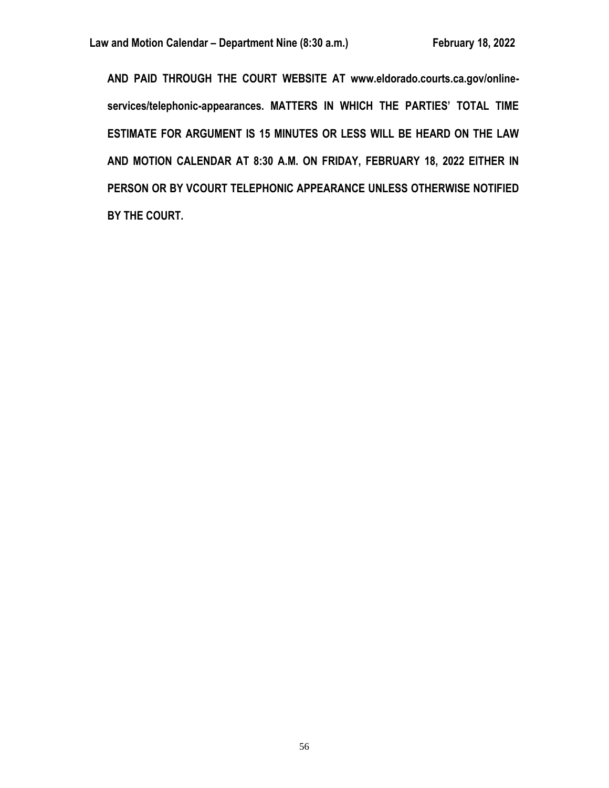**AND PAID THROUGH THE COURT WEBSITE AT www.eldorado.courts.ca.gov/onlineservices/telephonic-appearances. MATTERS IN WHICH THE PARTIES' TOTAL TIME ESTIMATE FOR ARGUMENT IS 15 MINUTES OR LESS WILL BE HEARD ON THE LAW AND MOTION CALENDAR AT 8:30 A.M. ON FRIDAY, FEBRUARY 18, 2022 EITHER IN PERSON OR BY VCOURT TELEPHONIC APPEARANCE UNLESS OTHERWISE NOTIFIED BY THE COURT.**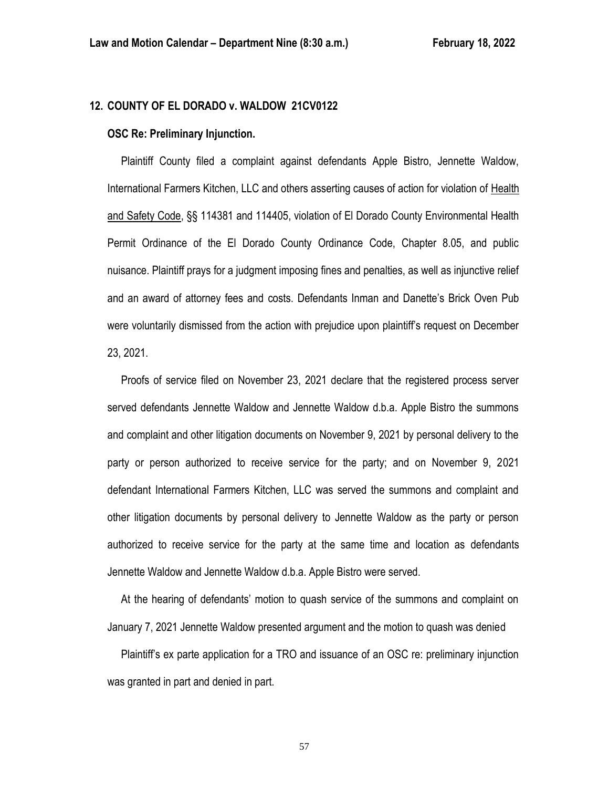## **12. COUNTY OF EL DORADO v. WALDOW 21CV0122**

## **OSC Re: Preliminary Injunction.**

 Plaintiff County filed a complaint against defendants Apple Bistro, Jennette Waldow, International Farmers Kitchen, LLC and others asserting causes of action for violation of Health and Safety Code, §§ 114381 and 114405, violation of El Dorado County Environmental Health Permit Ordinance of the El Dorado County Ordinance Code, Chapter 8.05, and public nuisance. Plaintiff prays for a judgment imposing fines and penalties, as well as injunctive relief and an award of attorney fees and costs. Defendants Inman and Danette's Brick Oven Pub were voluntarily dismissed from the action with prejudice upon plaintiff's request on December 23, 2021.

 Proofs of service filed on November 23, 2021 declare that the registered process server served defendants Jennette Waldow and Jennette Waldow d.b.a. Apple Bistro the summons and complaint and other litigation documents on November 9, 2021 by personal delivery to the party or person authorized to receive service for the party; and on November 9, 2021 defendant International Farmers Kitchen, LLC was served the summons and complaint and other litigation documents by personal delivery to Jennette Waldow as the party or person authorized to receive service for the party at the same time and location as defendants Jennette Waldow and Jennette Waldow d.b.a. Apple Bistro were served.

 At the hearing of defendants' motion to quash service of the summons and complaint on January 7, 2021 Jennette Waldow presented argument and the motion to quash was denied

 Plaintiff's ex parte application for a TRO and issuance of an OSC re: preliminary injunction was granted in part and denied in part.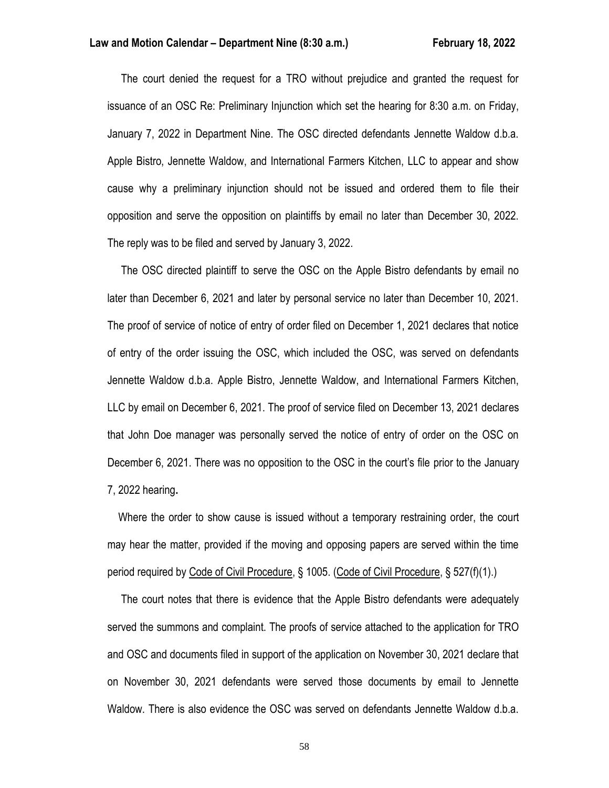The court denied the request for a TRO without prejudice and granted the request for issuance of an OSC Re: Preliminary Injunction which set the hearing for 8:30 a.m. on Friday, January 7, 2022 in Department Nine. The OSC directed defendants Jennette Waldow d.b.a. Apple Bistro, Jennette Waldow, and International Farmers Kitchen, LLC to appear and show cause why a preliminary injunction should not be issued and ordered them to file their opposition and serve the opposition on plaintiffs by email no later than December 30, 2022. The reply was to be filed and served by January 3, 2022.

 The OSC directed plaintiff to serve the OSC on the Apple Bistro defendants by email no later than December 6, 2021 and later by personal service no later than December 10, 2021. The proof of service of notice of entry of order filed on December 1, 2021 declares that notice of entry of the order issuing the OSC, which included the OSC, was served on defendants Jennette Waldow d.b.a. Apple Bistro, Jennette Waldow, and International Farmers Kitchen, LLC by email on December 6, 2021. The proof of service filed on December 13, 2021 declares that John Doe manager was personally served the notice of entry of order on the OSC on December 6, 2021. There was no opposition to the OSC in the court's file prior to the January 7, 2022 hearing**.**

 Where the order to show cause is issued without a temporary restraining order, the court may hear the matter, provided if the moving and opposing papers are served within the time period required by Code of Civil Procedure, § 1005. (Code of Civil Procedure, § 527(f)(1).)

 The court notes that there is evidence that the Apple Bistro defendants were adequately served the summons and complaint. The proofs of service attached to the application for TRO and OSC and documents filed in support of the application on November 30, 2021 declare that on November 30, 2021 defendants were served those documents by email to Jennette Waldow. There is also evidence the OSC was served on defendants Jennette Waldow d.b.a.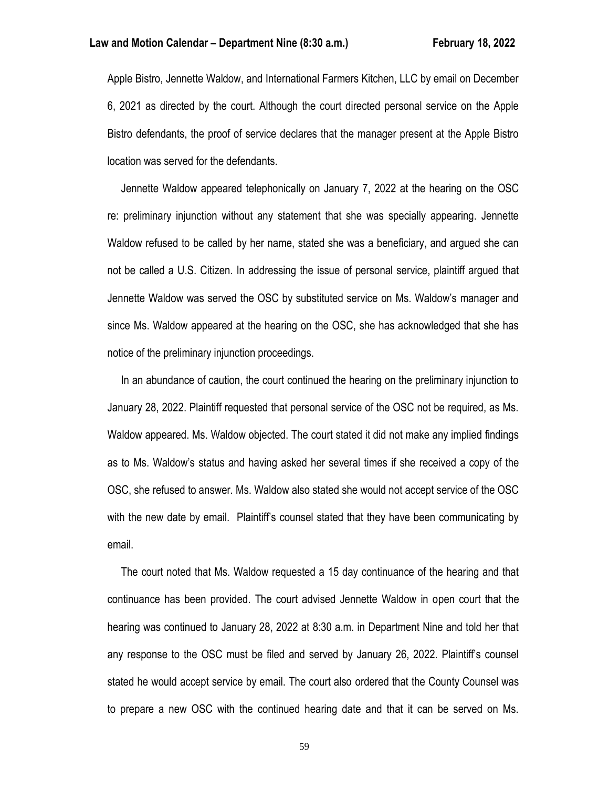Apple Bistro, Jennette Waldow, and International Farmers Kitchen, LLC by email on December 6, 2021 as directed by the court. Although the court directed personal service on the Apple Bistro defendants, the proof of service declares that the manager present at the Apple Bistro location was served for the defendants.

 Jennette Waldow appeared telephonically on January 7, 2022 at the hearing on the OSC re: preliminary injunction without any statement that she was specially appearing. Jennette Waldow refused to be called by her name, stated she was a beneficiary, and argued she can not be called a U.S. Citizen. In addressing the issue of personal service, plaintiff argued that Jennette Waldow was served the OSC by substituted service on Ms. Waldow's manager and since Ms. Waldow appeared at the hearing on the OSC, she has acknowledged that she has notice of the preliminary injunction proceedings.

 In an abundance of caution, the court continued the hearing on the preliminary injunction to January 28, 2022. Plaintiff requested that personal service of the OSC not be required, as Ms. Waldow appeared. Ms. Waldow objected. The court stated it did not make any implied findings as to Ms. Waldow's status and having asked her several times if she received a copy of the OSC, she refused to answer. Ms. Waldow also stated she would not accept service of the OSC with the new date by email. Plaintiff's counsel stated that they have been communicating by email.

 The court noted that Ms. Waldow requested a 15 day continuance of the hearing and that continuance has been provided. The court advised Jennette Waldow in open court that the hearing was continued to January 28, 2022 at 8:30 a.m. in Department Nine and told her that any response to the OSC must be filed and served by January 26, 2022. Plaintiff's counsel stated he would accept service by email. The court also ordered that the County Counsel was to prepare a new OSC with the continued hearing date and that it can be served on Ms.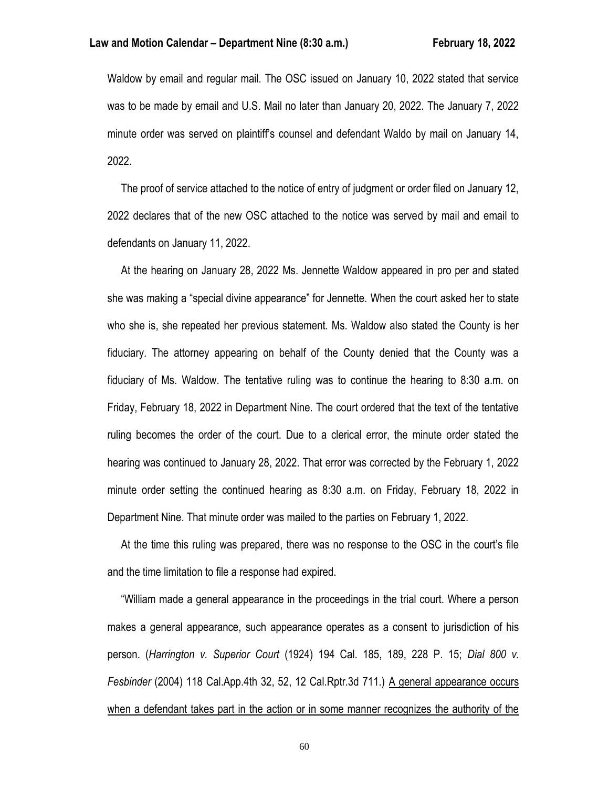Waldow by email and regular mail. The OSC issued on January 10, 2022 stated that service was to be made by email and U.S. Mail no later than January 20, 2022. The January 7, 2022 minute order was served on plaintiff's counsel and defendant Waldo by mail on January 14, 2022.

 The proof of service attached to the notice of entry of judgment or order filed on January 12, 2022 declares that of the new OSC attached to the notice was served by mail and email to defendants on January 11, 2022.

 At the hearing on January 28, 2022 Ms. Jennette Waldow appeared in pro per and stated she was making a "special divine appearance" for Jennette. When the court asked her to state who she is, she repeated her previous statement. Ms. Waldow also stated the County is her fiduciary. The attorney appearing on behalf of the County denied that the County was a fiduciary of Ms. Waldow. The tentative ruling was to continue the hearing to 8:30 a.m. on Friday, February 18, 2022 in Department Nine. The court ordered that the text of the tentative ruling becomes the order of the court. Due to a clerical error, the minute order stated the hearing was continued to January 28, 2022. That error was corrected by the February 1, 2022 minute order setting the continued hearing as 8:30 a.m. on Friday, February 18, 2022 in Department Nine. That minute order was mailed to the parties on February 1, 2022.

 At the time this ruling was prepared, there was no response to the OSC in the court's file and the time limitation to file a response had expired.

 "William made a general appearance in the proceedings in the trial court. Where a person makes a general appearance, such appearance operates as a consent to jurisdiction of his person. (*Harrington v. Superior Court* (1924) 194 Cal. 185, 189, 228 P. 15; *Dial 800 v. Fesbinder* (2004) 118 Cal.App.4th 32, 52, 12 Cal.Rptr.3d 711.) A general appearance occurs when a defendant takes part in the action or in some manner recognizes the authority of the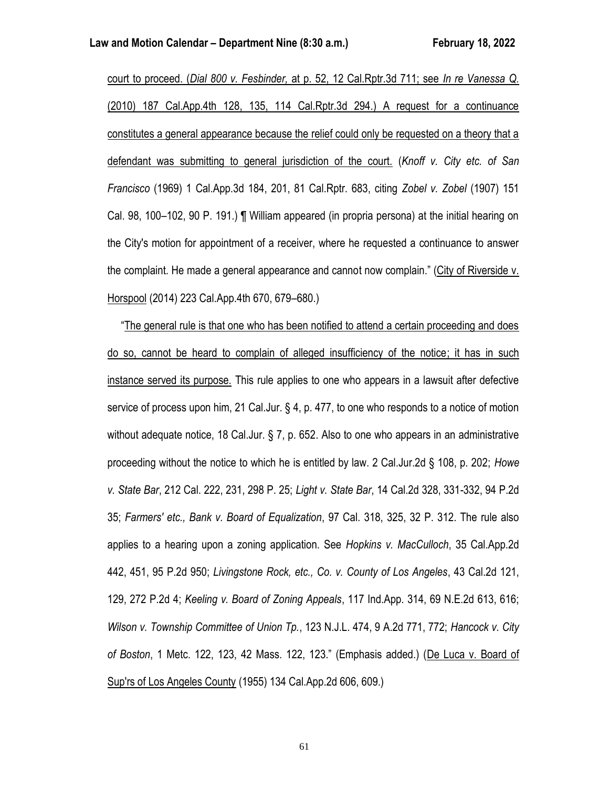court to proceed. (*Dial 800 v. Fesbinder,* at p. 52, 12 Cal.Rptr.3d 711; see *In re Vanessa Q.*  (2010) 187 Cal.App.4th 128, 135, 114 Cal.Rptr.3d 294.) A request for a continuance constitutes a general appearance because the relief could only be requested on a theory that a defendant was submitting to general jurisdiction of the court. (*Knoff v. City etc. of San Francisco* (1969) 1 Cal.App.3d 184, 201, 81 Cal.Rptr. 683, citing *Zobel v. Zobel* (1907) 151 Cal. 98, 100–102, 90 P. 191.) ¶ William appeared (in propria persona) at the initial hearing on the City's motion for appointment of a receiver, where he requested a continuance to answer the complaint. He made a general appearance and cannot now complain." (City of Riverside v. Horspool (2014) 223 Cal.App.4th 670, 679–680.)

 "The general rule is that one who has been notified to attend a certain proceeding and does do so, cannot be heard to complain of alleged insufficiency of the notice; it has in such instance served its purpose. This rule applies to one who appears in a lawsuit after defective service of process upon him, 21 Cal.Jur. § 4, p. 477, to one who responds to a notice of motion without adequate notice, 18 Cal.Jur. § 7, p. 652. Also to one who appears in an administrative proceeding without the notice to which he is entitled by law. 2 Cal.Jur.2d § 108, p. 202; *Howe v. State Bar*, 212 Cal. 222, 231, 298 P. 25; *Light v. State Bar*, 14 Cal.2d 328, 331-332, 94 P.2d 35; *Farmers' etc., Bank v. Board of Equalization*, 97 Cal. 318, 325, 32 P. 312. The rule also applies to a hearing upon a zoning application. See *Hopkins v. MacCulloch*, 35 Cal.App.2d 442, 451, 95 P.2d 950; *Livingstone Rock, etc., Co. v. County of Los Angeles*, 43 Cal.2d 121, 129, 272 P.2d 4; *Keeling v. Board of Zoning Appeals*, 117 Ind.App. 314, 69 N.E.2d 613, 616; *Wilson v. Township Committee of Union Tp.*, 123 N.J.L. 474, 9 A.2d 771, 772; *Hancock v. City of Boston*, 1 Metc. 122, 123, 42 Mass. 122, 123." (Emphasis added.) (De Luca v. Board of Sup'rs of Los Angeles County (1955) 134 Cal.App.2d 606, 609.)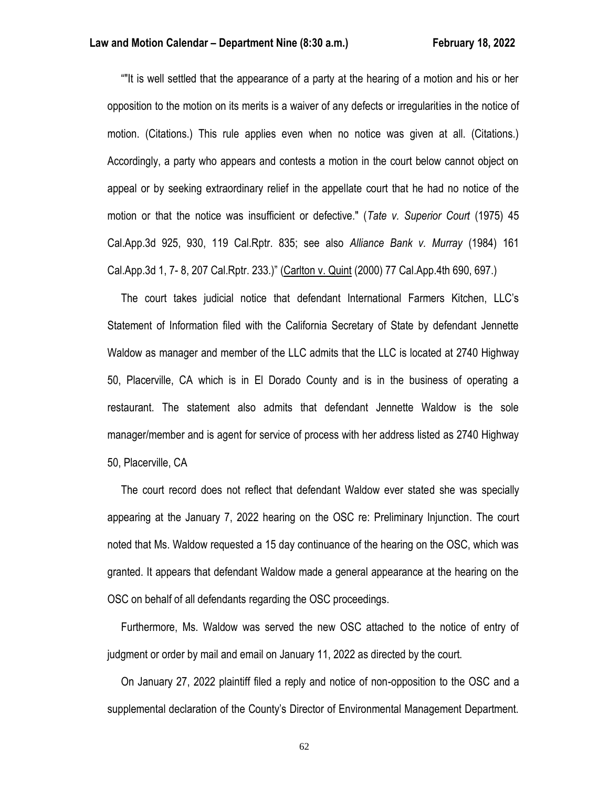""It is well settled that the appearance of a party at the hearing of a motion and his or her opposition to the motion on its merits is a waiver of any defects or irregularities in the notice of motion. (Citations.) This rule applies even when no notice was given at all. (Citations.) Accordingly, a party who appears and contests a motion in the court below cannot object on appeal or by seeking extraordinary relief in the appellate court that he had no notice of the motion or that the notice was insufficient or defective." (*Tate v. Superior Court* (1975) 45 Cal.App.3d 925, 930, 119 Cal.Rptr. 835; see also *Alliance Bank v. Murray* (1984) 161 Cal.App.3d 1, 7- 8, 207 Cal.Rptr. 233.)" (Carlton v. Quint (2000) 77 Cal.App.4th 690, 697.)

 The court takes judicial notice that defendant International Farmers Kitchen, LLC's Statement of Information filed with the California Secretary of State by defendant Jennette Waldow as manager and member of the LLC admits that the LLC is located at 2740 Highway 50, Placerville, CA which is in El Dorado County and is in the business of operating a restaurant. The statement also admits that defendant Jennette Waldow is the sole manager/member and is agent for service of process with her address listed as 2740 Highway 50, Placerville, CA

 The court record does not reflect that defendant Waldow ever stated she was specially appearing at the January 7, 2022 hearing on the OSC re: Preliminary Injunction. The court noted that Ms. Waldow requested a 15 day continuance of the hearing on the OSC, which was granted. It appears that defendant Waldow made a general appearance at the hearing on the OSC on behalf of all defendants regarding the OSC proceedings.

 Furthermore, Ms. Waldow was served the new OSC attached to the notice of entry of judgment or order by mail and email on January 11, 2022 as directed by the court.

 On January 27, 2022 plaintiff filed a reply and notice of non-opposition to the OSC and a supplemental declaration of the County's Director of Environmental Management Department.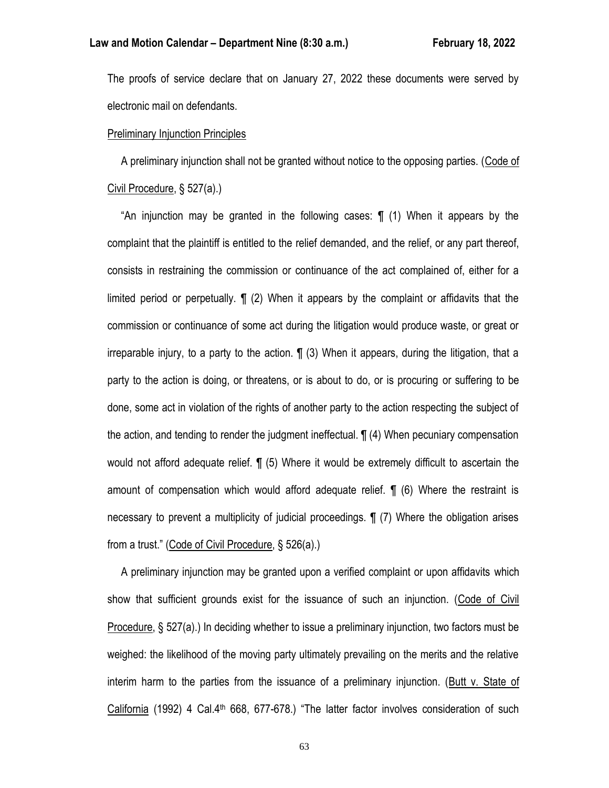The proofs of service declare that on January 27, 2022 these documents were served by electronic mail on defendants.

## Preliminary Injunction Principles

 A preliminary injunction shall not be granted without notice to the opposing parties. (Code of Civil Procedure, § 527(a).)

 "An injunction may be granted in the following cases: ¶ (1) When it appears by the complaint that the plaintiff is entitled to the relief demanded, and the relief, or any part thereof, consists in restraining the commission or continuance of the act complained of, either for a limited period or perpetually. ¶ (2) When it appears by the complaint or affidavits that the commission or continuance of some act during the litigation would produce waste, or great or irreparable injury, to a party to the action. ¶ (3) When it appears, during the litigation, that a party to the action is doing, or threatens, or is about to do, or is procuring or suffering to be done, some act in violation of the rights of another party to the action respecting the subject of the action, and tending to render the judgment ineffectual. ¶ (4) When pecuniary compensation would not afford adequate relief. ¶ (5) Where it would be extremely difficult to ascertain the amount of compensation which would afford adequate relief. ¶ (6) Where the restraint is necessary to prevent a multiplicity of judicial proceedings. ¶ (7) Where the obligation arises from a trust." (Code of Civil Procedure, § 526(a).)

 A preliminary injunction may be granted upon a verified complaint or upon affidavits which show that sufficient grounds exist for the issuance of such an injunction. (Code of Civil Procedure, § 527(a).) In deciding whether to issue a preliminary injunction, two factors must be weighed: the likelihood of the moving party ultimately prevailing on the merits and the relative interim harm to the parties from the issuance of a preliminary injunction. (Butt v. State of California (1992) 4 Cal.4<sup>th</sup> 668, 677-678.) "The latter factor involves consideration of such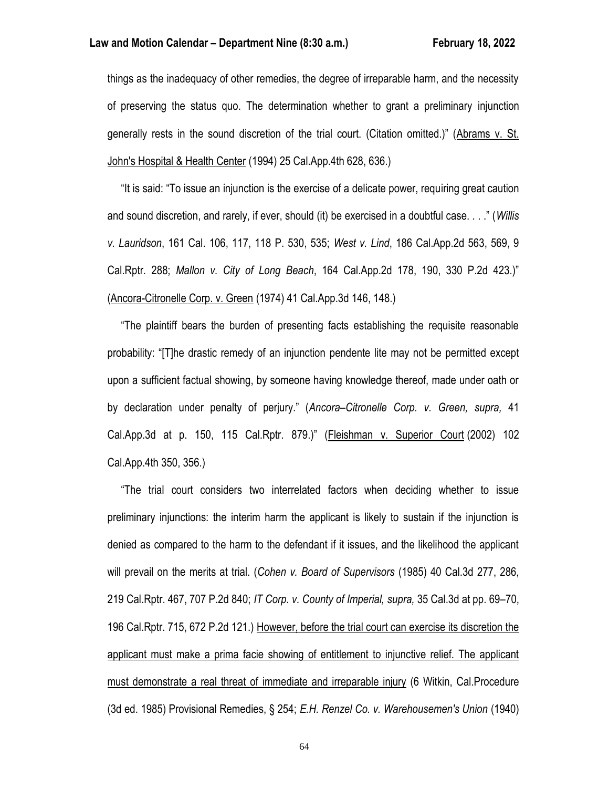things as the inadequacy of other remedies, the degree of irreparable harm, and the necessity of preserving the status quo. The determination whether to grant a preliminary injunction generally rests in the sound discretion of the trial court. (Citation omitted.)" (Abrams v. St. John's Hospital & Health Center (1994) 25 Cal.App.4th 628, 636.)

 "It is said: "To issue an injunction is the exercise of a delicate power, requiring great caution and sound discretion, and rarely, if ever, should (it) be exercised in a doubtful case. . . ." (*Willis v. Lauridson*, 161 Cal. 106, 117, 118 P. 530, 535; *West v. Lind*, 186 Cal.App.2d 563, 569, 9 Cal.Rptr. 288; *Mallon v. City of Long Beach*, 164 Cal.App.2d 178, 190, 330 P.2d 423.)" (Ancora-Citronelle Corp. v. Green (1974) 41 Cal.App.3d 146, 148.)

 "The plaintiff bears the burden of presenting facts establishing the requisite reasonable probability: "[T]he drastic remedy of an injunction pendente lite may not be permitted except upon a sufficient factual showing, by someone having knowledge thereof, made under oath or by declaration under penalty of perjury." (*Ancora–Citronelle Corp. v. Green, supra,* 41 Cal.App.3d at p. 150, 115 Cal.Rptr. 879.)" (Fleishman v. Superior Court (2002) 102 Cal.App.4th 350, 356.)

 "The trial court considers two interrelated factors when deciding whether to issue preliminary injunctions: the interim harm the applicant is likely to sustain if the injunction is denied as compared to the harm to the defendant if it issues, and the likelihood the applicant will prevail on the merits at trial. (*Cohen v. Board of Supervisors* (1985) 40 Cal.3d 277, 286, 219 Cal.Rptr. 467, 707 P.2d 840; *IT Corp. v. County of Imperial, supra,* 35 Cal.3d at pp. 69–70, 196 Cal.Rptr. 715, 672 P.2d 121.) However, before the trial court can exercise its discretion the applicant must make a prima facie showing of entitlement to injunctive relief. The applicant must demonstrate a real threat of immediate and irreparable injury (6 Witkin, Cal.Procedure (3d ed. 1985) Provisional Remedies, § 254; *E.H. Renzel Co. v. Warehousemen's Union* (1940)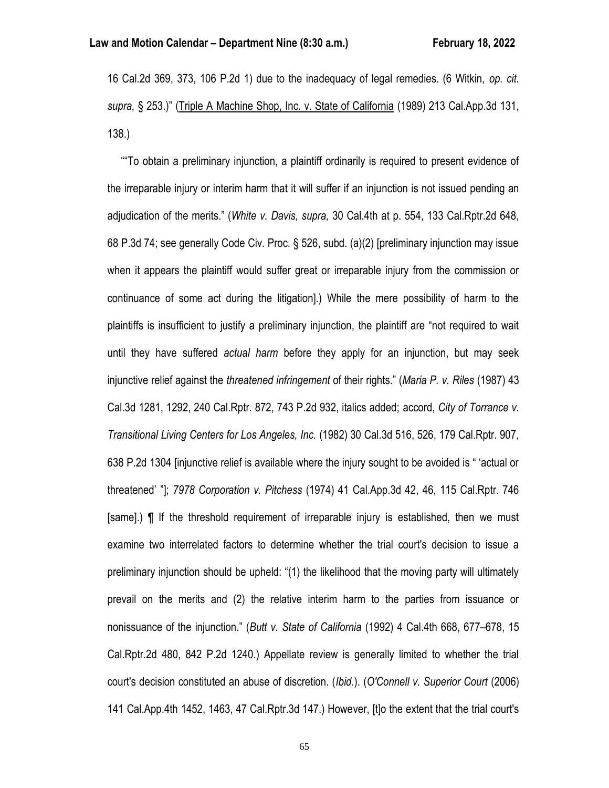16 Cal.2d 369, 373, 106 P.2d 1) due to the inadequacy of legal remedies. (6 Witkin, *op. cit. supra,* § 253.)" (Triple A Machine Shop, Inc. v. State of California (1989) 213 Cal.App.3d 131, 138.)

 ""To obtain a preliminary injunction, a plaintiff ordinarily is required to present evidence of the irreparable injury or interim harm that it will suffer if an injunction is not issued pending an adjudication of the merits." (*White v. Davis, supra,* 30 Cal.4th at p. 554, 133 Cal.Rptr.2d 648, 68 P.3d 74; see generally Code Civ. Proc. § 526, subd. (a)(2) [preliminary injunction may issue when it appears the plaintiff would suffer great or irreparable injury from the commission or continuance of some act during the litigation].) While the mere possibility of harm to the plaintiffs is insufficient to justify a preliminary injunction, the plaintiff are "not required to wait until they have suffered *actual harm* before they apply for an injunction, but may seek injunctive relief against the *threatened infringement* of their rights." (*Maria P. v. Riles* (1987) 43 Cal.3d 1281, 1292, 240 Cal.Rptr. 872, 743 P.2d 932, italics added; accord, *City of Torrance v. Transitional Living Centers for Los Angeles, Inc.* (1982) 30 Cal.3d 516, 526, 179 Cal.Rptr. 907, 638 P.2d 1304 [injunctive relief is available where the injury sought to be avoided is " 'actual or threatened' "]; *7978 Corporation v. Pitchess* (1974) 41 Cal.App.3d 42, 46, 115 Cal.Rptr. 746 [same].) ¶ If the threshold requirement of irreparable injury is established, then we must examine two interrelated factors to determine whether the trial court's decision to issue a preliminary injunction should be upheld: "(1) the likelihood that the moving party will ultimately prevail on the merits and (2) the relative interim harm to the parties from issuance or nonissuance of the injunction." (*Butt v. State of California* (1992) 4 Cal.4th 668, 677–678, 15 Cal.Rptr.2d 480, 842 P.2d 1240.) Appellate review is generally limited to whether the trial court's decision constituted an abuse of discretion. (*Ibid.*). (*O'Connell v. Superior Court* (2006) 141 Cal.App.4th 1452, 1463, 47 Cal.Rptr.3d 147.) However, [t]o the extent that the trial court's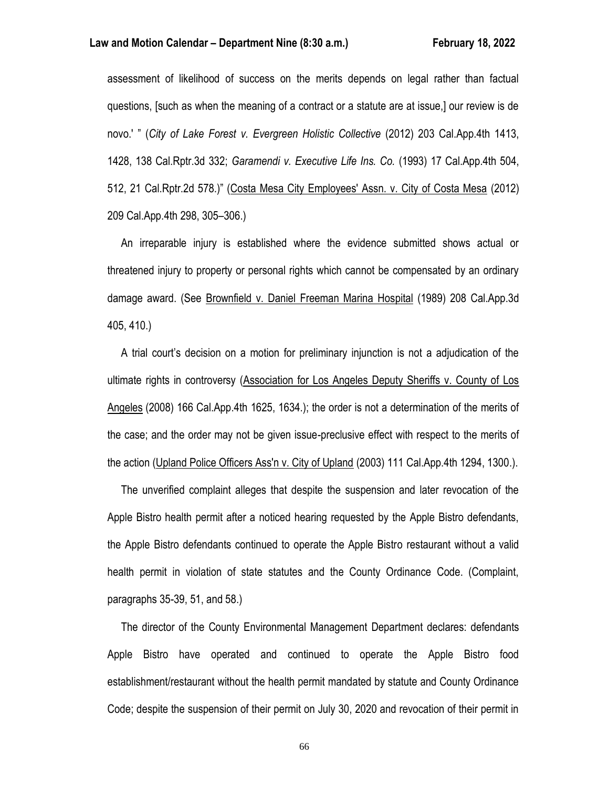### **Law and Motion Calendar – Department Nine (8:30 a.m.) February 18, 2022**

assessment of likelihood of success on the merits depends on legal rather than factual questions, [such as when the meaning of a contract or a statute are at issue,] our review is de novo.' " (*City of Lake Forest v. Evergreen Holistic Collective* (2012) 203 Cal.App.4th 1413, 1428, 138 Cal.Rptr.3d 332; *Garamendi v. Executive Life Ins. Co.* (1993) 17 Cal.App.4th 504, 512, 21 Cal.Rptr.2d 578.)" (Costa Mesa City Employees' Assn. v. City of Costa Mesa (2012) 209 Cal.App.4th 298, 305–306.)

 An irreparable injury is established where the evidence submitted shows actual or threatened injury to property or personal rights which cannot be compensated by an ordinary damage award. (See Brownfield v. Daniel Freeman Marina Hospital (1989) 208 Cal.App.3d 405, 410.)

 A trial court's decision on a motion for preliminary injunction is not a adjudication of the ultimate rights in controversy (Association for Los Angeles Deputy Sheriffs v. County of Los Angeles (2008) 166 Cal.App.4th 1625, 1634.); the order is not a determination of the merits of the case; and the order may not be given issue-preclusive effect with respect to the merits of the action (Upland Police Officers Ass'n v. City of Upland (2003) 111 Cal.App.4th 1294, 1300.).

 The unverified complaint alleges that despite the suspension and later revocation of the Apple Bistro health permit after a noticed hearing requested by the Apple Bistro defendants, the Apple Bistro defendants continued to operate the Apple Bistro restaurant without a valid health permit in violation of state statutes and the County Ordinance Code. (Complaint, paragraphs 35-39, 51, and 58.)

 The director of the County Environmental Management Department declares: defendants Apple Bistro have operated and continued to operate the Apple Bistro food establishment/restaurant without the health permit mandated by statute and County Ordinance Code; despite the suspension of their permit on July 30, 2020 and revocation of their permit in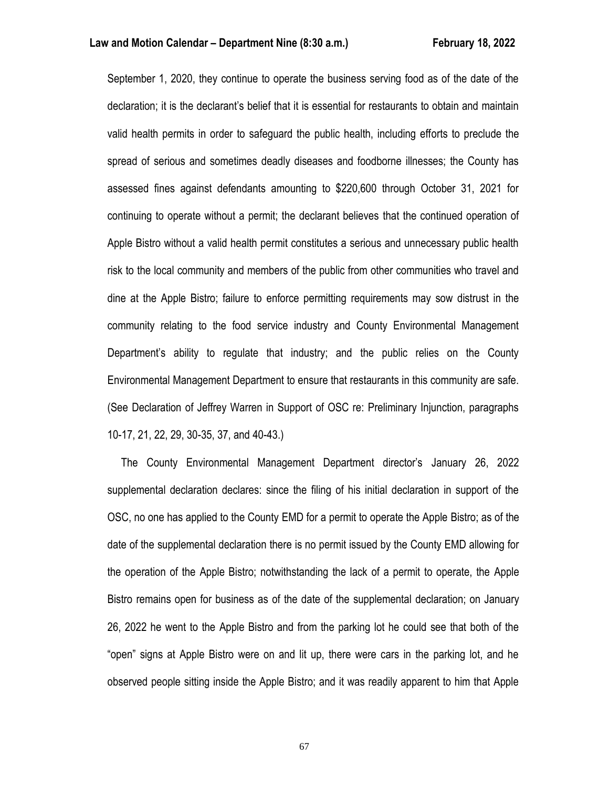September 1, 2020, they continue to operate the business serving food as of the date of the declaration; it is the declarant's belief that it is essential for restaurants to obtain and maintain valid health permits in order to safeguard the public health, including efforts to preclude the spread of serious and sometimes deadly diseases and foodborne illnesses; the County has assessed fines against defendants amounting to \$220,600 through October 31, 2021 for continuing to operate without a permit; the declarant believes that the continued operation of Apple Bistro without a valid health permit constitutes a serious and unnecessary public health risk to the local community and members of the public from other communities who travel and dine at the Apple Bistro; failure to enforce permitting requirements may sow distrust in the community relating to the food service industry and County Environmental Management Department's ability to regulate that industry; and the public relies on the County Environmental Management Department to ensure that restaurants in this community are safe. (See Declaration of Jeffrey Warren in Support of OSC re: Preliminary Injunction, paragraphs 10-17, 21, 22, 29, 30-35, 37, and 40-43.)

 The County Environmental Management Department director's January 26, 2022 supplemental declaration declares: since the filing of his initial declaration in support of the OSC, no one has applied to the County EMD for a permit to operate the Apple Bistro; as of the date of the supplemental declaration there is no permit issued by the County EMD allowing for the operation of the Apple Bistro; notwithstanding the lack of a permit to operate, the Apple Bistro remains open for business as of the date of the supplemental declaration; on January 26, 2022 he went to the Apple Bistro and from the parking lot he could see that both of the "open" signs at Apple Bistro were on and lit up, there were cars in the parking lot, and he observed people sitting inside the Apple Bistro; and it was readily apparent to him that Apple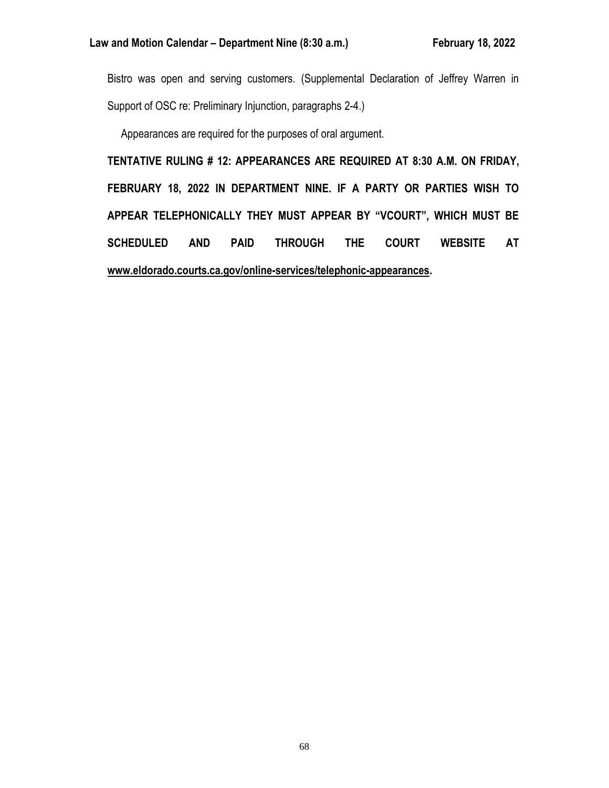Bistro was open and serving customers. (Supplemental Declaration of Jeffrey Warren in Support of OSC re: Preliminary Injunction, paragraphs 2-4.)

Appearances are required for the purposes of oral argument.

**TENTATIVE RULING # 12: APPEARANCES ARE REQUIRED AT 8:30 A.M. ON FRIDAY, FEBRUARY 18, 2022 IN DEPARTMENT NINE. IF A PARTY OR PARTIES WISH TO APPEAR TELEPHONICALLY THEY MUST APPEAR BY "VCOURT", WHICH MUST BE SCHEDULED AND PAID THROUGH THE COURT WEBSITE AT [www.eldorado.courts.ca.gov/online-services/telephonic-appearances.](http://www.eldorado.courts.ca.gov/online-services/telephonic-appearances)**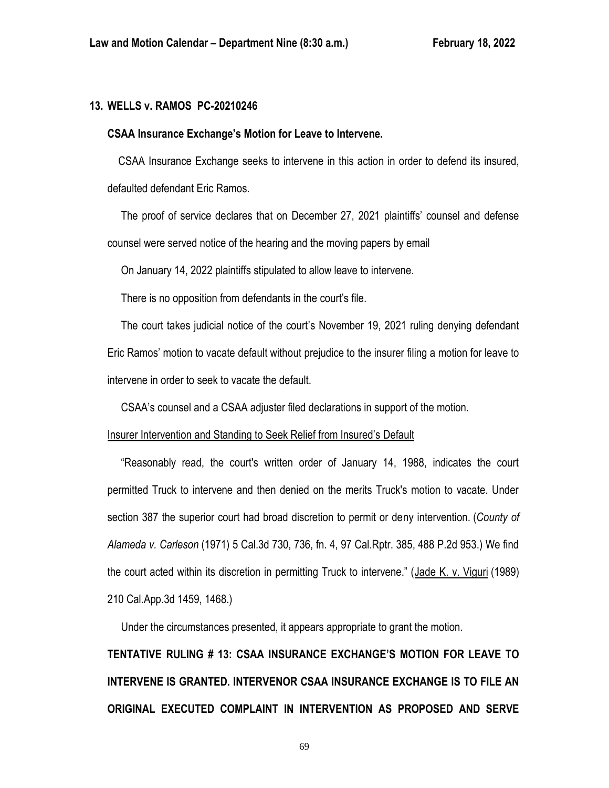## **13. WELLS v. RAMOS PC-20210246**

### **CSAA Insurance Exchange's Motion for Leave to Intervene.**

 CSAA Insurance Exchange seeks to intervene in this action in order to defend its insured, defaulted defendant Eric Ramos.

 The proof of service declares that on December 27, 2021 plaintiffs' counsel and defense counsel were served notice of the hearing and the moving papers by email

On January 14, 2022 plaintiffs stipulated to allow leave to intervene.

There is no opposition from defendants in the court's file.

 The court takes judicial notice of the court's November 19, 2021 ruling denying defendant Eric Ramos' motion to vacate default without prejudice to the insurer filing a motion for leave to intervene in order to seek to vacate the default.

CSAA's counsel and a CSAA adjuster filed declarations in support of the motion.

## Insurer Intervention and Standing to Seek Relief from Insured's Default

 "Reasonably read, the court's written order of January 14, 1988, indicates the court permitted Truck to intervene and then denied on the merits Truck's motion to vacate. Under section 387 the superior court had broad discretion to permit or deny intervention. (*County of Alameda v. Carleson* (1971) 5 Cal.3d 730, 736, fn. 4, 97 Cal.Rptr. 385, 488 P.2d 953.) We find the court acted within its discretion in permitting Truck to intervene." (Jade K. v. Viguri (1989) 210 Cal.App.3d 1459, 1468.)

Under the circumstances presented, it appears appropriate to grant the motion.

**TENTATIVE RULING # 13: CSAA INSURANCE EXCHANGE'S MOTION FOR LEAVE TO INTERVENE IS GRANTED. INTERVENOR CSAA INSURANCE EXCHANGE IS TO FILE AN ORIGINAL EXECUTED COMPLAINT IN INTERVENTION AS PROPOSED AND SERVE**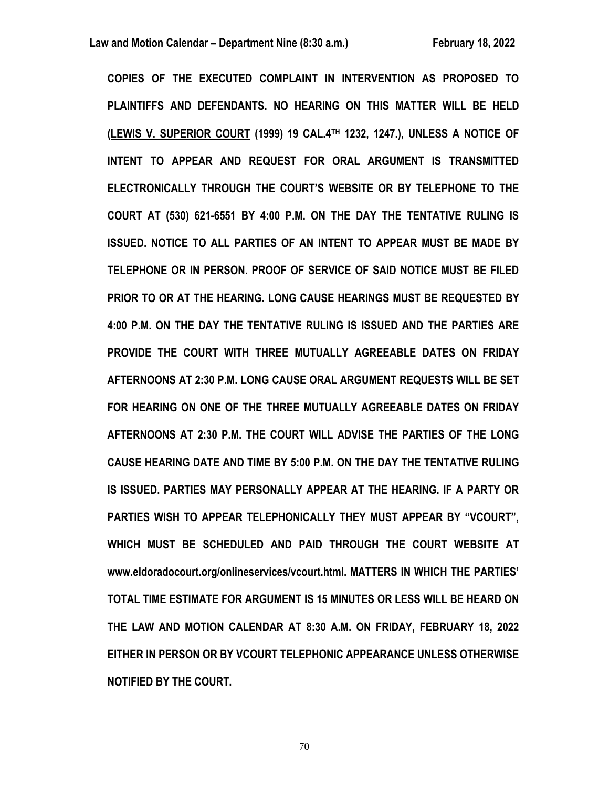**COPIES OF THE EXECUTED COMPLAINT IN INTERVENTION AS PROPOSED TO PLAINTIFFS AND DEFENDANTS. NO HEARING ON THIS MATTER WILL BE HELD (LEWIS V. SUPERIOR COURT (1999) 19 CAL.4TH 1232, 1247.), UNLESS A NOTICE OF INTENT TO APPEAR AND REQUEST FOR ORAL ARGUMENT IS TRANSMITTED ELECTRONICALLY THROUGH THE COURT'S WEBSITE OR BY TELEPHONE TO THE COURT AT (530) 621-6551 BY 4:00 P.M. ON THE DAY THE TENTATIVE RULING IS ISSUED. NOTICE TO ALL PARTIES OF AN INTENT TO APPEAR MUST BE MADE BY TELEPHONE OR IN PERSON. PROOF OF SERVICE OF SAID NOTICE MUST BE FILED PRIOR TO OR AT THE HEARING. LONG CAUSE HEARINGS MUST BE REQUESTED BY 4:00 P.M. ON THE DAY THE TENTATIVE RULING IS ISSUED AND THE PARTIES ARE PROVIDE THE COURT WITH THREE MUTUALLY AGREEABLE DATES ON FRIDAY AFTERNOONS AT 2:30 P.M. LONG CAUSE ORAL ARGUMENT REQUESTS WILL BE SET FOR HEARING ON ONE OF THE THREE MUTUALLY AGREEABLE DATES ON FRIDAY AFTERNOONS AT 2:30 P.M. THE COURT WILL ADVISE THE PARTIES OF THE LONG CAUSE HEARING DATE AND TIME BY 5:00 P.M. ON THE DAY THE TENTATIVE RULING IS ISSUED. PARTIES MAY PERSONALLY APPEAR AT THE HEARING. IF A PARTY OR PARTIES WISH TO APPEAR TELEPHONICALLY THEY MUST APPEAR BY "VCOURT", WHICH MUST BE SCHEDULED AND PAID THROUGH THE COURT WEBSITE AT www.eldoradocourt.org/onlineservices/vcourt.html. MATTERS IN WHICH THE PARTIES' TOTAL TIME ESTIMATE FOR ARGUMENT IS 15 MINUTES OR LESS WILL BE HEARD ON THE LAW AND MOTION CALENDAR AT 8:30 A.M. ON FRIDAY, FEBRUARY 18, 2022 EITHER IN PERSON OR BY VCOURT TELEPHONIC APPEARANCE UNLESS OTHERWISE NOTIFIED BY THE COURT.**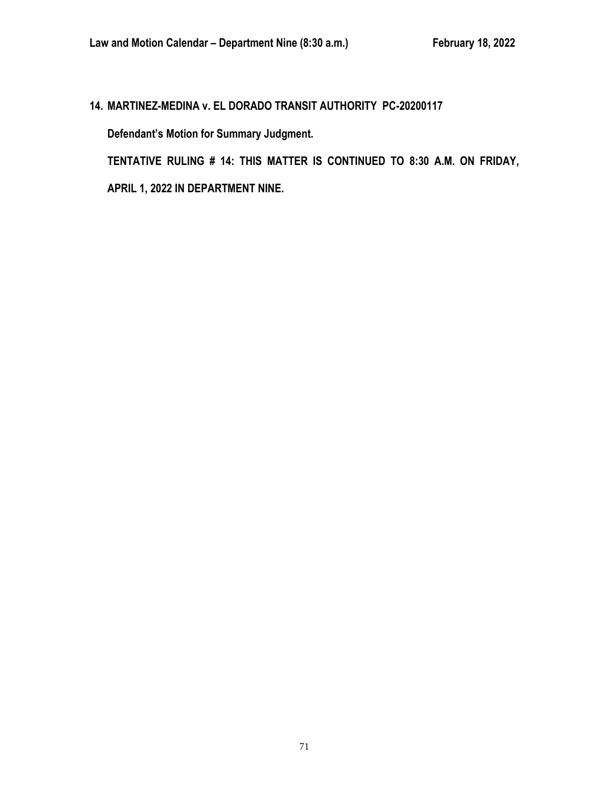# **14. MARTINEZ-MEDINA v. EL DORADO TRANSIT AUTHORITY PC-20200117**

**Defendant's Motion for Summary Judgment.**

**TENTATIVE RULING # 14: THIS MATTER IS CONTINUED TO 8:30 A.M. ON FRIDAY,**

**APRIL 1, 2022 IN DEPARTMENT NINE.**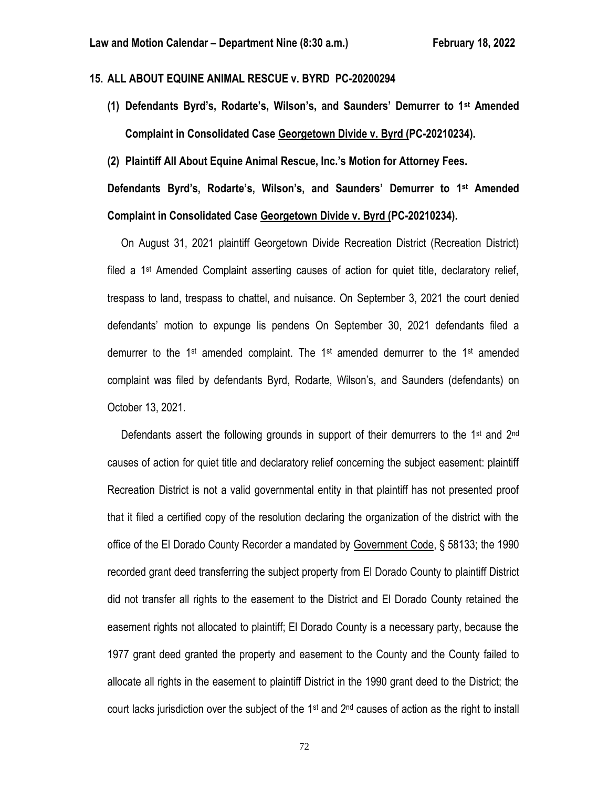## **15. ALL ABOUT EQUINE ANIMAL RESCUE v. BYRD PC-20200294**

- **(1) Defendants Byrd's, Rodarte's, Wilson's, and Saunders' Demurrer to 1st Amended Complaint in Consolidated Case Georgetown Divide v. Byrd (PC-20210234).**
- **(2) Plaintiff All About Equine Animal Rescue, Inc.'s Motion for Attorney Fees.**

**Defendants Byrd's, Rodarte's, Wilson's, and Saunders' Demurrer to 1st Amended Complaint in Consolidated Case Georgetown Divide v. Byrd (PC-20210234).**

 On August 31, 2021 plaintiff Georgetown Divide Recreation District (Recreation District) filed a 1st Amended Complaint asserting causes of action for quiet title, declaratory relief, trespass to land, trespass to chattel, and nuisance. On September 3, 2021 the court denied defendants' motion to expunge lis pendens On September 30, 2021 defendants filed a demurrer to the 1st amended complaint. The 1st amended demurrer to the 1st amended complaint was filed by defendants Byrd, Rodarte, Wilson's, and Saunders (defendants) on October 13, 2021.

Defendants assert the following grounds in support of their demurrers to the 1<sup>st</sup> and 2<sup>nd</sup> causes of action for quiet title and declaratory relief concerning the subject easement: plaintiff Recreation District is not a valid governmental entity in that plaintiff has not presented proof that it filed a certified copy of the resolution declaring the organization of the district with the office of the El Dorado County Recorder a mandated by Government Code, § 58133; the 1990 recorded grant deed transferring the subject property from El Dorado County to plaintiff District did not transfer all rights to the easement to the District and El Dorado County retained the easement rights not allocated to plaintiff; El Dorado County is a necessary party, because the 1977 grant deed granted the property and easement to the County and the County failed to allocate all rights in the easement to plaintiff District in the 1990 grant deed to the District; the court lacks jurisdiction over the subject of the 1<sup>st</sup> and  $2<sup>nd</sup>$  causes of action as the right to install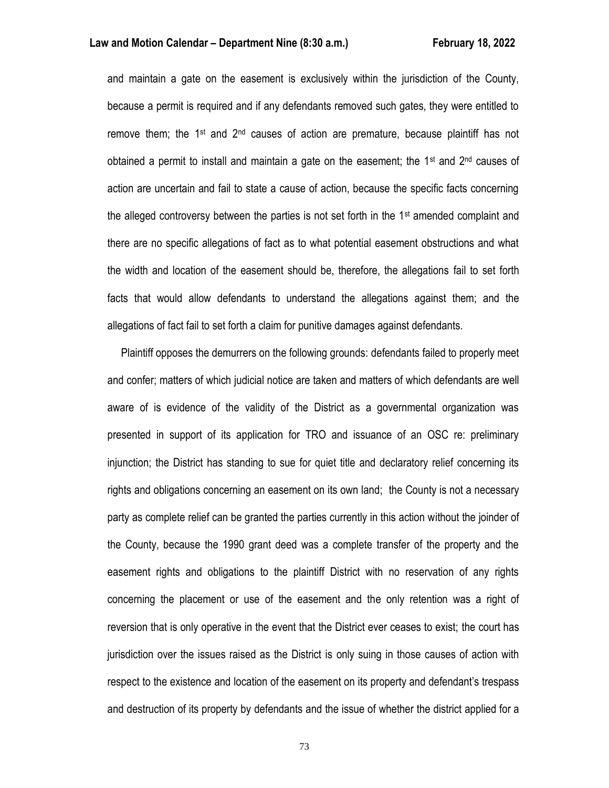### **Law and Motion Calendar – Department Nine (8:30 a.m.) February 18, 2022**

and maintain a gate on the easement is exclusively within the jurisdiction of the County, because a permit is required and if any defendants removed such gates, they were entitled to remove them; the 1<sup>st</sup> and  $2<sup>nd</sup>$  causes of action are premature, because plaintiff has not obtained a permit to install and maintain a gate on the easement; the 1<sup>st</sup> and 2<sup>nd</sup> causes of action are uncertain and fail to state a cause of action, because the specific facts concerning the alleged controversy between the parties is not set forth in the  $1<sup>st</sup>$  amended complaint and there are no specific allegations of fact as to what potential easement obstructions and what the width and location of the easement should be, therefore, the allegations fail to set forth facts that would allow defendants to understand the allegations against them; and the allegations of fact fail to set forth a claim for punitive damages against defendants.

 Plaintiff opposes the demurrers on the following grounds: defendants failed to properly meet and confer; matters of which judicial notice are taken and matters of which defendants are well aware of is evidence of the validity of the District as a governmental organization was presented in support of its application for TRO and issuance of an OSC re: preliminary injunction; the District has standing to sue for quiet title and declaratory relief concerning its rights and obligations concerning an easement on its own land; the County is not a necessary party as complete relief can be granted the parties currently in this action without the joinder of the County, because the 1990 grant deed was a complete transfer of the property and the easement rights and obligations to the plaintiff District with no reservation of any rights concerning the placement or use of the easement and the only retention was a right of reversion that is only operative in the event that the District ever ceases to exist; the court has jurisdiction over the issues raised as the District is only suing in those causes of action with respect to the existence and location of the easement on its property and defendant's trespass and destruction of its property by defendants and the issue of whether the district applied for a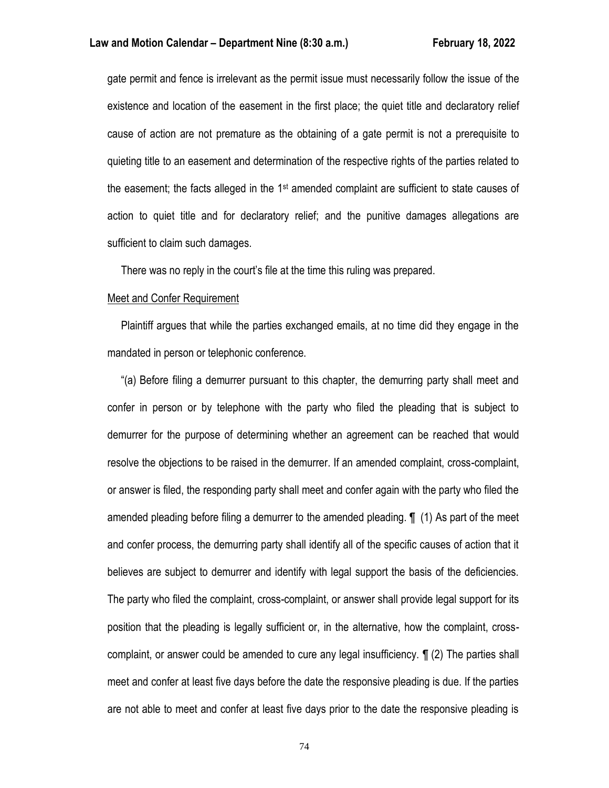gate permit and fence is irrelevant as the permit issue must necessarily follow the issue of the existence and location of the easement in the first place; the quiet title and declaratory relief cause of action are not premature as the obtaining of a gate permit is not a prerequisite to quieting title to an easement and determination of the respective rights of the parties related to the easement; the facts alleged in the  $1<sup>st</sup>$  amended complaint are sufficient to state causes of action to quiet title and for declaratory relief; and the punitive damages allegations are sufficient to claim such damages.

There was no reply in the court's file at the time this ruling was prepared.

### Meet and Confer Requirement

 Plaintiff argues that while the parties exchanged emails, at no time did they engage in the mandated in person or telephonic conference.

 "(a) Before filing a demurrer pursuant to this chapter, the demurring party shall meet and confer in person or by telephone with the party who filed the pleading that is subject to demurrer for the purpose of determining whether an agreement can be reached that would resolve the objections to be raised in the demurrer. If an amended complaint, cross-complaint, or answer is filed, the responding party shall meet and confer again with the party who filed the amended pleading before filing a demurrer to the amended pleading. ¶ (1) As part of the meet and confer process, the demurring party shall identify all of the specific causes of action that it believes are subject to demurrer and identify with legal support the basis of the deficiencies. The party who filed the complaint, cross-complaint, or answer shall provide legal support for its position that the pleading is legally sufficient or, in the alternative, how the complaint, crosscomplaint, or answer could be amended to cure any legal insufficiency. ¶ (2) The parties shall meet and confer at least five days before the date the responsive pleading is due. If the parties are not able to meet and confer at least five days prior to the date the responsive pleading is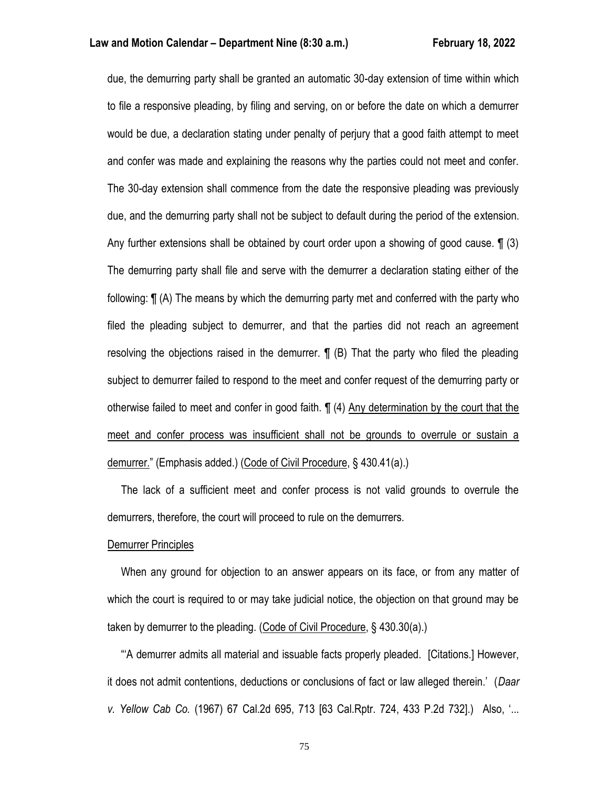due, the demurring party shall be granted an automatic 30-day extension of time within which to file a responsive pleading, by filing and serving, on or before the date on which a demurrer would be due, a declaration stating under penalty of perjury that a good faith attempt to meet and confer was made and explaining the reasons why the parties could not meet and confer. The 30-day extension shall commence from the date the responsive pleading was previously due, and the demurring party shall not be subject to default during the period of the extension. Any further extensions shall be obtained by court order upon a showing of good cause. ¶ (3) The demurring party shall file and serve with the demurrer a declaration stating either of the following: ¶ (A) The means by which the demurring party met and conferred with the party who filed the pleading subject to demurrer, and that the parties did not reach an agreement resolving the objections raised in the demurrer. ¶ (B) That the party who filed the pleading subject to demurrer failed to respond to the meet and confer request of the demurring party or otherwise failed to meet and confer in good faith. ¶ (4) Any determination by the court that the meet and confer process was insufficient shall not be grounds to overrule or sustain a demurrer." (Emphasis added.) (Code of Civil Procedure, § 430.41(a).)

 The lack of a sufficient meet and confer process is not valid grounds to overrule the demurrers, therefore, the court will proceed to rule on the demurrers.

## Demurrer Principles

 When any ground for objection to an answer appears on its face, or from any matter of which the court is required to or may take judicial notice, the objection on that ground may be taken by demurrer to the pleading. (Code of Civil Procedure, § 430.30(a).)

 "'A demurrer admits all material and issuable facts properly pleaded. [Citations.] However, it does not admit contentions, deductions or conclusions of fact or law alleged therein.' (*Daar v. Yellow Cab Co.* (1967) 67 Cal.2d 695, 713 [63 Cal.Rptr. 724, 433 P.2d 732].) Also, '...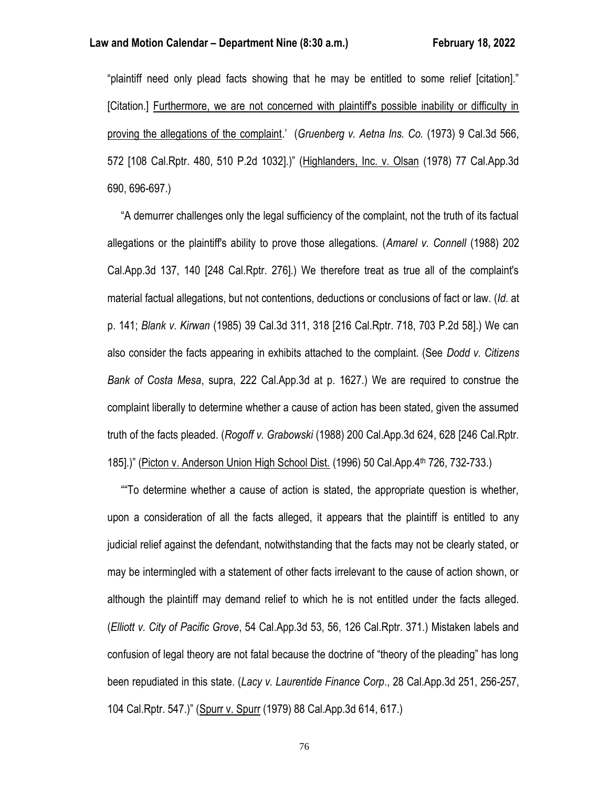"plaintiff need only plead facts showing that he may be entitled to some relief [citation]." [Citation.] Furthermore, we are not concerned with plaintiff's possible inability or difficulty in proving the allegations of the complaint.' (*Gruenberg v. Aetna Ins. Co.* (1973) 9 Cal.3d 566, 572 [108 Cal.Rptr. 480, 510 P.2d 1032].)" (Highlanders, Inc. v. Olsan (1978) 77 Cal.App.3d 690, 696-697.)

 "A demurrer challenges only the legal sufficiency of the complaint, not the truth of its factual allegations or the plaintiff's ability to prove those allegations. (*Amarel v. Connell* (1988) 202 Cal.App.3d 137, 140 [248 Cal.Rptr. 276].) We therefore treat as true all of the complaint's material factual allegations, but not contentions, deductions or conclusions of fact or law. (*Id*. at p. 141; *Blank v. Kirwan* (1985) 39 Cal.3d 311, 318 [216 Cal.Rptr. 718, 703 P.2d 58].) We can also consider the facts appearing in exhibits attached to the complaint. (See *Dodd v. Citizens Bank of Costa Mesa*, supra, 222 Cal.App.3d at p. 1627.) We are required to construe the complaint liberally to determine whether a cause of action has been stated, given the assumed truth of the facts pleaded. (*Rogoff v. Grabowski* (1988) 200 Cal.App.3d 624, 628 [246 Cal.Rptr. 185].)" (Picton v. Anderson Union High School Dist. (1996) 50 Cal.App.4th 726, 732-733.)

 ""To determine whether a cause of action is stated, the appropriate question is whether, upon a consideration of all the facts alleged, it appears that the plaintiff is entitled to any judicial relief against the defendant, notwithstanding that the facts may not be clearly stated, or may be intermingled with a statement of other facts irrelevant to the cause of action shown, or although the plaintiff may demand relief to which he is not entitled under the facts alleged. (*Elliott v. City of Pacific Grove*, 54 Cal.App.3d 53, 56, 126 Cal.Rptr. 371.) Mistaken labels and confusion of legal theory are not fatal because the doctrine of "theory of the pleading" has long been repudiated in this state. (*Lacy v. Laurentide Finance Corp*., 28 Cal.App.3d 251, 256-257, 104 Cal.Rptr. 547.)" (Spurr v. Spurr (1979) 88 Cal.App.3d 614, 617.)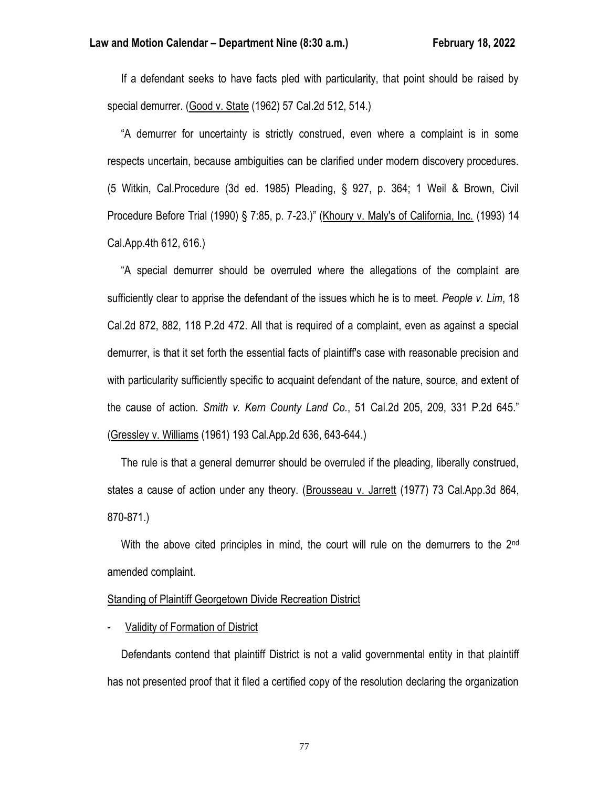If a defendant seeks to have facts pled with particularity, that point should be raised by special demurrer. (Good v. State (1962) 57 Cal.2d 512, 514.)

 "A demurrer for uncertainty is strictly construed, even where a complaint is in some respects uncertain, because ambiguities can be clarified under modern discovery procedures. (5 Witkin, Cal.Procedure (3d ed. 1985) Pleading, § 927, p. 364; 1 Weil & Brown, Civil Procedure Before Trial (1990) § 7:85, p. 7-23.)" (Khoury v. Maly's of California, Inc. (1993) 14 Cal.App.4th 612, 616.)

 "A special demurrer should be overruled where the allegations of the complaint are sufficiently clear to apprise the defendant of the issues which he is to meet. *People v. Lim*, 18 Cal.2d 872, 882, 118 P.2d 472. All that is required of a complaint, even as against a special demurrer, is that it set forth the essential facts of plaintiff's case with reasonable precision and with particularity sufficiently specific to acquaint defendant of the nature, source, and extent of the cause of action. *Smith v. Kern County Land Co.*, 51 Cal.2d 205, 209, 331 P.2d 645." (Gressley v. Williams (1961) 193 Cal.App.2d 636, 643-644.)

 The rule is that a general demurrer should be overruled if the pleading, liberally construed, states a cause of action under any theory. (Brousseau v. Jarrett (1977) 73 Cal.App.3d 864, 870-871.)

With the above cited principles in mind, the court will rule on the demurrers to the 2<sup>nd</sup> amended complaint.

# Standing of Plaintiff Georgetown Divide Recreation District

- Validity of Formation of District

 Defendants contend that plaintiff District is not a valid governmental entity in that plaintiff has not presented proof that it filed a certified copy of the resolution declaring the organization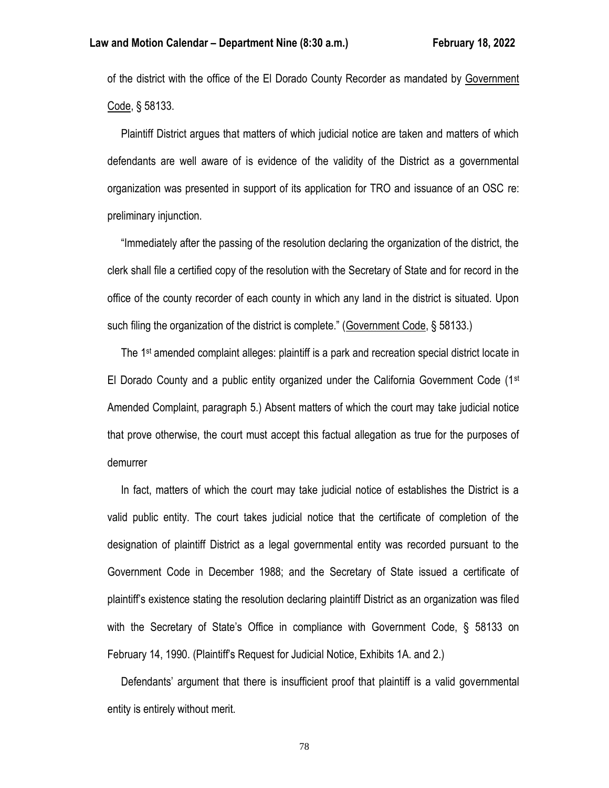of the district with the office of the El Dorado County Recorder as mandated by Government Code, § 58133.

 Plaintiff District argues that matters of which judicial notice are taken and matters of which defendants are well aware of is evidence of the validity of the District as a governmental organization was presented in support of its application for TRO and issuance of an OSC re: preliminary injunction.

 "Immediately after the passing of the resolution declaring the organization of the district, the clerk shall file a certified copy of the resolution with the Secretary of State and for record in the office of the county recorder of each county in which any land in the district is situated. Upon such filing the organization of the district is complete." (Government Code, § 58133.)

 The 1st amended complaint alleges: plaintiff is a park and recreation special district locate in El Dorado County and a public entity organized under the California Government Code  $(1^{st}$ Amended Complaint, paragraph 5.) Absent matters of which the court may take judicial notice that prove otherwise, the court must accept this factual allegation as true for the purposes of demurrer

 In fact, matters of which the court may take judicial notice of establishes the District is a valid public entity. The court takes judicial notice that the certificate of completion of the designation of plaintiff District as a legal governmental entity was recorded pursuant to the Government Code in December 1988; and the Secretary of State issued a certificate of plaintiff's existence stating the resolution declaring plaintiff District as an organization was filed with the Secretary of State's Office in compliance with Government Code, § 58133 on February 14, 1990. (Plaintiff's Request for Judicial Notice, Exhibits 1A. and 2.)

 Defendants' argument that there is insufficient proof that plaintiff is a valid governmental entity is entirely without merit.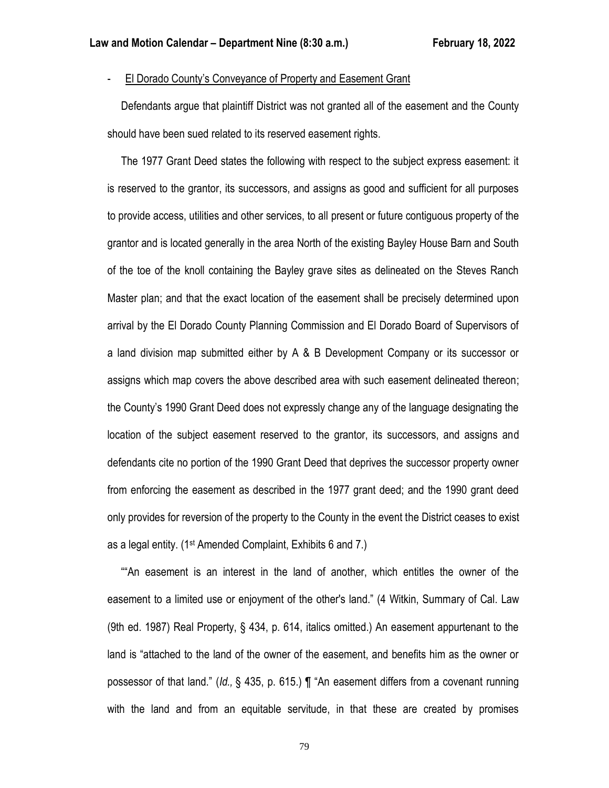# - El Dorado County's Conveyance of Property and Easement Grant

 Defendants argue that plaintiff District was not granted all of the easement and the County should have been sued related to its reserved easement rights.

 The 1977 Grant Deed states the following with respect to the subject express easement: it is reserved to the grantor, its successors, and assigns as good and sufficient for all purposes to provide access, utilities and other services, to all present or future contiguous property of the grantor and is located generally in the area North of the existing Bayley House Barn and South of the toe of the knoll containing the Bayley grave sites as delineated on the Steves Ranch Master plan; and that the exact location of the easement shall be precisely determined upon arrival by the El Dorado County Planning Commission and El Dorado Board of Supervisors of a land division map submitted either by A & B Development Company or its successor or assigns which map covers the above described area with such easement delineated thereon; the County's 1990 Grant Deed does not expressly change any of the language designating the location of the subject easement reserved to the grantor, its successors, and assigns and defendants cite no portion of the 1990 Grant Deed that deprives the successor property owner from enforcing the easement as described in the 1977 grant deed; and the 1990 grant deed only provides for reversion of the property to the County in the event the District ceases to exist as a legal entity. (1st Amended Complaint, Exhibits 6 and 7.)

 ""An easement is an interest in the land of another, which entitles the owner of the easement to a limited use or enjoyment of the other's land." (4 Witkin, Summary of Cal. Law (9th ed. 1987) Real Property, § 434, p. 614, italics omitted.) An easement appurtenant to the land is "attached to the land of the owner of the easement, and benefits him as the owner or possessor of that land." (*Id.,* § 435, p. 615.) ¶ "An easement differs from a covenant running with the land and from an equitable servitude, in that these are created by promises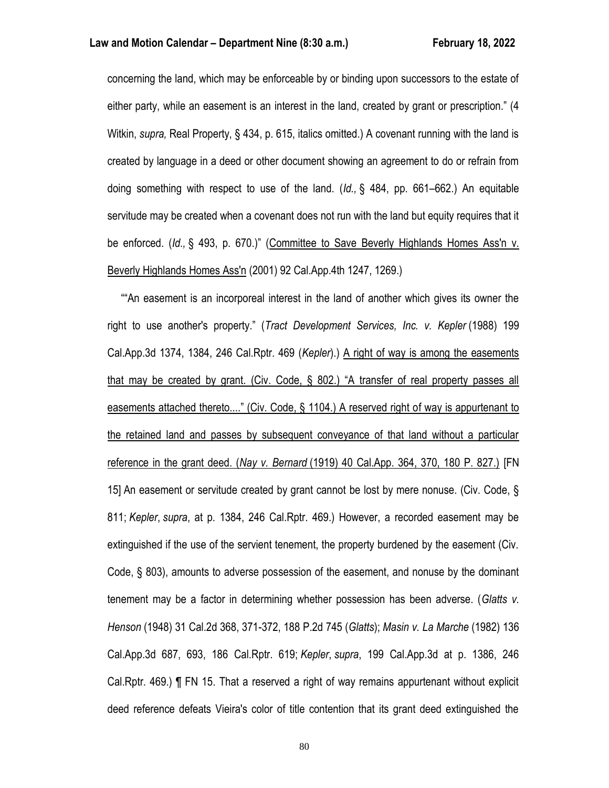concerning the land, which may be enforceable by or binding upon successors to the estate of either party, while an easement is an interest in the land, created by grant or prescription." (4 Witkin, *supra,* Real Property, § 434, p. 615, italics omitted.) A covenant running with the land is created by language in a deed or other document showing an agreement to do or refrain from doing something with respect to use of the land. (*Id.,* § 484, pp. 661–662.) An equitable servitude may be created when a covenant does not run with the land but equity requires that it be enforced. (*Id.,* § 493, p. 670.)" (Committee to Save Beverly Highlands Homes Ass'n v. Beverly Highlands Homes Ass'n (2001) 92 Cal.App.4th 1247, 1269.)

 ""An easement is an incorporeal interest in the land of another which gives its owner the right to use another's property." (*Tract Development Services, Inc. v. Kepler* (1988) 199 Cal.App.3d 1374, 1384, 246 Cal.Rptr. 469 (*Kepler*).) A right of way is among the easements that may be created by grant. (Civ. Code, § 802.) "A transfer of real property passes all easements attached thereto...." (Civ. Code, § 1104.) A reserved right of way is appurtenant to the retained land and passes by subsequent conveyance of that land without a particular reference in the grant deed. (*Nay v. Bernard* (1919) 40 Cal.App. 364, 370, 180 P. 827.) [FN 15] An easement or servitude created by grant cannot be lost by mere nonuse. (Civ. Code, § 811; *Kepler*, *supra*, at p. 1384, 246 Cal.Rptr. 469.) However, a recorded easement may be extinguished if the use of the servient tenement, the property burdened by the easement (Civ. Code, § 803), amounts to adverse possession of the easement, and nonuse by the dominant tenement may be a factor in determining whether possession has been adverse. (*Glatts v. Henson* (1948) 31 Cal.2d 368, 371-372, 188 P.2d 745 (*Glatts*); *Masin v. La Marche* (1982) 136 Cal.App.3d 687, 693, 186 Cal.Rptr. 619; *Kepler*, *supra*, 199 Cal.App.3d at p. 1386, 246 Cal.Rptr. 469.) ¶ FN 15. That a reserved a right of way remains appurtenant without explicit deed reference defeats Vieira's color of title contention that its grant deed extinguished the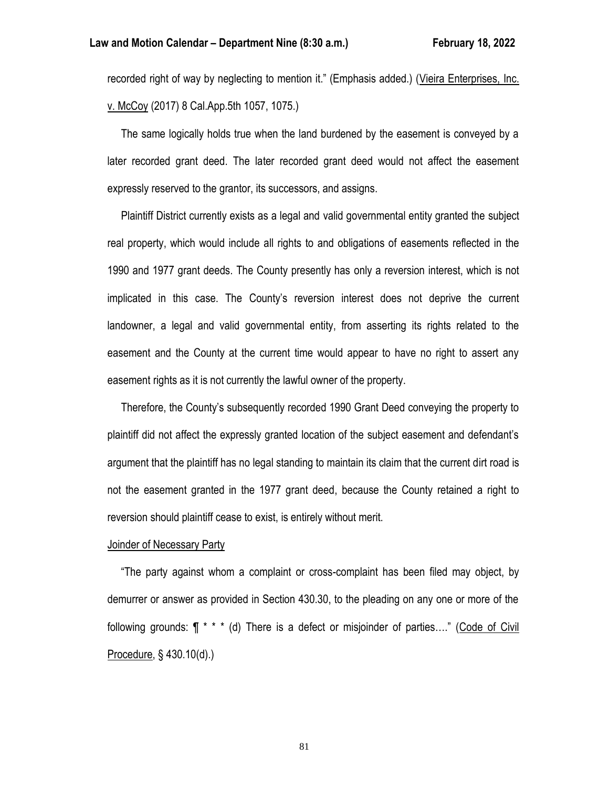recorded right of way by neglecting to mention it." (Emphasis added.) (Vieira Enterprises, Inc. v. McCoy (2017) 8 Cal.App.5th 1057, 1075.)

 The same logically holds true when the land burdened by the easement is conveyed by a later recorded grant deed. The later recorded grant deed would not affect the easement expressly reserved to the grantor, its successors, and assigns.

 Plaintiff District currently exists as a legal and valid governmental entity granted the subject real property, which would include all rights to and obligations of easements reflected in the 1990 and 1977 grant deeds. The County presently has only a reversion interest, which is not implicated in this case. The County's reversion interest does not deprive the current landowner, a legal and valid governmental entity, from asserting its rights related to the easement and the County at the current time would appear to have no right to assert any easement rights as it is not currently the lawful owner of the property.

 Therefore, the County's subsequently recorded 1990 Grant Deed conveying the property to plaintiff did not affect the expressly granted location of the subject easement and defendant's argument that the plaintiff has no legal standing to maintain its claim that the current dirt road is not the easement granted in the 1977 grant deed, because the County retained a right to reversion should plaintiff cease to exist, is entirely without merit.

#### Joinder of Necessary Party

 "The party against whom a complaint or cross-complaint has been filed may object, by demurrer or answer as provided in Section 430.30, to the pleading on any one or more of the following grounds: ¶ \* \* \* (d) There is a defect or misjoinder of parties…." (Code of Civil Procedure, § 430.10(d).)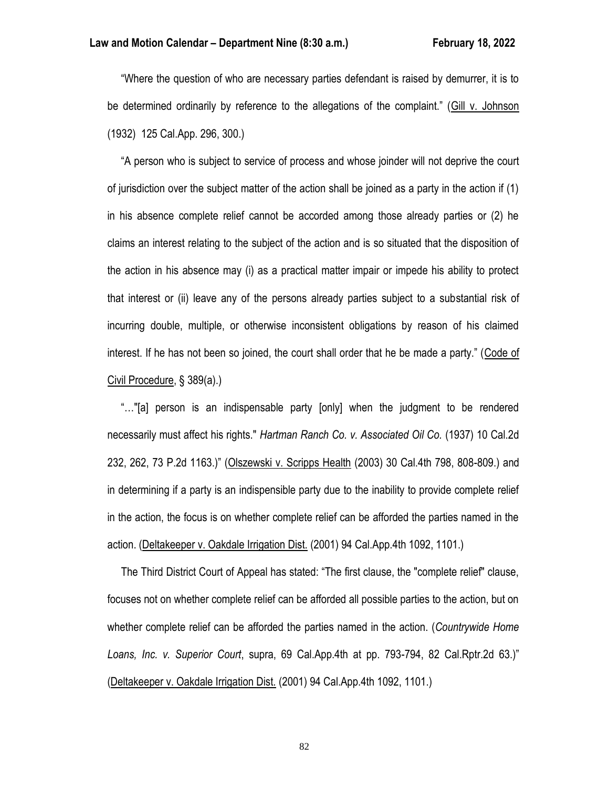"Where the question of who are necessary parties defendant is raised by demurrer, it is to be determined ordinarily by reference to the allegations of the complaint." (Gill v. Johnson (1932) 125 Cal.App. 296, 300.)

 "A person who is subject to service of process and whose joinder will not deprive the court of jurisdiction over the subject matter of the action shall be joined as a party in the action if (1) in his absence complete relief cannot be accorded among those already parties or (2) he claims an interest relating to the subject of the action and is so situated that the disposition of the action in his absence may (i) as a practical matter impair or impede his ability to protect that interest or (ii) leave any of the persons already parties subject to a substantial risk of incurring double, multiple, or otherwise inconsistent obligations by reason of his claimed interest. If he has not been so joined, the court shall order that he be made a party." (Code of Civil Procedure, § 389(a).)

"…"[a] person is an indispensable party [only] when the judgment to be rendered necessarily must affect his rights." *Hartman Ranch Co. v. Associated Oil Co.* (1937) 10 Cal.2d 232, 262, 73 P.2d 1163.)" (Olszewski v. Scripps Health (2003) 30 Cal.4th 798, 808-809.) and in determining if a party is an indispensible party due to the inability to provide complete relief in the action, the focus is on whether complete relief can be afforded the parties named in the action. (Deltakeeper v. Oakdale Irrigation Dist. (2001) 94 Cal.App.4th 1092, 1101.)

 The Third District Court of Appeal has stated: "The first clause, the "complete relief" clause, focuses not on whether complete relief can be afforded all possible parties to the action, but on whether complete relief can be afforded the parties named in the action. (*Countrywide Home Loans, Inc. v. Superior Court*, supra, 69 Cal.App.4th at pp. 793-794, 82 Cal.Rptr.2d 63.)" (Deltakeeper v. Oakdale Irrigation Dist. (2001) 94 Cal.App.4th 1092, 1101.)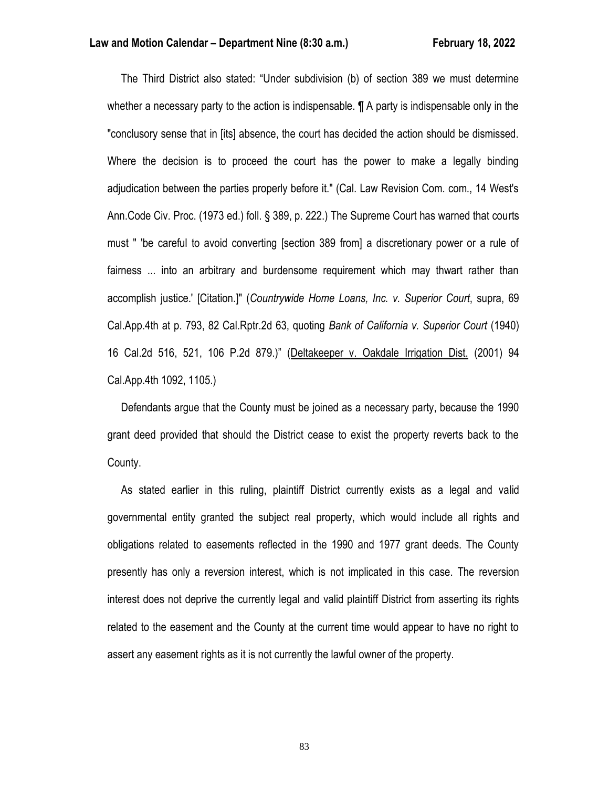The Third District also stated: "Under subdivision (b) of section 389 we must determine whether a necessary party to the action is indispensable. ¶ A party is indispensable only in the "conclusory sense that in [its] absence, the court has decided the action should be dismissed. Where the decision is to proceed the court has the power to make a legally binding adjudication between the parties properly before it." (Cal. Law Revision Com. com., 14 West's Ann.Code Civ. Proc. (1973 ed.) foll. § 389, p. 222.) The Supreme Court has warned that courts must " 'be careful to avoid converting [section 389 from] a discretionary power or a rule of fairness ... into an arbitrary and burdensome requirement which may thwart rather than accomplish justice.' [Citation.]" (*Countrywide Home Loans, Inc. v. Superior Court*, supra, 69 Cal.App.4th at p. 793, 82 Cal.Rptr.2d 63, quoting *Bank of California v. Superior Court* (1940) 16 Cal.2d 516, 521, 106 P.2d 879.)" (Deltakeeper v. Oakdale Irrigation Dist. (2001) 94 Cal.App.4th 1092, 1105.)

 Defendants argue that the County must be joined as a necessary party, because the 1990 grant deed provided that should the District cease to exist the property reverts back to the County.

 As stated earlier in this ruling, plaintiff District currently exists as a legal and valid governmental entity granted the subject real property, which would include all rights and obligations related to easements reflected in the 1990 and 1977 grant deeds. The County presently has only a reversion interest, which is not implicated in this case. The reversion interest does not deprive the currently legal and valid plaintiff District from asserting its rights related to the easement and the County at the current time would appear to have no right to assert any easement rights as it is not currently the lawful owner of the property.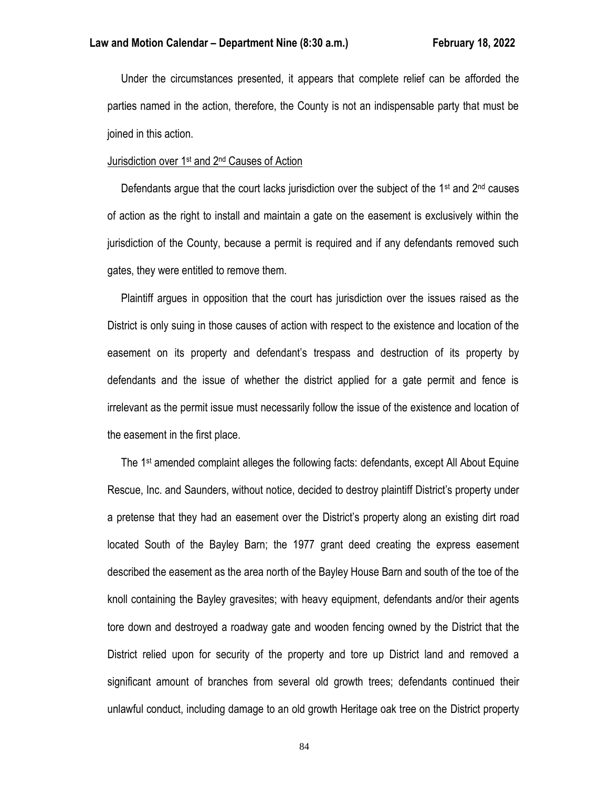Under the circumstances presented, it appears that complete relief can be afforded the parties named in the action, therefore, the County is not an indispensable party that must be joined in this action.

## Jurisdiction over 1st and 2nd Causes of Action

Defendants argue that the court lacks jurisdiction over the subject of the 1<sup>st</sup> and  $2<sup>nd</sup>$  causes of action as the right to install and maintain a gate on the easement is exclusively within the jurisdiction of the County, because a permit is required and if any defendants removed such gates, they were entitled to remove them.

 Plaintiff argues in opposition that the court has jurisdiction over the issues raised as the District is only suing in those causes of action with respect to the existence and location of the easement on its property and defendant's trespass and destruction of its property by defendants and the issue of whether the district applied for a gate permit and fence is irrelevant as the permit issue must necessarily follow the issue of the existence and location of the easement in the first place.

 The 1st amended complaint alleges the following facts: defendants, except All About Equine Rescue, Inc. and Saunders, without notice, decided to destroy plaintiff District's property under a pretense that they had an easement over the District's property along an existing dirt road located South of the Bayley Barn; the 1977 grant deed creating the express easement described the easement as the area north of the Bayley House Barn and south of the toe of the knoll containing the Bayley gravesites; with heavy equipment, defendants and/or their agents tore down and destroyed a roadway gate and wooden fencing owned by the District that the District relied upon for security of the property and tore up District land and removed a significant amount of branches from several old growth trees; defendants continued their unlawful conduct, including damage to an old growth Heritage oak tree on the District property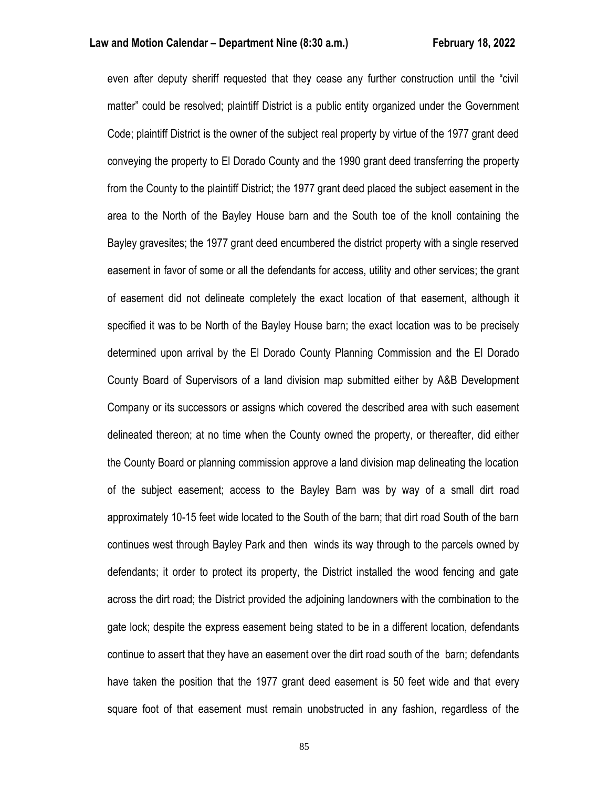even after deputy sheriff requested that they cease any further construction until the "civil matter" could be resolved; plaintiff District is a public entity organized under the Government Code; plaintiff District is the owner of the subject real property by virtue of the 1977 grant deed conveying the property to El Dorado County and the 1990 grant deed transferring the property from the County to the plaintiff District; the 1977 grant deed placed the subject easement in the area to the North of the Bayley House barn and the South toe of the knoll containing the Bayley gravesites; the 1977 grant deed encumbered the district property with a single reserved easement in favor of some or all the defendants for access, utility and other services; the grant of easement did not delineate completely the exact location of that easement, although it specified it was to be North of the Bayley House barn; the exact location was to be precisely determined upon arrival by the El Dorado County Planning Commission and the El Dorado County Board of Supervisors of a land division map submitted either by A&B Development Company or its successors or assigns which covered the described area with such easement delineated thereon; at no time when the County owned the property, or thereafter, did either the County Board or planning commission approve a land division map delineating the location of the subject easement; access to the Bayley Barn was by way of a small dirt road approximately 10-15 feet wide located to the South of the barn; that dirt road South of the barn continues west through Bayley Park and then winds its way through to the parcels owned by defendants; it order to protect its property, the District installed the wood fencing and gate across the dirt road; the District provided the adjoining landowners with the combination to the gate lock; despite the express easement being stated to be in a different location, defendants continue to assert that they have an easement over the dirt road south of the barn; defendants have taken the position that the 1977 grant deed easement is 50 feet wide and that every square foot of that easement must remain unobstructed in any fashion, regardless of the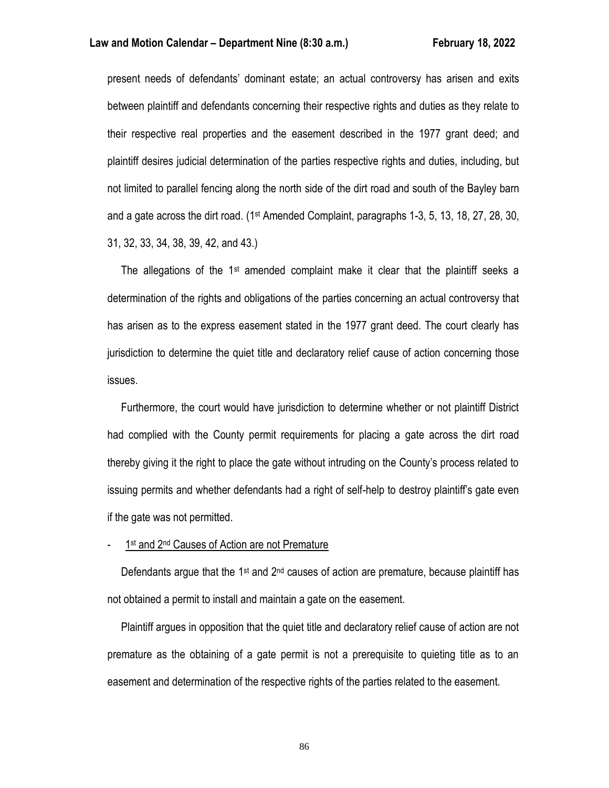## **Law and Motion Calendar – Department Nine (8:30 a.m.) February 18, 2022**

present needs of defendants' dominant estate; an actual controversy has arisen and exits between plaintiff and defendants concerning their respective rights and duties as they relate to their respective real properties and the easement described in the 1977 grant deed; and plaintiff desires judicial determination of the parties respective rights and duties, including, but not limited to parallel fencing along the north side of the dirt road and south of the Bayley barn and a gate across the dirt road.  $(1^{st}$  Amended Complaint, paragraphs 1-3, 5, 13, 18, 27, 28, 30, 31, 32, 33, 34, 38, 39, 42, and 43.)

The allegations of the  $1st$  amended complaint make it clear that the plaintiff seeks a determination of the rights and obligations of the parties concerning an actual controversy that has arisen as to the express easement stated in the 1977 grant deed. The court clearly has jurisdiction to determine the quiet title and declaratory relief cause of action concerning those issues.

 Furthermore, the court would have jurisdiction to determine whether or not plaintiff District had complied with the County permit requirements for placing a gate across the dirt road thereby giving it the right to place the gate without intruding on the County's process related to issuing permits and whether defendants had a right of self-help to destroy plaintiff's gate even if the gate was not permitted.

# - 1<sup>st</sup> and 2<sup>nd</sup> Causes of Action are not Premature

Defendants argue that the 1<sup>st</sup> and  $2<sup>nd</sup>$  causes of action are premature, because plaintiff has not obtained a permit to install and maintain a gate on the easement.

 Plaintiff argues in opposition that the quiet title and declaratory relief cause of action are not premature as the obtaining of a gate permit is not a prerequisite to quieting title as to an easement and determination of the respective rights of the parties related to the easement.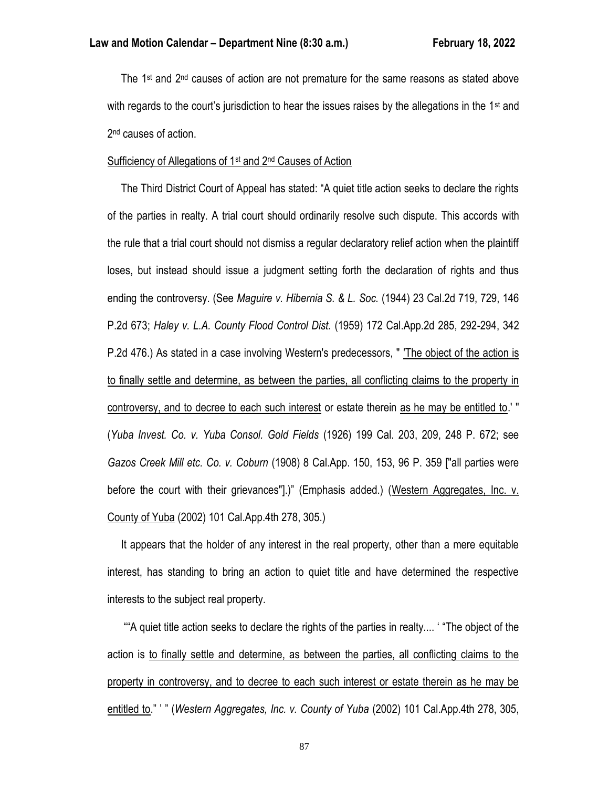The 1<sup>st</sup> and 2<sup>nd</sup> causes of action are not premature for the same reasons as stated above with regards to the court's jurisdiction to hear the issues raises by the allegations in the 1<sup>st</sup> and 2<sup>nd</sup> causes of action.

## Sufficiency of Allegations of 1st and 2nd Causes of Action

 The Third District Court of Appeal has stated: "A quiet title action seeks to declare the rights of the parties in realty. A trial court should ordinarily resolve such dispute. This accords with the rule that a trial court should not dismiss a regular declaratory relief action when the plaintiff loses, but instead should issue a judgment setting forth the declaration of rights and thus ending the controversy. (See *Maguire v. Hibernia S. & L. Soc.* (1944) 23 Cal.2d 719, 729, 146 P.2d 673; *Haley v. L.A. County Flood Control Dist.* (1959) 172 Cal.App.2d 285, 292-294, 342 P.2d 476.) As stated in a case involving Western's predecessors, " 'The object of the action is to finally settle and determine, as between the parties, all conflicting claims to the property in controversy, and to decree to each such interest or estate therein as he may be entitled to.' " (*Yuba Invest. Co. v. Yuba Consol. Gold Fields* (1926) 199 Cal. 203, 209, 248 P. 672; see *Gazos Creek Mill etc. Co. v. Coburn* (1908) 8 Cal.App. 150, 153, 96 P. 359 ["all parties were before the court with their grievances"].)" (Emphasis added.) (Western Aggregates, Inc. v. County of Yuba (2002) 101 Cal.App.4th 278, 305.)

 It appears that the holder of any interest in the real property, other than a mere equitable interest, has standing to bring an action to quiet title and have determined the respective interests to the subject real property.

 ""A quiet title action seeks to declare the rights of the parties in realty.... ' "The object of the action is to finally settle and determine, as between the parties, all conflicting claims to the property in controversy, and to decree to each such interest or estate therein as he may be entitled to." ' " (*Western Aggregates, Inc. v. County of Yuba* (2002) 101 Cal.App.4th 278, 305,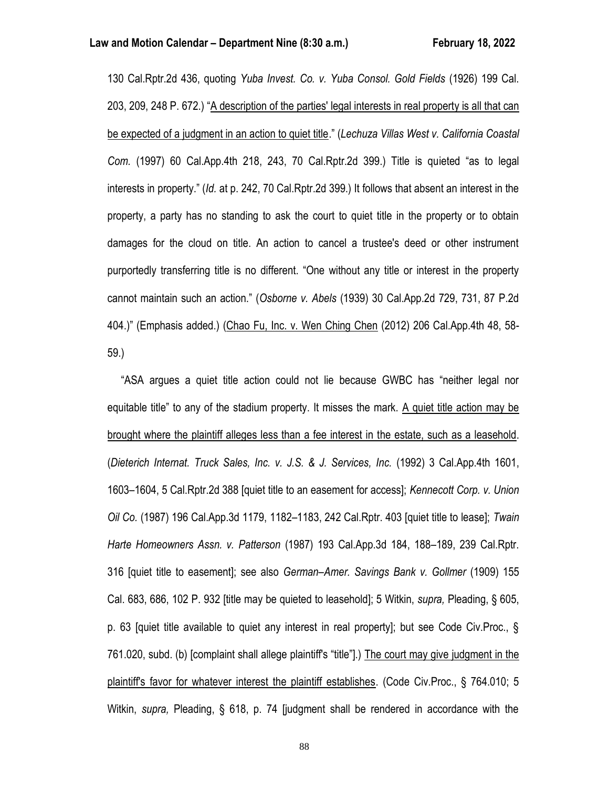130 Cal.Rptr.2d 436, quoting *Yuba Invest. Co. v. Yuba Consol. Gold Fields* (1926) 199 Cal. 203, 209, 248 P. 672.) "A description of the parties' legal interests in real property is all that can be expected of a judgment in an action to quiet title." (*Lechuza Villas West v. California Coastal Com.* (1997) 60 Cal.App.4th 218, 243, 70 Cal.Rptr.2d 399.) Title is quieted "as to legal interests in property." (*Id.* at p. 242, 70 Cal.Rptr.2d 399.) It follows that absent an interest in the property, a party has no standing to ask the court to quiet title in the property or to obtain damages for the cloud on title. An action to cancel a trustee's deed or other instrument purportedly transferring title is no different. "One without any title or interest in the property cannot maintain such an action." (*Osborne v. Abels* (1939) 30 Cal.App.2d 729, 731, 87 P.2d 404.)" (Emphasis added.) (Chao Fu, Inc. v. Wen Ching Chen (2012) 206 Cal.App.4th 48, 58- 59.)

 "ASA argues a quiet title action could not lie because GWBC has "neither legal nor equitable title" to any of the stadium property. It misses the mark. A quiet title action may be brought where the plaintiff alleges less than a fee interest in the estate, such as a leasehold. (*Dieterich Internat. Truck Sales, Inc. v. J.S. & J. Services, Inc.* (1992) 3 Cal.App.4th 1601, 1603–1604, 5 Cal.Rptr.2d 388 [quiet title to an easement for access]; *Kennecott Corp. v. Union Oil Co.* (1987) 196 Cal.App.3d 1179, 1182–1183, 242 Cal.Rptr. 403 [quiet title to lease]; *Twain Harte Homeowners Assn. v. Patterson* (1987) 193 Cal.App.3d 184, 188–189, 239 Cal.Rptr. 316 [quiet title to easement]; see also *German–Amer. Savings Bank v. Gollmer* (1909) 155 Cal. 683, 686, 102 P. 932 [title may be quieted to leasehold]; 5 Witkin, *supra,* Pleading, § 605, p. 63 [quiet title available to quiet any interest in real property]; but see Code Civ.Proc., § 761.020, subd. (b) [complaint shall allege plaintiff's "title"].) The court may give judgment in the plaintiff's favor for whatever interest the plaintiff establishes. (Code Civ.Proc., § 764.010; 5 Witkin, *supra,* Pleading, § 618, p. 74 [judgment shall be rendered in accordance with the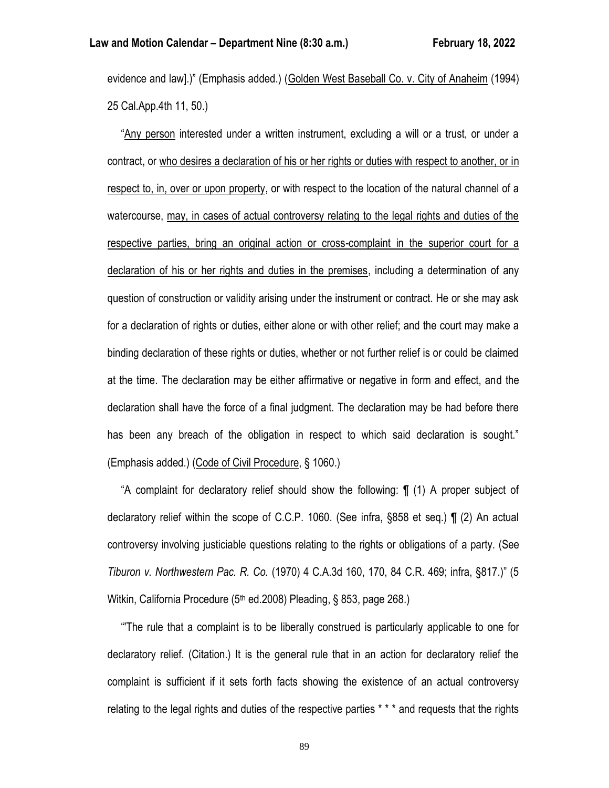evidence and law].)" (Emphasis added.) (Golden West Baseball Co. v. City of Anaheim (1994) 25 Cal.App.4th 11, 50.)

 "Any person interested under a written instrument, excluding a will or a trust, or under a contract, or who desires a declaration of his or her rights or duties with respect to another, or in respect to, in, over or upon property, or with respect to the location of the natural channel of a watercourse, may, in cases of actual controversy relating to the legal rights and duties of the respective parties, bring an original action or cross-complaint in the superior court for a declaration of his or her rights and duties in the premises, including a determination of any question of construction or validity arising under the instrument or contract. He or she may ask for a declaration of rights or duties, either alone or with other relief; and the court may make a binding declaration of these rights or duties, whether or not further relief is or could be claimed at the time. The declaration may be either affirmative or negative in form and effect, and the declaration shall have the force of a final judgment. The declaration may be had before there has been any breach of the obligation in respect to which said declaration is sought." (Emphasis added.) (Code of Civil Procedure, § 1060.)

 "A complaint for declaratory relief should show the following: ¶ (1) A proper subject of declaratory relief within the scope of C.C.P. 1060. (See infra, §858 et seq.) ¶ (2) An actual controversy involving justiciable questions relating to the rights or obligations of a party. (See *Tiburon v. Northwestern Pac. R. Co.* (1970) 4 C.A.3d 160, 170, 84 C.R. 469; infra, §817.)" (5 Witkin, California Procedure (5<sup>th</sup> ed.2008) Pleading, § 853, page 268.)

 "'The rule that a complaint is to be liberally construed is particularly applicable to one for declaratory relief. (Citation.) It is the general rule that in an action for declaratory relief the complaint is sufficient if it sets forth facts showing the existence of an actual controversy relating to the legal rights and duties of the respective parties \* \* \* and requests that the rights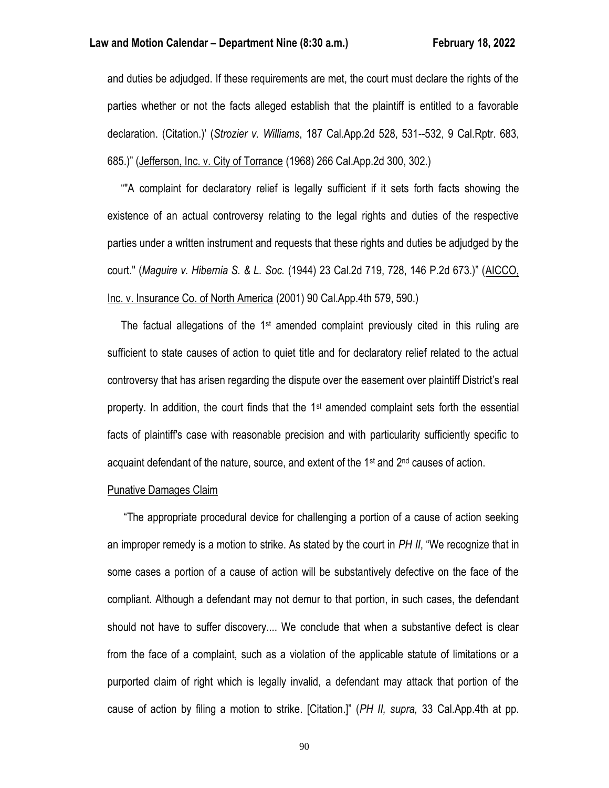and duties be adjudged. If these requirements are met, the court must declare the rights of the parties whether or not the facts alleged establish that the plaintiff is entitled to a favorable declaration. (Citation.)' (*Strozier v. Williams*, 187 Cal.App.2d 528, 531--532, 9 Cal.Rptr. 683, 685.)" (Jefferson, Inc. v. City of Torrance (1968) 266 Cal.App.2d 300, 302.)

 ""A complaint for declaratory relief is legally sufficient if it sets forth facts showing the existence of an actual controversy relating to the legal rights and duties of the respective parties under a written instrument and requests that these rights and duties be adjudged by the court." (*Maguire v. Hibernia S. & L. Soc.* (1944) 23 Cal.2d 719, 728, 146 P.2d 673.)" (AICCO, Inc. v. Insurance Co. of North America (2001) 90 Cal.App.4th 579, 590.)

The factual allegations of the 1<sup>st</sup> amended complaint previously cited in this ruling are sufficient to state causes of action to quiet title and for declaratory relief related to the actual controversy that has arisen regarding the dispute over the easement over plaintiff District's real property. In addition, the court finds that the  $1<sup>st</sup>$  amended complaint sets forth the essential facts of plaintiff's case with reasonable precision and with particularity sufficiently specific to acquaint defendant of the nature, source, and extent of the  $1<sup>st</sup>$  and  $2<sup>nd</sup>$  causes of action.

### Punative Damages Claim

 "The appropriate procedural device for challenging a portion of a cause of action seeking an improper remedy is a motion to strike. As stated by the court in *PH II*, "We recognize that in some cases a portion of a cause of action will be substantively defective on the face of the compliant. Although a defendant may not demur to that portion, in such cases, the defendant should not have to suffer discovery.... We conclude that when a substantive defect is clear from the face of a complaint, such as a violation of the applicable statute of limitations or a purported claim of right which is legally invalid, a defendant may attack that portion of the cause of action by filing a motion to strike. [Citation.]" (*PH II, supra,* 33 Cal.App.4th at pp.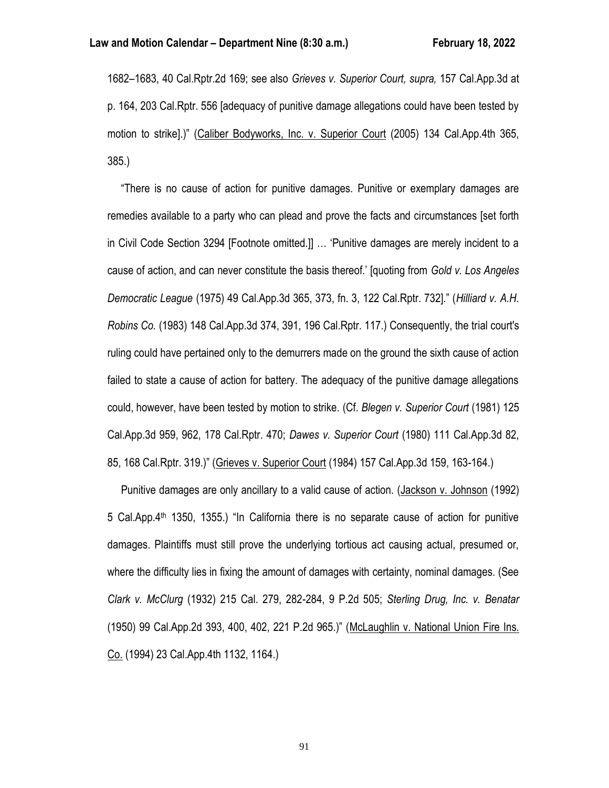1682–1683, 40 Cal.Rptr.2d 169; see also *Grieves v. Superior Court, supra,* 157 Cal.App.3d at p. 164, 203 Cal.Rptr. 556 [adequacy of punitive damage allegations could have been tested by motion to strike].)" (Caliber Bodyworks, Inc. v. Superior Court (2005) 134 Cal.App.4th 365, 385.)

 "There is no cause of action for punitive damages. Punitive or exemplary damages are remedies available to a party who can plead and prove the facts and circumstances [set forth in Civil Code Section 3294 [Footnote omitted.]] … 'Punitive damages are merely incident to a cause of action, and can never constitute the basis thereof.' [quoting from *Gold v. Los Angeles Democratic League* (1975) 49 Cal.App.3d 365, 373, fn. 3, 122 Cal.Rptr. 732]." (*Hilliard v. A.H. Robins Co.* (1983) 148 Cal.App.3d 374, 391, 196 Cal.Rptr. 117.) Consequently, the trial court's ruling could have pertained only to the demurrers made on the ground the sixth cause of action failed to state a cause of action for battery. The adequacy of the punitive damage allegations could, however, have been tested by motion to strike. (Cf. *Blegen v. Superior Court* (1981) 125 Cal.App.3d 959, 962, 178 Cal.Rptr. 470; *Dawes v. Superior Court* (1980) 111 Cal.App.3d 82, 85, 168 Cal.Rptr. 319.)" (Grieves v. Superior Court (1984) 157 Cal.App.3d 159, 163-164.)

 Punitive damages are only ancillary to a valid cause of action. (Jackson v. Johnson (1992) 5 Cal.App.4th 1350, 1355.) "In California there is no separate cause of action for punitive damages. Plaintiffs must still prove the underlying tortious act causing actual, presumed or, where the difficulty lies in fixing the amount of damages with certainty, nominal damages. (See *Clark v. McClurg* (1932) 215 Cal. 279, 282-284, 9 P.2d 505; *Sterling Drug, Inc. v. Benatar* (1950) 99 Cal.App.2d 393, 400, 402, 221 P.2d 965.)" (McLaughlin v. National Union Fire Ins. Co. (1994) 23 Cal.App.4th 1132, 1164.)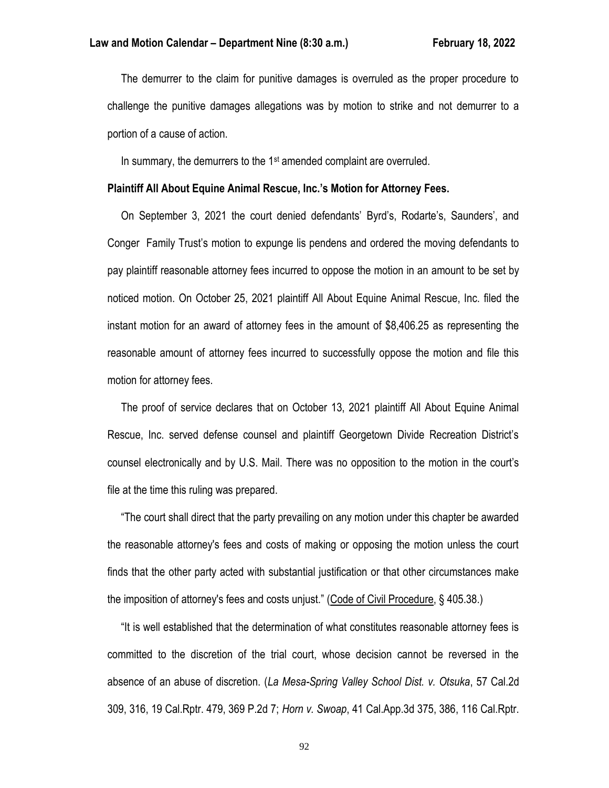The demurrer to the claim for punitive damages is overruled as the proper procedure to challenge the punitive damages allegations was by motion to strike and not demurrer to a portion of a cause of action.

In summary, the demurrers to the 1<sup>st</sup> amended complaint are overruled.

# **Plaintiff All About Equine Animal Rescue, Inc.'s Motion for Attorney Fees.**

 On September 3, 2021 the court denied defendants' Byrd's, Rodarte's, Saunders', and Conger Family Trust's motion to expunge lis pendens and ordered the moving defendants to pay plaintiff reasonable attorney fees incurred to oppose the motion in an amount to be set by noticed motion. On October 25, 2021 plaintiff All About Equine Animal Rescue, Inc. filed the instant motion for an award of attorney fees in the amount of \$8,406.25 as representing the reasonable amount of attorney fees incurred to successfully oppose the motion and file this motion for attorney fees.

 The proof of service declares that on October 13, 2021 plaintiff All About Equine Animal Rescue, Inc. served defense counsel and plaintiff Georgetown Divide Recreation District's counsel electronically and by U.S. Mail. There was no opposition to the motion in the court's file at the time this ruling was prepared.

 "The court shall direct that the party prevailing on any motion under this chapter be awarded the reasonable attorney's fees and costs of making or opposing the motion unless the court finds that the other party acted with substantial justification or that other circumstances make the imposition of attorney's fees and costs unjust." (Code of Civil Procedure, § 405.38.)

 "It is well established that the determination of what constitutes reasonable attorney fees is committed to the discretion of the trial court, whose decision cannot be reversed in the absence of an abuse of discretion. (*La Mesa-Spring Valley School Dist. v. Otsuka*, 57 Cal.2d 309, 316, 19 Cal.Rptr. 479, 369 P.2d 7; *Horn v. Swoap*, 41 Cal.App.3d 375, 386, 116 Cal.Rptr.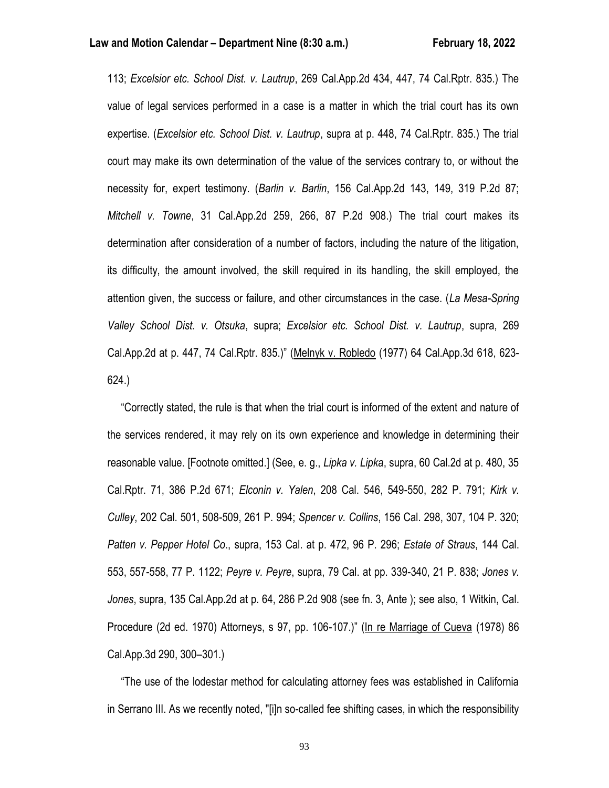113; *Excelsior etc. School Dist. v. Lautrup*, 269 Cal.App.2d 434, 447, 74 Cal.Rptr. 835.) The value of legal services performed in a case is a matter in which the trial court has its own expertise. (*Excelsior etc. School Dist. v. Lautrup*, supra at p. 448, 74 Cal.Rptr. 835.) The trial court may make its own determination of the value of the services contrary to, or without the necessity for, expert testimony. (*Barlin v. Barlin*, 156 Cal.App.2d 143, 149, 319 P.2d 87; *Mitchell v. Towne*, 31 Cal.App.2d 259, 266, 87 P.2d 908.) The trial court makes its determination after consideration of a number of factors, including the nature of the litigation, its difficulty, the amount involved, the skill required in its handling, the skill employed, the attention given, the success or failure, and other circumstances in the case. (*La Mesa-Spring Valley School Dist. v. Otsuka*, supra; *Excelsior etc. School Dist. v. Lautrup*, supra, 269 Cal.App.2d at p. 447, 74 Cal.Rptr. 835.)" (Melnyk v. Robledo (1977) 64 Cal.App.3d 618, 623- 624.)

 "Correctly stated, the rule is that when the trial court is informed of the extent and nature of the services rendered, it may rely on its own experience and knowledge in determining their reasonable value. [Footnote omitted.] (See, e. g., *Lipka v. Lipka*, supra, 60 Cal.2d at p. 480, 35 Cal.Rptr. 71, 386 P.2d 671; *Elconin v. Yalen*, 208 Cal. 546, 549-550, 282 P. 791; *Kirk v. Culley*, 202 Cal. 501, 508-509, 261 P. 994; *Spencer v. Collins*, 156 Cal. 298, 307, 104 P. 320; *Patten v. Pepper Hotel Co*., supra, 153 Cal. at p. 472, 96 P. 296; *Estate of Straus*, 144 Cal. 553, 557-558, 77 P. 1122; *Peyre v. Peyre*, supra, 79 Cal. at pp. 339-340, 21 P. 838; *Jones v. Jones*, supra, 135 Cal.App.2d at p. 64, 286 P.2d 908 (see fn. 3, Ante ); see also, 1 Witkin, Cal. Procedure (2d ed. 1970) Attorneys, s 97, pp. 106-107.)" (In re Marriage of Cueva (1978) 86 Cal.App.3d 290, 300–301.)

 "The use of the lodestar method for calculating attorney fees was established in California in Serrano III. As we recently noted, "[i]n so-called fee shifting cases, in which the responsibility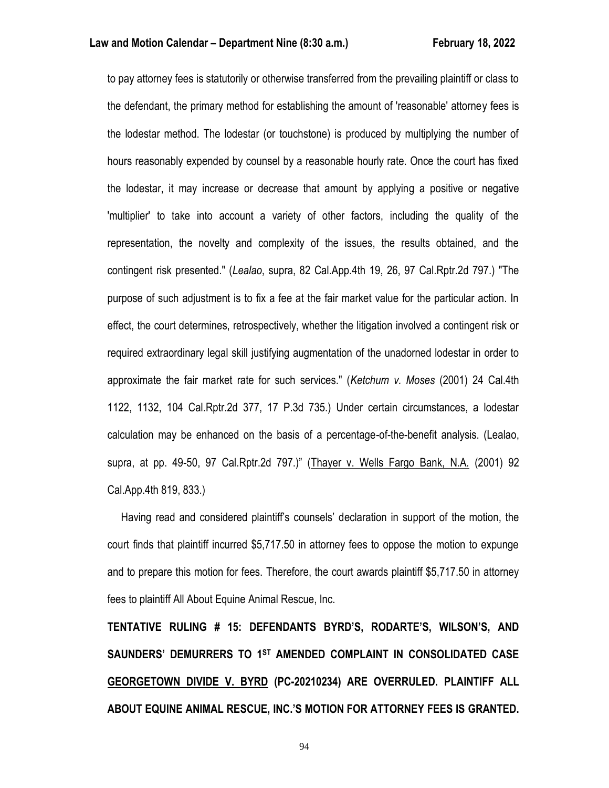to pay attorney fees is statutorily or otherwise transferred from the prevailing plaintiff or class to the defendant, the primary method for establishing the amount of 'reasonable' attorney fees is the lodestar method. The lodestar (or touchstone) is produced by multiplying the number of hours reasonably expended by counsel by a reasonable hourly rate. Once the court has fixed the lodestar, it may increase or decrease that amount by applying a positive or negative 'multiplier' to take into account a variety of other factors, including the quality of the representation, the novelty and complexity of the issues, the results obtained, and the contingent risk presented." (*Lealao*, supra, 82 Cal.App.4th 19, 26, 97 Cal.Rptr.2d 797.) "The purpose of such adjustment is to fix a fee at the fair market value for the particular action. In effect, the court determines, retrospectively, whether the litigation involved a contingent risk or required extraordinary legal skill justifying augmentation of the unadorned lodestar in order to approximate the fair market rate for such services." (*Ketchum v. Moses* (2001) 24 Cal.4th 1122, 1132, 104 Cal.Rptr.2d 377, 17 P.3d 735.) Under certain circumstances, a lodestar calculation may be enhanced on the basis of a percentage-of-the-benefit analysis. (Lealao, supra, at pp. 49-50, 97 Cal.Rptr.2d 797.)" (Thayer v. Wells Fargo Bank, N.A. (2001) 92 Cal.App.4th 819, 833.)

 Having read and considered plaintiff's counsels' declaration in support of the motion, the court finds that plaintiff incurred \$5,717.50 in attorney fees to oppose the motion to expunge and to prepare this motion for fees. Therefore, the court awards plaintiff \$5,717.50 in attorney fees to plaintiff All About Equine Animal Rescue, Inc.

**TENTATIVE RULING # 15: DEFENDANTS BYRD'S, RODARTE'S, WILSON'S, AND SAUNDERS' DEMURRERS TO 1ST AMENDED COMPLAINT IN CONSOLIDATED CASE GEORGETOWN DIVIDE V. BYRD (PC-20210234) ARE OVERRULED. PLAINTIFF ALL ABOUT EQUINE ANIMAL RESCUE, INC.'S MOTION FOR ATTORNEY FEES IS GRANTED.**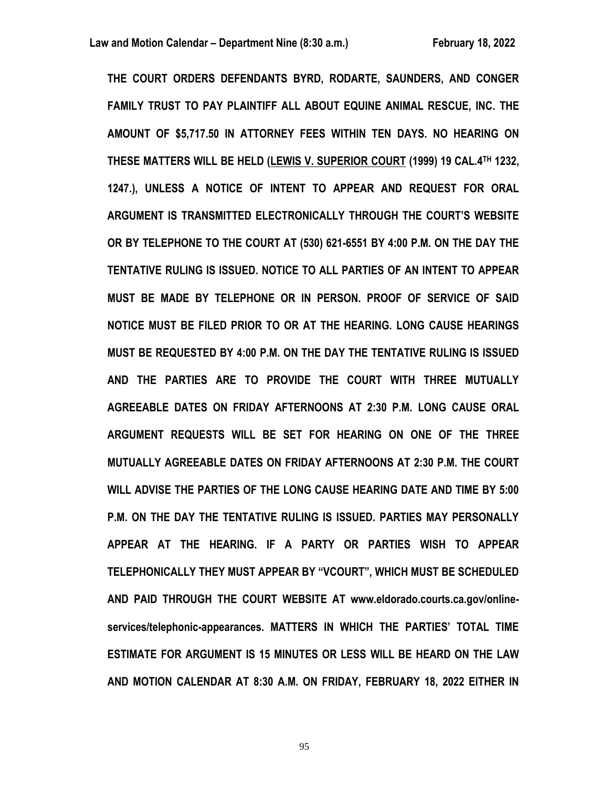**THE COURT ORDERS DEFENDANTS BYRD, RODARTE, SAUNDERS, AND CONGER FAMILY TRUST TO PAY PLAINTIFF ALL ABOUT EQUINE ANIMAL RESCUE, INC. THE AMOUNT OF \$5,717.50 IN ATTORNEY FEES WITHIN TEN DAYS. NO HEARING ON THESE MATTERS WILL BE HELD (LEWIS V. SUPERIOR COURT (1999) 19 CAL.4TH 1232, 1247.), UNLESS A NOTICE OF INTENT TO APPEAR AND REQUEST FOR ORAL ARGUMENT IS TRANSMITTED ELECTRONICALLY THROUGH THE COURT'S WEBSITE OR BY TELEPHONE TO THE COURT AT (530) 621-6551 BY 4:00 P.M. ON THE DAY THE TENTATIVE RULING IS ISSUED. NOTICE TO ALL PARTIES OF AN INTENT TO APPEAR MUST BE MADE BY TELEPHONE OR IN PERSON. PROOF OF SERVICE OF SAID NOTICE MUST BE FILED PRIOR TO OR AT THE HEARING. LONG CAUSE HEARINGS MUST BE REQUESTED BY 4:00 P.M. ON THE DAY THE TENTATIVE RULING IS ISSUED AND THE PARTIES ARE TO PROVIDE THE COURT WITH THREE MUTUALLY AGREEABLE DATES ON FRIDAY AFTERNOONS AT 2:30 P.M. LONG CAUSE ORAL ARGUMENT REQUESTS WILL BE SET FOR HEARING ON ONE OF THE THREE MUTUALLY AGREEABLE DATES ON FRIDAY AFTERNOONS AT 2:30 P.M. THE COURT WILL ADVISE THE PARTIES OF THE LONG CAUSE HEARING DATE AND TIME BY 5:00 P.M. ON THE DAY THE TENTATIVE RULING IS ISSUED. PARTIES MAY PERSONALLY APPEAR AT THE HEARING. IF A PARTY OR PARTIES WISH TO APPEAR TELEPHONICALLY THEY MUST APPEAR BY "VCOURT", WHICH MUST BE SCHEDULED AND PAID THROUGH THE COURT WEBSITE AT www.eldorado.courts.ca.gov/onlineservices/telephonic-appearances. MATTERS IN WHICH THE PARTIES' TOTAL TIME ESTIMATE FOR ARGUMENT IS 15 MINUTES OR LESS WILL BE HEARD ON THE LAW AND MOTION CALENDAR AT 8:30 A.M. ON FRIDAY, FEBRUARY 18, 2022 EITHER IN**